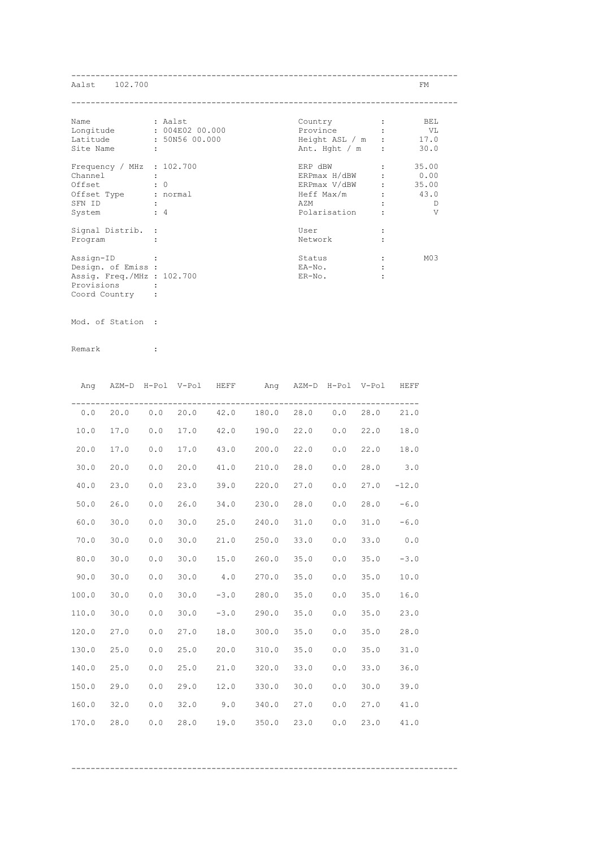| Aalst 102.700                                                                                 |                                              |                                                                                                           |                               | FM                           |
|-----------------------------------------------------------------------------------------------|----------------------------------------------|-----------------------------------------------------------------------------------------------------------|-------------------------------|------------------------------|
| Name<br>Longitude<br>Latitude<br>Site Name                                                    | : Aalst<br>: 004E02 00.000<br>: 50N56 00.000 | Country<br>Province :<br>Height ASL $/m$ : 17.0<br>Ant. Hght $/m$ :                                       |                               | BEL<br>VL<br>30.0            |
| Frequency / MHz : $102.700$<br>Channel<br>Offset<br>Offset Type<br>SFN ID<br>System           | $\colon 0$<br>: normal<br>$\div$ 4           | ERP dBW<br>ERP $max H/dBW$ : $0.00$<br>ERPmax V/dBW : 35.00<br>$Heff Max/m$ : 43.0<br>AZM<br>Polarisation | $\mathbf{1}$ and $\mathbf{1}$ | 35.00<br>D<br>$\overline{V}$ |
| Signal Distrib. :<br>Program<br>Assign-ID<br>Design. of Emiss :<br>Assig. Freq./MHz : 102.700 |                                              | User<br>Network<br>Status<br>EA-No.<br>ER-No.                                                             |                               | M <sub>03</sub>              |
| Provisions                                                                                    |                                              |                                                                                                           |                               |                              |

Provisions : Coord Country :

Mod. of Station :

Remark :

|       | Ang AZM-D H-Pol V-Pol HEFF |     |      |            | Ang AZM-D H-Pol V-Pol HEFF     |      |     |      |         |
|-------|----------------------------|-----|------|------------|--------------------------------|------|-----|------|---------|
| 0.0   | 20.0                       |     |      |            | $0.0$ 20.0 42.0 180.0 28.0 0.0 |      |     | 28.0 | 21.0    |
| 10.0  | 17.0                       | 0.0 | 17.0 |            | 42.0 190.0                     | 22.0 | 0.0 | 22.0 | 18.0    |
| 20.0  | 17.0                       | 0.0 | 17.0 | 43.0 200.0 |                                | 22.0 | 0.0 | 22.0 | 18.0    |
| 30.0  | 20.0                       | 0.0 | 20.0 | 41.0 210.0 |                                | 28.0 | 0.0 | 28.0 | 3.0     |
| 40.0  | 23.0                       | 0.0 | 23.0 | 39.0       | 220.0                          | 27.0 | 0.0 | 27.0 | $-12.0$ |
| 50.0  | 26.0                       | 0.0 | 26.0 | 34.0       | 230.0                          | 28.0 | 0.0 | 28.0 | $-6.0$  |
| 60.0  | 30.0                       | 0.0 | 30.0 | 25.0       | 240.0                          | 31.0 | 0.0 | 31.0 | $-6.0$  |
| 70.0  | 30.0                       | 0.0 | 30.0 | 21.0       | 250.0                          | 33.0 | 0.0 | 33.0 | 0.0     |
| 80.0  | 30.0                       | 0.0 | 30.0 | 15.0       | 260.0                          | 35.0 | 0.0 | 35.0 | $-3.0$  |
| 90.0  | 30.0                       | 0.0 | 30.0 | 4.0        | 270.0                          | 35.0 | 0.0 | 35.0 | 10.0    |
| 100.0 | 30.0                       | 0.0 | 30.0 |            | $-3.0$ 280.0                   | 35.0 | 0.0 | 35.0 | 16.0    |
| 110.0 | 30.0                       | 0.0 | 30.0 |            | $-3.0$ 290.0                   | 35.0 | 0.0 | 35.0 | 23.0    |
| 120.0 | 27.0                       | 0.0 | 27.0 | 18.0       | 300.0                          | 35.0 | 0.0 | 35.0 | 28.0    |
| 130.0 | 25.0                       | 0.0 | 25.0 | 20.0       | 310.0                          | 35.0 | 0.0 | 35.0 | 31.0    |
| 140.0 | 25.0                       | 0.0 | 25.0 |            | 21.0 320.0                     | 33.0 | 0.0 | 33.0 | 36.0    |
| 150.0 | 29.0                       | 0.0 | 29.0 |            | 12.0 330.0                     | 30.0 | 0.0 | 30.0 | 39.0    |
| 160.0 | 32.0                       | 0.0 | 32.0 |            | $9.0$ $340.0$                  | 27.0 | 0.0 | 27.0 | 41.0    |
| 170.0 | 28.0                       | 0.0 | 28.0 | 19.0       | 350.0                          | 23.0 | 0.0 | 23.0 | 41.0    |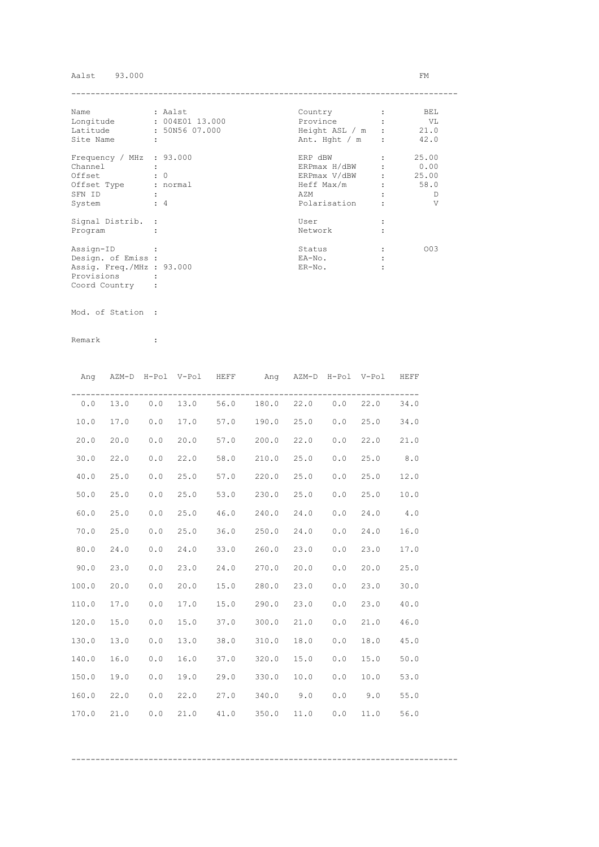## Aalst 93.000 FM

| Name                      | : Aalst              | Country          | BEL   |
|---------------------------|----------------------|------------------|-------|
| Longitude                 | : 004E01 13.000      | Province         | VL V  |
| Latitude                  | : 50N56 07.000       | Height ASL / m : | 21.0  |
| Site Name                 | $\ddot{\phantom{a}}$ | Ant. Hght $/m$ : | 42.0  |
| Frequency / MHz : 93.000  |                      | ERP dBW          | 25.00 |
| Channel                   |                      | ERPmax H/dBW     | 0.00  |
| Offset                    | $\cdot$ 0            | ERPmax V/dBW :   | 25.00 |
| Offset Type               | : normal             | Heff Max/m       | 58.0  |
| SFN ID                    |                      | AZM              | D     |
| System                    | $\div$ 4             | Polarisation     | V     |
| Signal Distrib. :         |                      | User             |       |
| Program                   |                      | Network          |       |
| Assign-ID                 |                      | Status           | 003   |
| Design. of Emiss :        |                      | EA-No.           |       |
| Assig. Freq./MHz : 93.000 |                      | $ER-NO$ .        |       |
| Provisions                |                      |                  |       |
| Coord Country             |                      |                  |       |

Mod. of Station :

|       |      |       | Ang AZM-D H-Pol V-Pol HEFF |      | Ang AZM-D H-Pol V-Pol HEFF              |          |     |           |      |
|-------|------|-------|----------------------------|------|-----------------------------------------|----------|-----|-----------|------|
| 0.0   |      |       |                            |      | 13.0  0.0  13.0  56.0  180.0  22.0  0.0 |          |     | 22.0      | 34.0 |
| 10.0  | 17.0 | 0.0   | 17.0                       |      | 57.0 190.0                              | 25.0 0.0 |     | 25.0      | 34.0 |
| 20.0  | 20.0 | $0.0$ | 20.0                       |      | 57.0 200.0                              | 22.0     | 0.0 | 22.0      | 21.0 |
| 30.0  | 22.0 | 0.0   | 22.0                       |      | 58.0 210.0                              | 25.0     | 0.0 | 25.0      | 8.0  |
| 40.0  | 25.0 | $0.0$ | 25.0                       |      | 57.0 220.0                              | 25.0     | 0.0 | 25.0      | 12.0 |
| 50.0  | 25.0 | 0.0   | 25.0                       |      | 53.0 230.0                              | 25.0     | 0.0 | 25.0      | 10.0 |
| 60.0  | 25.0 | 0.0   | 25.0                       |      | 46.0 240.0                              | 24.0     | 0.0 | 24.0      | 4.0  |
| 70.0  | 25.0 | 0.0   | 25.0                       |      | 36.0 250.0                              | 24.0     | 0.0 | 24.0      | 16.0 |
| 80.0  | 24.0 | 0.0   | 24.0                       |      | 33.0 260.0                              | 23.0     | 0.0 | 23.0      | 17.0 |
| 90.0  | 23.0 | 0.0   | 23.0                       |      | 24.0 270.0                              | 20.0     | 0.0 | 20.0      | 25.0 |
| 100.0 | 20.0 | 0.0   | 20.0                       |      | 15.0 280.0                              | 23.0     | 0.0 | 23.0      | 30.0 |
| 110.0 | 17.0 | 0.0   | 17.0                       |      | 15.0 290.0                              | 23.0     | 0.0 | 23.0      | 40.0 |
| 120.0 | 15.0 | 0.0   | 15.0                       |      | 37.0 300.0                              | 21.0     | 0.0 | 21.0      | 46.0 |
| 130.0 | 13.0 | 0.0   | 13.0                       |      | 38.0 310.0                              | 18.0     | 0.0 | 18.0      | 45.0 |
| 140.0 | 16.0 | 0.0   | 16.0                       |      | 37.0 320.0                              | 15.0     | 0.0 | 15.0      | 50.0 |
| 150.0 | 19.0 | 0.0   | 19.0                       |      | 29.0 330.0 10.0                         |          | 0.0 | 10.0      | 53.0 |
| 160.0 | 22.0 | 0.0   | 22.0                       |      | 27.0 340.0 9.0                          |          |     | $0.0$ 9.0 | 55.0 |
| 170.0 | 21.0 | 0.0   | 21.0                       | 41.0 | 350.0                                   | 11.0     | 0.0 | 11.0      | 56.0 |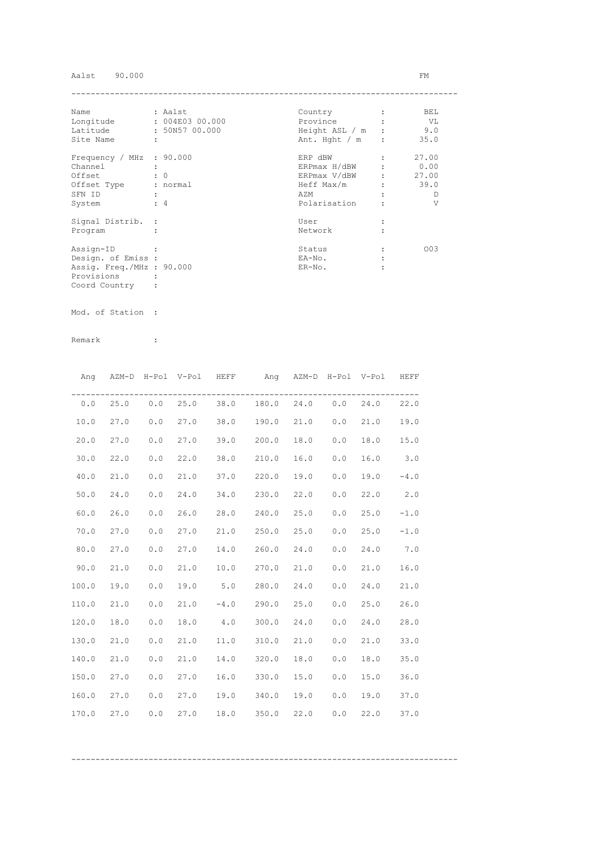# Aalst 90.000 FM

| Name                      | : Aalst              | Country          | BEL   |
|---------------------------|----------------------|------------------|-------|
| Longitude                 | : 004E03 00.000      | Province         | VL V  |
| Latitude                  | : 50N57 00.000       | Height ASL / m : | 9.0   |
| Site Name                 | $\ddot{\phantom{a}}$ | Ant. Hght $/m$ : | 35.0  |
| Frequency / MHz : 90.000  |                      | ERP dBW          | 27.00 |
| Channel                   |                      | ERPmax H/dBW     | 0.00  |
| Offset                    | $\cdot$ 0            | ERPmax V/dBW :   | 27.00 |
| Offset Type               | : normal             | Heff Max/m       | 39.0  |
| SFN ID                    |                      | AZM              | D     |
| System                    | $\div$ 4             | Polarisation     | V     |
| Signal Distrib. :         |                      | User             |       |
| Program                   |                      | Network          |       |
| Assign-ID                 |                      | Status           | 003   |
| Design. of Emiss :        |                      | EA-No.           |       |
| Assig. Freq./MHz : 90.000 |                      | $ER-NO$ .        |       |
| Provisions                |                      |                  |       |
| Coord Country             |                      |                  |       |

Mod. of Station :

Remark :

|       | Ang AZM-D H-Pol V-Pol HEFF |            |      | Ang AZM-D H-Pol V-Pol HEFF              |      |     |      |        |
|-------|----------------------------|------------|------|-----------------------------------------|------|-----|------|--------|
|       |                            |            |      | $0.0$ 25.0 0.0 25.0 38.0 180.0 24.0 0.0 |      |     | 24.0 | 22.0   |
| 10.0  | 27.0                       | $0.0$ 27.0 |      | 38.0 190.0 21.0                         |      | 0.0 | 21.0 | 19.0   |
| 20.0  | 27.0                       | 0.0        | 27.0 | 39.0 200.0                              | 18.0 | 0.0 | 18.0 | 15.0   |
| 30.0  | 22.0                       | 0.0        | 22.0 | 38.0 210.0                              | 16.0 | 0.0 | 16.0 | 3.0    |
| 40.0  | 21.0                       | 0.0        | 21.0 | 37.0 220.0                              | 19.0 | 0.0 | 19.0 | $-4.0$ |
| 50.0  | 24.0                       | 0.0        | 24.0 | 34.0 230.0                              | 22.0 | 0.0 | 22.0 | 2.0    |
| 60.0  | 26.0                       | 0.0        | 26.0 | 28.0 240.0                              | 25.0 | 0.0 | 25.0 | $-1.0$ |
| 70.0  | 27.0                       | 0.0        | 27.0 | 21.0 250.0                              | 25.0 | 0.0 | 25.0 | $-1.0$ |
| 80.0  | 27.0                       | 0.0        | 27.0 | 14.0 260.0                              | 24.0 | 0.0 | 24.0 | 7.0    |
| 90.0  | 21.0                       | 0.0        | 21.0 | 10.0 270.0                              | 21.0 | 0.0 | 21.0 | 16.0   |
| 100.0 | 19.0                       | 0.0        | 19.0 | $5.0$ 280.0                             | 24.0 | 0.0 | 24.0 | 21.0   |
| 110.0 | 21.0                       | 0.0        | 21.0 | $-4.0$ 290.0 25.0                       |      | 0.0 | 25.0 | 26.0   |
| 120.0 | 18.0                       | 0.0        | 18.0 | $4.0$ 300.0                             | 24.0 | 0.0 | 24.0 | 28.0   |
| 130.0 | 21.0                       | 0.0        | 21.0 | 11.0 310.0 21.0                         |      | 0.0 | 21.0 | 33.0   |
| 140.0 | 21.0                       | 0.0        | 21.0 | 14.0 320.0                              | 18.0 | 0.0 | 18.0 | 35.0   |
| 150.0 | 27.0                       | 0.0        | 27.0 | 16.0 330.0                              | 15.0 | 0.0 | 15.0 | 36.0   |
| 160.0 | 27.0                       | 0.0        |      | 27.0 19.0 340.0                         | 19.0 | 0.0 | 19.0 | 37.0   |
| 170.0 | 27.0                       | 0.0        | 27.0 | 18.0 350.0                              | 22.0 | 0.0 | 22.0 | 37.0   |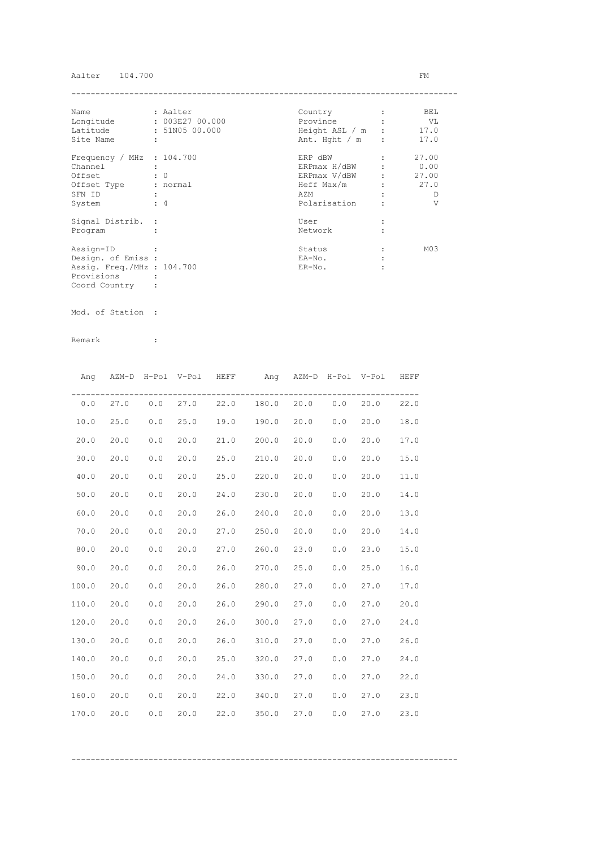## Aalter 104.700 FM

| Name                        | : Aalter             | Country                | BEL             |
|-----------------------------|----------------------|------------------------|-----------------|
| Longitude                   | : 003E27 00.000      | Province               | VL V            |
| Latitude                    | : 51N05 00.000       | Height ASL $/m$ : 17.0 |                 |
| Site Name                   | $\ddot{\phantom{a}}$ | Ant. Hght $/m$ :       | 17.0            |
| Frequency / MHz $: 104.700$ |                      | ERP dBW                | 27.00           |
| Channel                     |                      | ERPmax H/dBW           | 0.00            |
| Offset                      | $\cdot$ 0            | ERPmax V/dBW :         | 27.00           |
| Offset Type                 | : normal             | Heff Max/m             | 27.0            |
| SFN ID                      |                      | AZM                    | D               |
| System                      | $\div$ 4             | Polarisation           | V               |
| Signal Distrib. :           |                      | User                   |                 |
| Program                     |                      | Network                |                 |
| Assign-ID                   |                      | Status                 | M <sub>03</sub> |
| Design. of Emiss :          |                      | EA-No.                 |                 |
| Assig. Freq./MHz : 104.700  |                      | $ER-NO$ .              |                 |
| Provisions                  |                      |                        |                 |
| Coord Country               |                      |                        |                 |

Mod. of Station :

|       |      |       | Ang AZM-D H-Pol V-Pol HEFF |      | Ang AZM-D H-Pol V-Pol HEFF                |      |     |      |      |
|-------|------|-------|----------------------------|------|-------------------------------------------|------|-----|------|------|
|       |      |       |                            |      | $0.0$ 27.0 $0.0$ 27.0 22.0 180.0 20.0 0.0 |      |     | 20.0 | 22.0 |
| 10.0  | 25.0 | 0.0   | 25.0                       |      | 19.0 190.0 20.0                           |      | 0.0 | 20.0 | 18.0 |
| 20.0  | 20.0 | 0.0   | 20.0                       |      | 21.0 200.0                                | 20.0 | 0.0 | 20.0 | 17.0 |
| 30.0  | 20.0 | 0.0   | 20.0                       |      | 25.0 210.0                                | 20.0 | 0.0 | 20.0 | 15.0 |
| 40.0  | 20.0 | 0.0   | 20.0                       |      | 25.0 220.0                                | 20.0 | 0.0 | 20.0 | 11.0 |
| 50.0  | 20.0 | 0.0   | 20.0                       |      | 24.0 230.0                                | 20.0 | 0.0 | 20.0 | 14.0 |
| 60.0  | 20.0 | 0.0   | 20.0                       | 26.0 | 240.0                                     | 20.0 | 0.0 | 20.0 | 13.0 |
| 70.0  | 20.0 | 0.0   | 20.0                       |      | 27.0 250.0                                | 20.0 | 0.0 | 20.0 | 14.0 |
| 80.0  | 20.0 | 0.0   | 20.0                       |      | 27.0 260.0                                | 23.0 | 0.0 | 23.0 | 15.0 |
| 90.0  | 20.0 | $0.0$ | 20.0                       |      | 26.0 270.0                                | 25.0 | 0.0 | 25.0 | 16.0 |
| 100.0 | 20.0 | 0.0   | 20.0                       |      | 26.0 280.0 27.0                           |      | 0.0 | 27.0 | 17.0 |
| 110.0 | 20.0 | 0.0   | 20.0                       |      | 26.0 290.0                                | 27.0 | 0.0 | 27.0 | 20.0 |
| 120.0 | 20.0 | 0.0   | 20.0                       |      | 26.0 300.0                                | 27.0 | 0.0 | 27.0 | 24.0 |
| 130.0 | 20.0 | 0.0   | 20.0                       |      | 26.0 310.0                                | 27.0 | 0.0 | 27.0 | 26.0 |
| 140.0 | 20.0 | 0.0   | 20.0                       |      | 25.0 320.0                                | 27.0 | 0.0 | 27.0 | 24.0 |
| 150.0 | 20.0 | 0.0   | 20.0                       |      | 24.0 330.0                                | 27.0 | 0.0 | 27.0 | 22.0 |
| 160.0 | 20.0 | 0.0   | 20.0                       |      | 22.0 340.0                                | 27.0 | 0.0 | 27.0 | 23.0 |
| 170.0 | 20.0 | 0.0   | 20.0                       | 22.0 | 350.0                                     | 27.0 | 0.0 | 27.0 | 23.0 |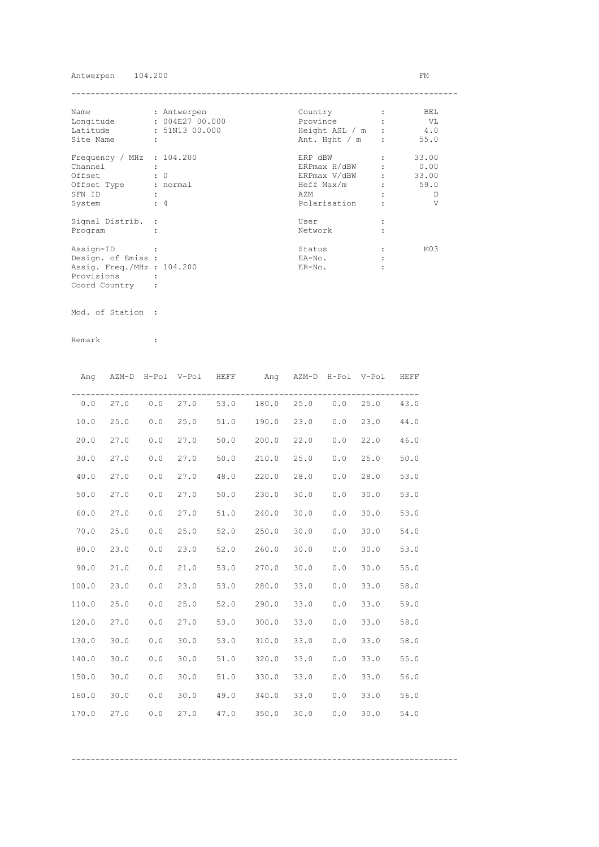## Antwerpen 104.200 FM

| Name                        | : Antwerpen    | Country          | BEL             |
|-----------------------------|----------------|------------------|-----------------|
| Longitude                   | : 004E2700.000 | Province         | - VL            |
| Latitude                    | : 51N13 00.000 | Height ASL / m : | 4.0             |
| Site Name                   | ÷              | Ant. Hght $/m$ : | 55.0            |
| Frequency / MHz : $104.200$ |                | ERP dBW          | 33.00           |
| Channel                     |                | ERPmax H/dBW     | 0.00            |
| Offset                      | $\colon 0$     | ERPmax V/dBW     | 33.00           |
| Offset Type                 | : normal       | Heff Max/m       | 59.0            |
| SFN ID                      |                | AZM              | D               |
| System                      | $\div$ 4       | Polarisation     | V               |
| Signal Distrib. :           |                | User             |                 |
| Program                     |                | Network          |                 |
| Assign-ID                   |                | Status           | M <sub>03</sub> |
| Design. of Emiss :          |                | EA-No.           |                 |
| Assig. Freq./MHz : 104.200  |                | $ER-NO$ .        |                 |
| Provisions                  |                |                  |                 |
| Coord Country               |                |                  |                 |

Mod. of Station :

Remark :

|       | Ang AZM-D H-Pol V-Pol HEFF |     |      |            | Ang AZM-D H-Pol V-Pol HEFF                |      |     |      |      |
|-------|----------------------------|-----|------|------------|-------------------------------------------|------|-----|------|------|
|       |                            |     |      |            | $0.0$ 27.0 $0.0$ 27.0 53.0 180.0 25.0 0.0 |      |     | 25.0 | 43.0 |
| 10.0  | 25.0                       | 0.0 | 25.0 |            | 51.0 190.0                                | 23.0 | 0.0 | 23.0 | 44.0 |
| 20.0  | 27.0                       | 0.0 | 27.0 |            | $50.0$ 200.0                              | 22.0 | 0.0 | 22.0 | 46.0 |
| 30.0  | 27.0                       | 0.0 | 27.0 |            | $50.0$ 210.0                              | 25.0 | 0.0 | 25.0 | 50.0 |
| 40.0  | 27.0                       | 0.0 | 27.0 | 48.0 220.0 |                                           | 28.0 | 0.0 | 28.0 | 53.0 |
| 50.0  | 27.0                       | 0.0 | 27.0 |            | $50.0$ 230.0                              | 30.0 | 0.0 | 30.0 | 53.0 |
| 60.0  | 27.0                       | 0.0 | 27.0 | 51.0       | 240.0                                     | 30.0 | 0.0 | 30.0 | 53.0 |
| 70.0  | 25.0                       | 0.0 | 25.0 | 52.0       | 250.0                                     | 30.0 | 0.0 | 30.0 | 54.0 |
| 80.0  | 23.0                       | 0.0 | 23.0 |            | 52.0 260.0                                | 30.0 | 0.0 | 30.0 | 53.0 |
| 90.0  | 21.0                       | 0.0 | 21.0 |            | 53.0 270.0                                | 30.0 | 0.0 | 30.0 | 55.0 |
| 100.0 | 23.0                       | 0.0 | 23.0 |            | 53.0 280.0                                | 33.0 | 0.0 | 33.0 | 58.0 |
| 110.0 | 25.0                       | 0.0 | 25.0 |            | 52.0 290.0                                | 33.0 | 0.0 | 33.0 | 59.0 |
| 120.0 | 27.0                       | 0.0 | 27.0 | 53.0       | 300.0                                     | 33.0 | 0.0 | 33.0 | 58.0 |
| 130.0 | 30.0                       | 0.0 | 30.0 | 53.0       | 310.0                                     | 33.0 | 0.0 | 33.0 | 58.0 |
| 140.0 | 30.0                       | 0.0 | 30.0 |            | 51.0 320.0                                | 33.0 | 0.0 | 33.0 | 55.0 |
| 150.0 | 30.0                       | 0.0 | 30.0 |            | 51.0 330.0                                | 33.0 | 0.0 | 33.0 | 56.0 |
| 160.0 | 30.0                       | 0.0 | 30.0 |            | 49.0 340.0                                | 33.0 | 0.0 | 33.0 | 56.0 |
| 170.0 | 27.0                       | 0.0 | 27.0 | 47.0       | 350.0                                     | 30.0 | 0.0 | 30.0 | 54.0 |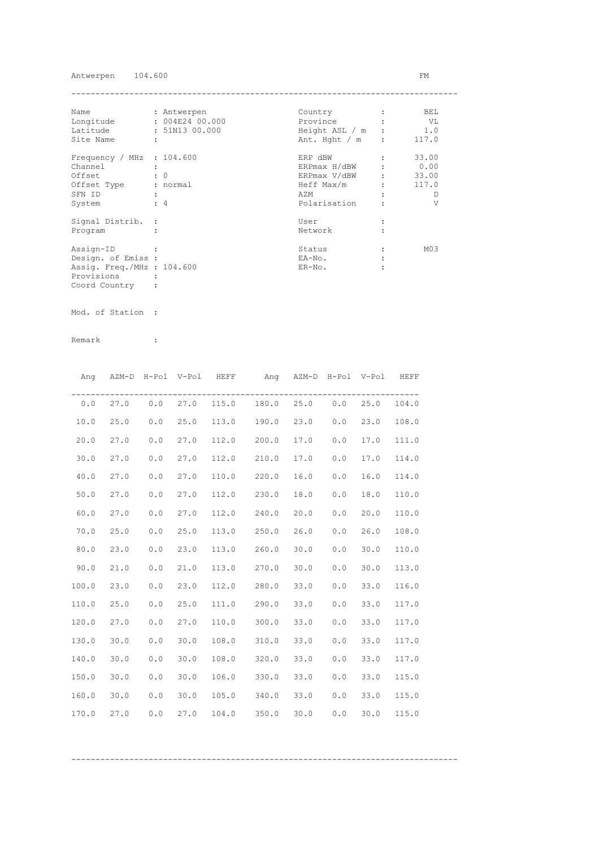## Antwerpen 104.600 FM

| Name                        | : Antwerpen    | Country        |                | BEL             |
|-----------------------------|----------------|----------------|----------------|-----------------|
| Longitude                   | : 004E2400.000 | Province       |                | VL V            |
| Latitude                    | : 51N13 00.000 | Height ASL / m |                | 1.0             |
| Site Name                   | ÷              | Ant. Hght / m  | $\ddot{\cdot}$ | 117.0           |
| Frequency / MHz : $104.600$ |                | ERP dBW        |                | 33.00           |
| Channel                     |                | ERPmax H/dBW   |                | 0.00            |
| Offset                      | $\colon 0$     | ERPmax V/dBW   |                | 33.00           |
| Offset Type                 | : normal       | Heff Max/m     |                | 117.0           |
| SFN ID                      |                | AZM            |                | Ð               |
| System                      | $\div$ 4       | Polarisation   |                | V               |
| Signal Distrib. :           |                | User           |                |                 |
| Program                     |                | Network        |                |                 |
| Assign-ID                   |                | Status         |                | M <sub>03</sub> |
| Design. of Emiss :          |                | EA-No.         |                |                 |
| Assig. Freq./MHz : 104.600  |                | $ER-NO$ .      |                |                 |
| Provisions                  |                |                |                |                 |
| Coord Country               |                |                |                |                 |

Mod. of Station :

| Ang   | AZM-D H-Pol V-Pol HEFF |                                                       |            |       | Ang AZM-D H-Pol V-Pol HEFF |      |       |      |       |
|-------|------------------------|-------------------------------------------------------|------------|-------|----------------------------|------|-------|------|-------|
|       | $0.0$ 27.0             |                                                       | $0.0$ 27.0 |       | 115.0 180.0 25.0 0.0       |      |       | 25.0 | 104.0 |
| 10.0  | 25.0                   | 0.0                                                   | 25.0       | 113.0 | 190.0                      | 23.0 | 0.0   | 23.0 | 108.0 |
| 20.0  | 27.0                   | 0.0                                                   | 27.0       | 112.0 | 200.0                      | 17.0 | 0.0   | 17.0 | 111.0 |
| 30.0  | 27.0                   | 0.0                                                   | 27.0       | 112.0 | 210.0                      | 17.0 | 0.0   | 17.0 | 114.0 |
| 40.0  | 27.0                   | 0.0                                                   | 27.0       | 110.0 | 220.0                      | 16.0 | 0.0   | 16.0 | 114.0 |
| 50.0  | 27.0                   | 0.0                                                   | 27.0       | 112.0 | 230.0                      | 18.0 | $0.0$ | 18.0 | 110.0 |
| 60.0  | 27.0                   | 0.0                                                   | 27.0       | 112.0 | 240.0                      | 20.0 | 0.0   | 20.0 | 110.0 |
| 70.0  | 25.0                   | 0.0                                                   | 25.0       | 113.0 | 250.0                      | 26.0 | 0.0   | 26.0 | 108.0 |
| 80.0  | 23.0                   | 0.0                                                   | 23.0       | 113.0 | 260.0                      | 30.0 | 0.0   | 30.0 | 110.0 |
| 90.0  | 21.0                   | $\ensuremath{\mathsf{0}}$ . $\ensuremath{\mathsf{0}}$ | 21.0       |       | 113.0 270.0                | 30.0 | 0.0   | 30.0 | 113.0 |
| 100.0 | 23.0                   | 0.0                                                   | 23.0       |       | 112.0 280.0                | 33.0 | 0.0   | 33.0 | 116.0 |
| 110.0 | 25.0                   | 0.0                                                   | 25.0       |       | 111.0 290.0                | 33.0 | 0.0   | 33.0 | 117.0 |
| 120.0 | 27.0                   | 0.0                                                   | 27.0       |       | 110.0 300.0                | 33.0 | 0.0   | 33.0 | 117.0 |
| 130.0 | 30.0                   | 0.0                                                   | 30.0       | 108.0 | 310.0                      | 33.0 | 0.0   | 33.0 | 117.0 |
| 140.0 | 30.0                   | 0.0                                                   | 30.0       |       | 108.0 320.0                | 33.0 | 0.0   | 33.0 | 117.0 |
| 150.0 | 30.0                   | 0.0                                                   | 30.0       |       | 106.0 330.0                | 33.0 | 0.0   | 33.0 | 115.0 |
| 160.0 | 30.0                   | 0.0                                                   | 30.0       |       | 105.0 340.0                | 33.0 | 0.0   | 33.0 | 115.0 |
| 170.0 | 27.0                   | 0.0                                                   | 27.0       | 104.0 | 350.0                      | 30.0 | 0.0   | 30.0 | 115.0 |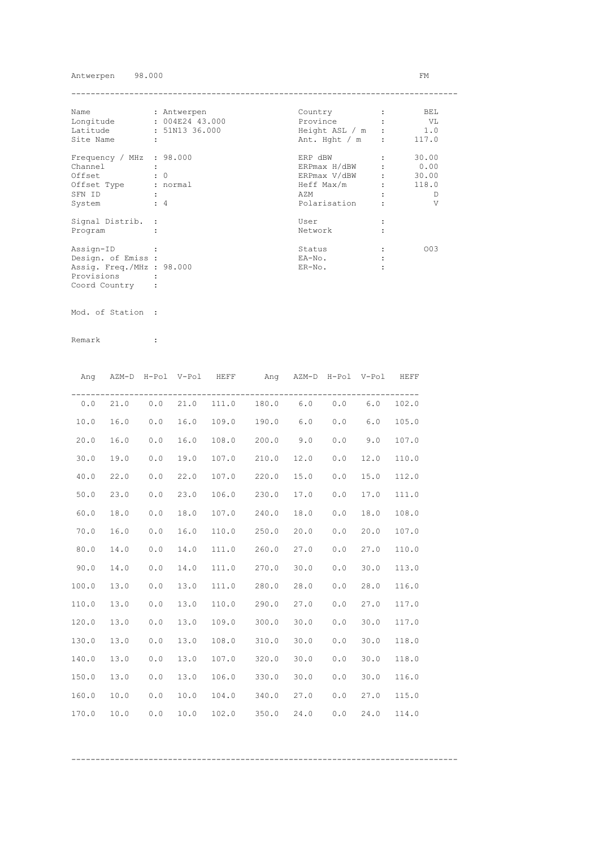## Antwerpen 98.000 FM

| Name                      | : Antwerpen     | Country        |         | BEL   |
|---------------------------|-----------------|----------------|---------|-------|
| Longitude                 | : 004E24 43.000 | Province       |         | VL    |
| Latitude                  | : 51N13 36.000  | Height ASL / m |         | 1.0   |
| Site Name                 | ÷               | Ant. Hght / m  | $\cdot$ | 117.0 |
| Frequency / MHz : 98.000  |                 | ERP dBW        |         | 30.00 |
| Channel                   |                 | ERPmax H/dBW   |         | 0.00  |
| Offset                    | $\colon 0$      | ERPmax V/dBW   |         | 30.00 |
| Offset Type               | : normal        | Heff Max/m     |         | 118.0 |
| SFN ID                    |                 | AZM            |         | D     |
| System                    | $\div$ 4        | Polarisation   |         | V     |
| Signal Distrib. :         |                 | User           |         |       |
| Program                   |                 | Network        |         |       |
| Assign-ID                 |                 | Status         |         | 003   |
| Design. of Emiss :        |                 | EA-No.         |         |       |
| Assig. Freq./MHz : 98.000 |                 | $ER-NO$ .      |         |       |
| Provisions                |                 |                |         |       |
| Coord Country             |                 |                |         |       |

Mod. of Station :

Remark :

| Ang   |          |     | AZM-D H-Pol V-Pol HEFF |       | Ang AZM-D H-Pol V-Pol HEFF |      |       |      |       |
|-------|----------|-----|------------------------|-------|----------------------------|------|-------|------|-------|
|       | 0.0 21.0 |     | $0.0$ 21.0             |       | 111.0 180.0 6.0 0.0 6.0    |      |       |      | 102.0 |
| 10.0  | 16.0     | 0.0 | 16.0                   |       | 109.0 190.0                | 6.0  | 0.0   | 6.0  | 105.0 |
| 20.0  | 16.0     | 0.0 | 16.0                   | 108.0 | 200.0                      | 9.0  | 0.0   | 9.0  | 107.0 |
| 30.0  | 19.0     | 0.0 | 19.0                   | 107.0 | 210.0                      | 12.0 | 0.0   | 12.0 | 110.0 |
| 40.0  | 22.0     | 0.0 | 22.0                   | 107.0 | 220.0                      | 15.0 | 0.0   | 15.0 | 112.0 |
| 50.0  | 23.0     | 0.0 | 23.0                   | 106.0 | 230.0                      | 17.0 | $0.0$ | 17.0 | 111.0 |
| 60.0  | 18.0     | 0.0 | 18.0                   | 107.0 | 240.0                      | 18.0 | 0.0   | 18.0 | 108.0 |
| 70.0  | 16.0     | 0.0 | 16.0                   | 110.0 | 250.0                      | 20.0 | 0.0   | 20.0 | 107.0 |
| 80.0  | 14.0     | 0.0 | 14.0                   | 111.0 | 260.0                      | 27.0 | 0.0   | 27.0 | 110.0 |
| 90.0  | 14.0     | 0.0 | 14.0                   | 111.0 | 270.0                      | 30.0 | 0.0   | 30.0 | 113.0 |
| 100.0 | 13.0     | 0.0 | 13.0                   | 111.0 | 280.0                      | 28.0 | 0.0   | 28.0 | 116.0 |
| 110.0 | 13.0     | 0.0 | 13.0                   |       | 110.0 290.0 27.0           |      | 0.0   | 27.0 | 117.0 |
| 120.0 | 13.0     | 0.0 | 13.0                   |       | 109.0 300.0                | 30.0 | 0.0   | 30.0 | 117.0 |
| 130.0 | 13.0     | 0.0 | 13.0                   | 108.0 | 310.0                      | 30.0 | 0.0   | 30.0 | 118.0 |
| 140.0 | 13.0     | 0.0 | 13.0                   |       | 107.0 320.0                | 30.0 | 0.0   | 30.0 | 118.0 |
| 150.0 | 13.0     | 0.0 | 13.0                   |       | 106.0 330.0                | 30.0 | 0.0   | 30.0 | 116.0 |
| 160.0 | 10.0     | 0.0 | 10.0                   | 104.0 | 340.0                      | 27.0 | 0.0   | 27.0 | 115.0 |
| 170.0 | 10.0     | 0.0 | 10.0                   | 102.0 | 350.0                      | 24.0 | 0.0   | 24.0 | 114.0 |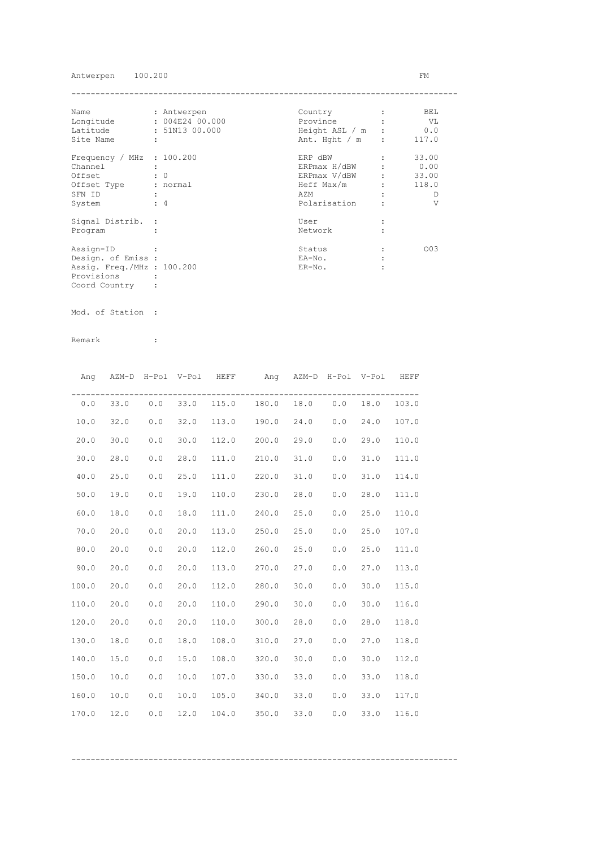## Antwerpen 100.200 FM

| Name                        | : Antwerpen    | Country          | BEL   |
|-----------------------------|----------------|------------------|-------|
| Longitude                   | : 004E2400.000 | Province         | VL    |
| Latitude                    | : 51N13 00.000 | Height ASL / m : | 0.0   |
| Site Name                   | ÷              | Ant. Hght $/m$ : | 117.0 |
| Frequency / MHz : $100.200$ |                | ERP dBW          | 33.00 |
| Channel                     |                | ERPmax H/dBW     | 0.00  |
| Offset                      | $\colon 0$     | ERPmax V/dBW     | 33.00 |
| Offset Type                 | : normal       | Heff Max/m       | 118.0 |
| SFN ID                      |                | AZM              | D     |
| System                      | $\div$ 4       | Polarisation     | V     |
| Signal Distrib. :           |                | User             |       |
| Program                     |                | Network          |       |
| Assign-ID                   |                | Status           | 003   |
| Design. of Emiss :          |                | EA-No.           |       |
| Assig. Freq./MHz : 100.200  |                | $ER-NO$ .        |       |
| Provisions                  |                |                  |       |
| Coord Country               |                |                  |       |

Mod. of Station :

| Ang   | AZM-D H-Pol V-Pol HEFF |     |            |       | Ang AZM-D H-Pol V-Pol HEFF |      |       |      |       |
|-------|------------------------|-----|------------|-------|----------------------------|------|-------|------|-------|
|       | 0.0 33.0               |     | $0.0$ 33.0 |       | 115.0 180.0 18.0 0.0       |      |       | 18.0 | 103.0 |
| 10.0  | 32.0                   | 0.0 | 32.0       | 113.0 | 190.0 24.0                 |      | 0.0   | 24.0 | 107.0 |
| 20.0  | 30.0                   | 0.0 | 30.0       | 112.0 | 200.0                      | 29.0 | 0.0   | 29.0 | 110.0 |
| 30.0  | 28.0                   | 0.0 | 28.0       | 111.0 | 210.0                      | 31.0 | 0.0   | 31.0 | 111.0 |
| 40.0  | 25.0                   | 0.0 | 25.0       | 111.0 | 220.0                      | 31.0 | 0.0   | 31.0 | 114.0 |
| 50.0  | 19.0                   | 0.0 | 19.0       | 110.0 | 230.0                      | 28.0 | $0.0$ | 28.0 | 111.0 |
| 60.0  | 18.0                   | 0.0 | 18.0       | 111.0 | 240.0                      | 25.0 | 0.0   | 25.0 | 110.0 |
| 70.0  | 20.0                   | 0.0 | 20.0       | 113.0 | 250.0                      | 25.0 | 0.0   | 25.0 | 107.0 |
| 80.0  | 20.0                   | 0.0 | 20.0       | 112.0 | 260.0                      | 25.0 | 0.0   | 25.0 | 111.0 |
| 90.0  | 20.0                   | 0.0 | 20.0       | 113.0 | 270.0                      | 27.0 | 0.0   | 27.0 | 113.0 |
| 100.0 | 20.0                   | 0.0 | 20.0       | 112.0 | 280.0                      | 30.0 | 0.0   | 30.0 | 115.0 |
| 110.0 | 20.0                   | 0.0 | 20.0       | 110.0 | 290.0                      | 30.0 | 0.0   | 30.0 | 116.0 |
| 120.0 | 20.0                   | 0.0 | 20.0       | 110.0 | 300.0                      | 28.0 | 0.0   | 28.0 | 118.0 |
| 130.0 | 18.0                   | 0.0 | 18.0       | 108.0 | 310.0                      | 27.0 | 0.0   | 27.0 | 118.0 |
| 140.0 | 15.0                   | 0.0 | 15.0       |       | 108.0 320.0                | 30.0 | 0.0   | 30.0 | 112.0 |
| 150.0 | 10.0                   | 0.0 | 10.0       |       | 107.0 330.0                | 33.0 | 0.0   | 33.0 | 118.0 |
| 160.0 | 10.0                   | 0.0 | 10.0       |       | 105.0 340.0                | 33.0 | 0.0   | 33.0 | 117.0 |
| 170.0 | 12.0                   | 0.0 | 12.0       | 104.0 | 350.0                      | 33.0 | 0.0   | 33.0 | 116.0 |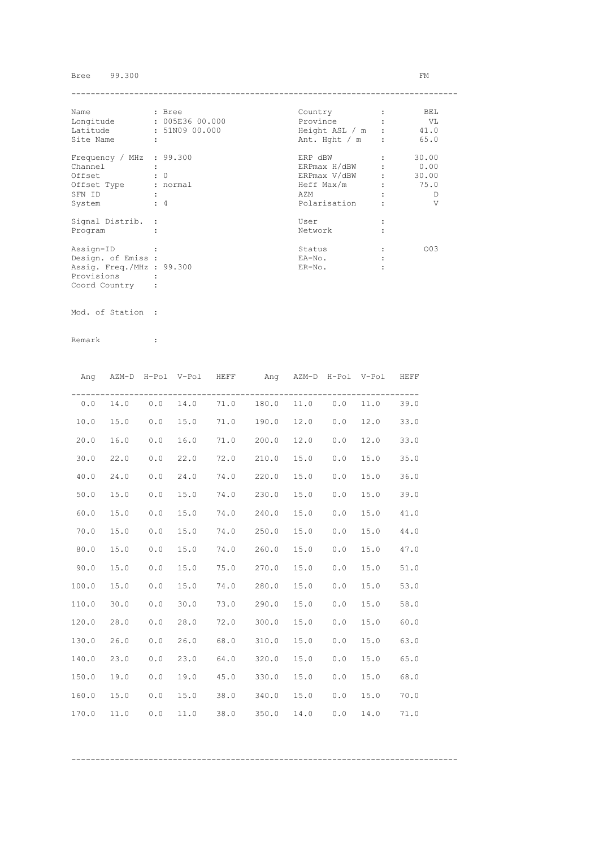# Bree 99.300 FM

| Name                      |                      | : Bree          | Country        |              | BEL   |
|---------------------------|----------------------|-----------------|----------------|--------------|-------|
| Longitude                 |                      | : 005E36 00.000 | Province       |              | VL    |
| Latitude                  |                      | : 51N09 00.000  | Height ASL / m |              | 41.0  |
| Site Name                 | $\ddot{\phantom{a}}$ |                 | Ant. Hght / m  | $\mathbf{r}$ | 65.0  |
| Frequency / MHz : 99.300  |                      |                 | ERP dBW        |              | 30.00 |
| Channel                   |                      |                 | ERPmax H/dBW   |              | 0.00  |
| Offset                    |                      | $\colon 0$      | ERPmax V/dBW   |              | 30.00 |
| Offset Type               |                      | : normal        | Heff Max/m     |              | 75.0  |
| SFN ID                    |                      |                 | AZM            |              | Ð     |
| System                    |                      | $\div$ 4        | Polarisation   |              | V     |
| Signal Distrib. :         |                      |                 | User           |              |       |
| Program                   |                      |                 | Network        |              |       |
| Assign-ID                 |                      |                 | Status         |              | 003   |
| Design. of Emiss :        |                      |                 | EA-No.         |              |       |
| Assig. Freq./MHz : 99.300 |                      |                 | $ER-NO$ .      |              |       |
| Provisions                |                      |                 |                |              |       |
| Coord Country             |                      |                 |                |              |       |

Mod. of Station :

Remark :

| Ang   |      |     | AZM-D H-Pol V-Pol HEFF |      | Ang AZM-D H-Pol V-Pol |      |     |      | HEFF |
|-------|------|-----|------------------------|------|-----------------------|------|-----|------|------|
| 0.0   | 14.0 | 0.0 | 14.0                   | 71.0 | 180.0                 | 11.0 | 0.0 | 11.0 | 39.0 |
| 10.0  | 15.0 | 0.0 | 15.0                   | 71.0 | 190.0                 | 12.0 | 0.0 | 12.0 | 33.0 |
| 20.0  | 16.0 | 0.0 | 16.0                   | 71.0 | 200.0                 | 12.0 | 0.0 | 12.0 | 33.0 |
| 30.0  | 22.0 | 0.0 | 22.0                   | 72.0 | 210.0                 | 15.0 | 0.0 | 15.0 | 35.0 |
| 40.0  | 24.0 | 0.0 | 24.0                   | 74.0 | 220.0                 | 15.0 | 0.0 | 15.0 | 36.0 |
| 50.0  | 15.0 | 0.0 | 15.0                   | 74.0 | 230.0                 | 15.0 | 0.0 | 15.0 | 39.0 |
| 60.0  | 15.0 | 0.0 | 15.0                   | 74.0 | 240.0                 | 15.0 | 0.0 | 15.0 | 41.0 |
| 70.0  | 15.0 | 0.0 | 15.0                   | 74.0 | 250.0                 | 15.0 | 0.0 | 15.0 | 44.0 |
| 80.0  | 15.0 | 0.0 | 15.0                   | 74.0 | 260.0                 | 15.0 | 0.0 | 15.0 | 47.0 |
| 90.0  | 15.0 | 0.0 | 15.0                   | 75.0 | 270.0                 | 15.0 | 0.0 | 15.0 | 51.0 |
| 100.0 | 15.0 | 0.0 | 15.0                   | 74.0 | 280.0                 | 15.0 | 0.0 | 15.0 | 53.0 |
| 110.0 | 30.0 | 0.0 | 30.0                   | 73.0 | 290.0                 | 15.0 | 0.0 | 15.0 | 58.0 |
| 120.0 | 28.0 | 0.0 | 28.0                   | 72.0 | 300.0                 | 15.0 | 0.0 | 15.0 | 60.0 |
| 130.0 | 26.0 | 0.0 | 26.0                   | 68.0 | 310.0                 | 15.0 | 0.0 | 15.0 | 63.0 |
| 140.0 | 23.0 | 0.0 | 23.0                   | 64.0 | 320.0                 | 15.0 | 0.0 | 15.0 | 65.0 |
| 150.0 | 19.0 | 0.0 | 19.0                   | 45.0 | 330.0                 | 15.0 | 0.0 | 15.0 | 68.0 |
| 160.0 | 15.0 | 0.0 | 15.0                   | 38.0 | 340.0                 | 15.0 | 0.0 | 15.0 | 70.0 |
| 170.0 | 11.0 | 0.0 | 11.0                   | 38.0 | 350.0                 | 14.0 | 0.0 | 14.0 | 71.0 |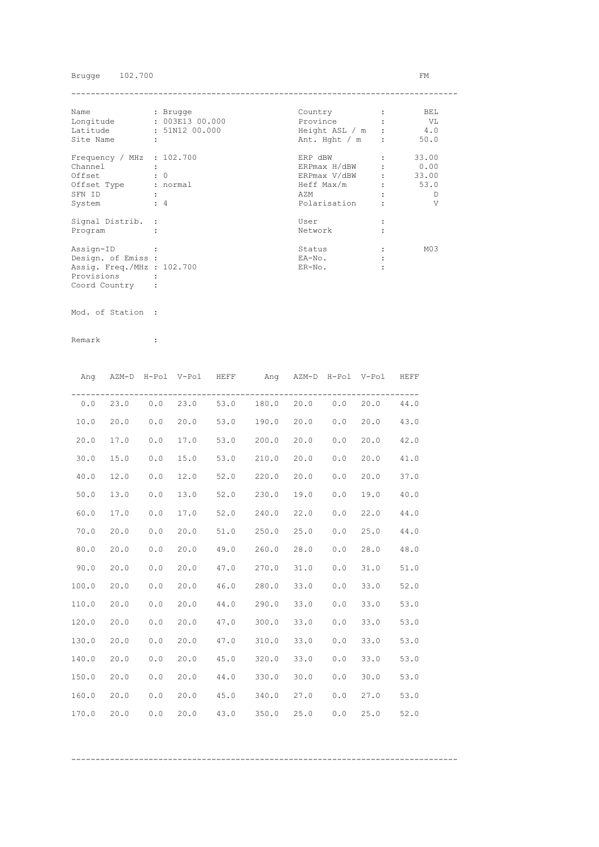Brugge 102.700 FM

| Name                        | : Brugge        | Country          | BEL             |
|-----------------------------|-----------------|------------------|-----------------|
| Longitude                   | : 003E13 00.000 | Province         | - VL            |
| Latitude                    | : 51N12 00.000  | Height ASL / m : | 4.0             |
| Site Name                   | ÷               | Ant. Hght $/m$ : | 50.0            |
| Frequency / MHz : $102.700$ |                 | ERP dBW          | 33.00           |
| Channel                     |                 | ERPmax H/dBW     | 0.00            |
| Offset                      | $\colon 0$      | ERPmax V/dBW     | 33.00           |
| Offset Type                 | : normal        | Heff Max/m       | 53.0            |
| SFN ID                      |                 | AZM              | D               |
| System                      | $\div$ 4        | Polarisation     | V               |
| Signal Distrib. :           |                 | User             |                 |
| Program                     |                 | Network          |                 |
| Assign-ID                   |                 | Status           | M <sub>03</sub> |
| Design. of Emiss :          |                 | EA-No.           |                 |
| Assig. Freq./MHz : 102.700  |                 | $ER-NO$ .        |                 |
| Provisions                  |                 |                  |                 |
| Coord Country               |                 |                  |                 |

Mod. of Station :

| Ang   |      |       | AZM-D H-Pol V-Pol HEFF |      | Ang AZM-D H-Pol V-Pol HEFF        |          |     |      |      |
|-------|------|-------|------------------------|------|-----------------------------------|----------|-----|------|------|
| 0.0   |      |       |                        |      | 23.0 0.0 23.0 53.0 180.0 20.0 0.0 |          |     | 20.0 | 44.0 |
| 10.0  | 20.0 | $0.0$ | 20.0                   |      | 53.0 190.0                        | 20.0 0.0 |     | 20.0 | 43.0 |
| 20.0  | 17.0 | 0.0   | 17.0                   |      | 53.0 200.0                        | 20.0     | 0.0 | 20.0 | 42.0 |
| 30.0  | 15.0 | 0.0   | 15.0                   |      | 53.0 210.0                        | 20.0     | 0.0 | 20.0 | 41.0 |
| 40.0  | 12.0 | 0.0   | 12.0                   | 52.0 | 220.0                             | 20.0     | 0.0 | 20.0 | 37.0 |
| 50.0  | 13.0 | 0.0   | 13.0                   | 52.0 | 230.0                             | 19.0     | 0.0 | 19.0 | 40.0 |
| 60.0  | 17.0 | 0.0   | 17.0                   | 52.0 | 240.0                             | 22.0     | 0.0 | 22.0 | 44.0 |
| 70.0  | 20.0 | 0.0   | 20.0                   | 51.0 | 250.0                             | 25.0     | 0.0 | 25.0 | 44.0 |
| 80.0  | 20.0 | 0.0   | 20.0                   |      | 49.0 260.0                        | 28.0     | 0.0 | 28.0 | 48.0 |
| 90.0  | 20.0 | 0.0   | 20.0                   |      | 47.0 270.0                        | 31.0     | 0.0 | 31.0 | 51.0 |
| 100.0 | 20.0 | 0.0   | 20.0                   |      | 46.0 280.0                        | 33.0     | 0.0 | 33.0 | 52.0 |
| 110.0 | 20.0 | 0.0   | 20.0                   |      | 44.0 290.0                        | 33.0     | 0.0 | 33.0 | 53.0 |
| 120.0 | 20.0 | 0.0   | 20.0                   | 47.0 | 300.0                             | 33.0     | 0.0 | 33.0 | 53.0 |
| 130.0 | 20.0 | 0.0   | 20.0                   | 47.0 | 310.0                             | 33.0     | 0.0 | 33.0 | 53.0 |
| 140.0 | 20.0 | 0.0   | 20.0                   | 45.0 | 320.0                             | 33.0     | 0.0 | 33.0 | 53.0 |
| 150.0 | 20.0 | 0.0   | 20.0                   | 44.0 | 330.0                             | 30.0     | 0.0 | 30.0 | 53.0 |
| 160.0 | 20.0 | 0.0   | 20.0                   |      | 45.0 340.0                        | 27.0     | 0.0 | 27.0 | 53.0 |
| 170.0 | 20.0 | 0.0   | 20.0                   |      | 43.0 350.0                        | 25.0     | 0.0 | 25.0 | 52.0 |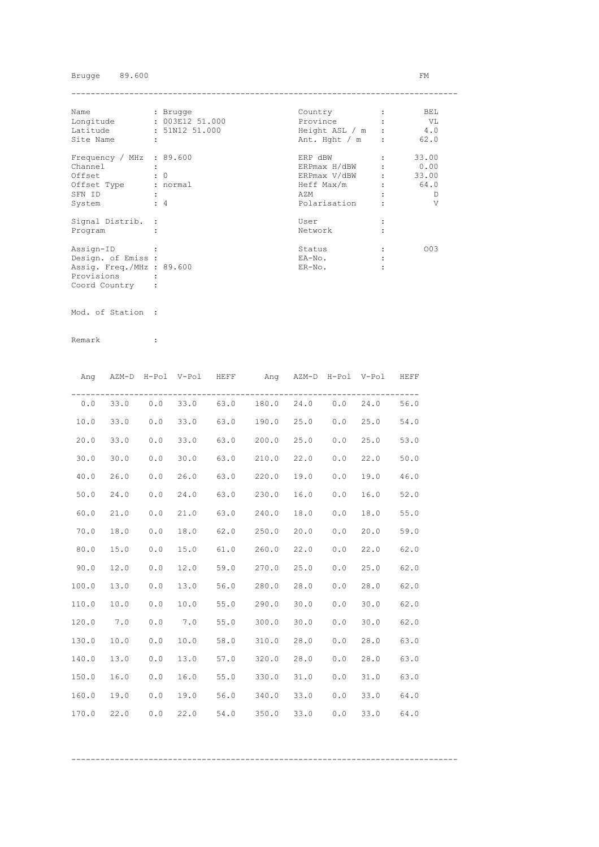Brugge 89.600 FM

| Name                      | : Brugge             | Country        |         | BEL   |
|---------------------------|----------------------|----------------|---------|-------|
| Longitude                 | : 003E12 51.000      | Province       |         | VL V  |
| Latitude                  | : 51N12 51.000       | Height ASL / m |         | 4.0   |
| Site Name                 | $\ddot{\phantom{a}}$ | Ant. Hght / m  | $\cdot$ | 62.0  |
| Frequency / MHz : 89.600  |                      | ERP dBW        |         | 33.00 |
| Channel                   |                      | ERPmax H/dBW   |         | 0.00  |
| Offset                    | $\colon 0$           | ERPmax V/dBW   |         | 33.00 |
| Offset Type               | : normal             | Heff Max/m     |         | 64.0  |
| SFN ID                    | $\ddot{\phantom{a}}$ | AZM            |         | Ð     |
| System                    | $\div$ 4             | Polarisation   |         | V     |
| Signal Distrib. :         |                      | User           |         |       |
| Program                   |                      | Network        |         |       |
| Assign-ID                 |                      | Status         |         | 003   |
| Design. of Emiss :        |                      | EA-No.         |         |       |
| Assig. Freq./MHz : 89.600 |                      | $ER-NO$ .      |         |       |
| Provisions                |                      |                |         |       |
| Coord Country             |                      |                |         |       |

Mod. of Station :

|       |      |     | Ang AZM-D H-Pol V-Pol HEFF |      | Ang AZM-D H-Pol V-Pol HEFF                |      |     |      |      |
|-------|------|-----|----------------------------|------|-------------------------------------------|------|-----|------|------|
|       |      |     |                            |      | $0.0$ 33.0 $0.0$ 33.0 63.0 180.0 24.0 0.0 |      |     | 24.0 | 56.0 |
| 10.0  | 33.0 | 0.0 | 33.0                       |      | 63.0 190.0 25.0                           |      | 0.0 | 25.0 | 54.0 |
| 20.0  | 33.0 | 0.0 | 33.0                       |      | $63.0$ 200.0                              | 25.0 | 0.0 | 25.0 | 53.0 |
| 30.0  | 30.0 | 0.0 | 30.0                       |      | 63.0 210.0                                | 22.0 | 0.0 | 22.0 | 50.0 |
| 40.0  | 26.0 | 0.0 | 26.0                       |      | 63.0 220.0                                | 19.0 | 0.0 | 19.0 | 46.0 |
| 50.0  | 24.0 | 0.0 | 24.0                       |      | 63.0 230.0                                | 16.0 | 0.0 | 16.0 | 52.0 |
| 60.0  | 21.0 | 0.0 | 21.0                       | 63.0 | 240.0                                     | 18.0 | 0.0 | 18.0 | 55.0 |
| 70.0  | 18.0 | 0.0 | 18.0                       | 62.0 | 250.0                                     | 20.0 | 0.0 | 20.0 | 59.0 |
| 80.0  | 15.0 | 0.0 | 15.0                       |      | $61.0$ 260.0                              | 22.0 | 0.0 | 22.0 | 62.0 |
| 90.0  | 12.0 | 0.0 | 12.0                       |      | 59.0 270.0                                | 25.0 | 0.0 | 25.0 | 62.0 |
| 100.0 | 13.0 | 0.0 | 13.0                       |      | 56.0 280.0                                | 28.0 | 0.0 | 28.0 | 62.0 |
| 110.0 | 10.0 | 0.0 | 10.0                       |      | 55.0 290.0                                | 30.0 | 0.0 | 30.0 | 62.0 |
| 120.0 | 7.0  | 0.0 | 7.0                        |      | 55.0 300.0                                | 30.0 | 0.0 | 30.0 | 62.0 |
| 130.0 | 10.0 | 0.0 | 10.0                       |      | 58.0 310.0                                | 28.0 | 0.0 | 28.0 | 63.0 |
| 140.0 | 13.0 | 0.0 | 13.0                       |      | 57.0 320.0                                | 28.0 | 0.0 | 28.0 | 63.0 |
| 150.0 | 16.0 | 0.0 | 16.0                       |      | 55.0 330.0                                | 31.0 | 0.0 | 31.0 | 63.0 |
| 160.0 | 19.0 | 0.0 | 19.0                       |      | 56.0 340.0                                | 33.0 | 0.0 | 33.0 | 64.0 |
| 170.0 | 22.0 | 0.0 | 22.0                       | 54.0 | 350.0                                     | 33.0 | 0.0 | 33.0 | 64.0 |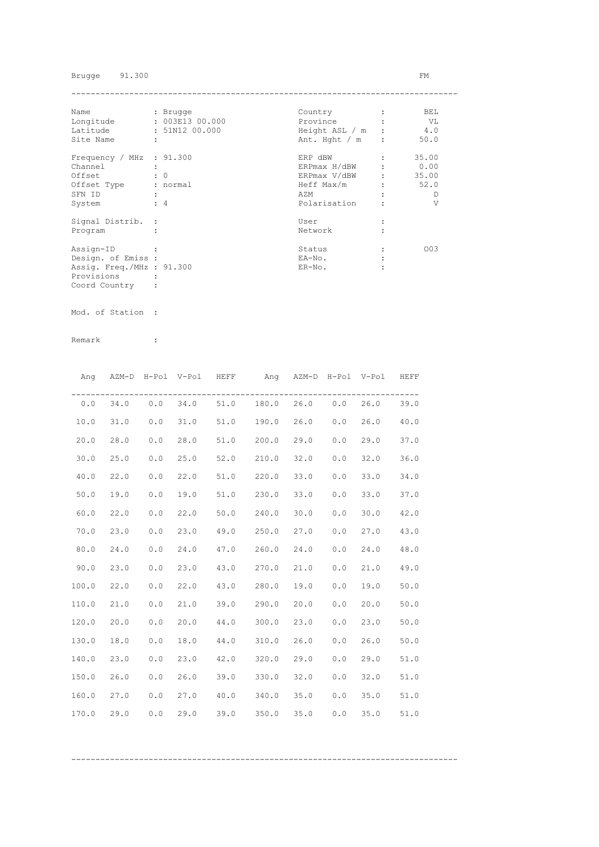Brugge 91.300 FM

| Name                      | : Brugge        | Country          | BEL   |
|---------------------------|-----------------|------------------|-------|
| Longitude                 | : 003E13 00.000 | Province         | - VL  |
| Latitude                  | : 51N12 00.000  | Height ASL / m   | 4.0   |
| Site Name                 | ÷               | Ant. Hght $/m$ : | 50.0  |
| Frequency / MHz : 91.300  |                 | ERP dBW          | 35.00 |
| Channel                   |                 | ERPmax H/dBW     | 0.00  |
| Offset                    | $\colon 0$      | ERPmax V/dBW     | 35.00 |
| Offset Type               | : normal        | Heff Max/m       | 52.0  |
| SFN ID                    |                 | AZM              | D     |
| System                    | $\div$ 4        | Polarisation     | V     |
| Signal Distrib. :         |                 | User             |       |
| Program                   |                 | Network          |       |
| Assign-ID                 |                 | Status           | 003   |
| Design. of Emiss :        |                 | EA-No.           |       |
| Assig. Freq./MHz : 91.300 |                 | $ER-NO$ .        |       |
| Provisions                |                 |                  |       |
| Coord Country             |                 |                  |       |

Mod. of Station :

| Ang   |            |     | AZM-D H-Pol V-Pol HEFF |      | Ang AZM-D H-Pol V-Pol HEFF          |      |     |      |      |
|-------|------------|-----|------------------------|------|-------------------------------------|------|-----|------|------|
|       | $0.0$ 34.0 |     |                        |      | $0.0$ 34.0 51.0 180.0 26.0 0.0 26.0 |      |     |      | 39.0 |
| 10.0  | 31.0       | 0.0 | 31.0                   |      | 51.0 190.0 26.0                     |      | 0.0 | 26.0 | 40.0 |
| 20.0  | 28.0       | 0.0 | 28.0                   |      | 51.0 200.0 29.0                     |      | 0.0 | 29.0 | 37.0 |
| 30.0  | 25.0       | 0.0 | 25.0                   |      | 52.0 210.0                          | 32.0 | 0.0 | 32.0 | 36.0 |
| 40.0  | 22.0       | 0.0 | 22.0                   |      | 51.0 220.0                          | 33.0 | 0.0 | 33.0 | 34.0 |
| 50.0  | 19.0       | 0.0 | 19.0                   |      | 51.0 230.0 33.0                     |      | 0.0 | 33.0 | 37.0 |
| 60.0  | 22.0       | 0.0 | 22.0                   |      | 50.0 240.0                          | 30.0 | 0.0 | 30.0 | 42.0 |
| 70.0  | 23.0       | 0.0 | 23.0                   |      | 49.0 250.0                          | 27.0 | 0.0 | 27.0 | 43.0 |
| 80.0  | 24.0       | 0.0 | 24.0                   |      | 47.0 260.0                          | 24.0 | 0.0 | 24.0 | 48.0 |
| 90.0  | 23.0       | 0.0 | 23.0                   |      | 43.0 270.0 21.0                     |      | 0.0 | 21.0 | 49.0 |
| 100.0 | 22.0       | 0.0 | 22.0                   |      | 43.0 280.0                          | 19.0 | 0.0 | 19.0 | 50.0 |
| 110.0 | 21.0       | 0.0 | 21.0                   |      | 39.0 290.0                          | 20.0 | 0.0 | 20.0 | 50.0 |
| 120.0 | 20.0       | 0.0 | 20.0                   |      | 44.0 300.0 23.0                     |      | 0.0 | 23.0 | 50.0 |
| 130.0 | 18.0       | 0.0 | 18.0                   | 44.0 | 310.0                               | 26.0 | 0.0 | 26.0 | 50.0 |
| 140.0 | 23.0       | 0.0 | 23.0                   |      | 42.0 320.0                          | 29.0 | 0.0 | 29.0 | 51.0 |
| 150.0 | 26.0       | 0.0 | 26.0                   |      | $39.0$ $330.0$                      | 32.0 | 0.0 | 32.0 | 51.0 |
| 160.0 | 27.0       | 0.0 | 27.0                   |      | 40.0 340.0                          | 35.0 | 0.0 | 35.0 | 51.0 |
| 170.0 | 29.0       | 0.0 | 29.0                   | 39.0 | 350.0                               | 35.0 | 0.0 | 35.0 | 51.0 |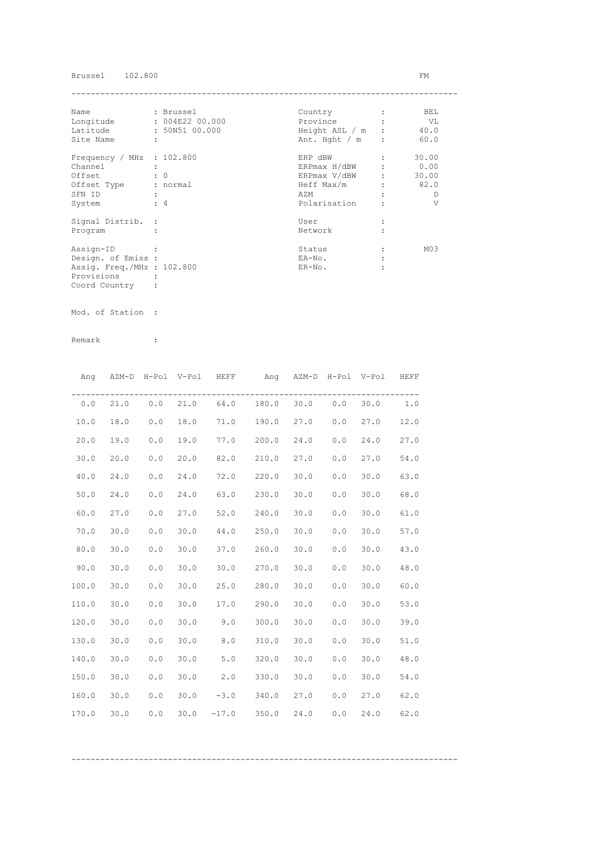## Brussel 102.800 FM

| Name                        | : Brussel       | Country          | BEL             |
|-----------------------------|-----------------|------------------|-----------------|
| Longitude                   | : 004E22 00.000 | Province         | VL V            |
| Latitude                    | : 50N51 00.000  | Height ASL / m : | 40.0            |
| Site Name                   | ÷               | Ant. Hght $/m$ : | 60.0            |
| Frequency / MHz : $102.800$ |                 | ERP dBW          | 30.00           |
| Channel                     |                 | ERPmax H/dBW     | 0.00            |
| Offset                      | $\colon 0$      | ERPmax V/dBW     | 30.00           |
| Offset Type                 | : normal        | Heff Max/m       | 82.0            |
| SFN ID                      |                 | AZM              | D               |
| System                      | $\div$ 4        | Polarisation     | V               |
| Signal Distrib. :           |                 | User             |                 |
| Program                     |                 | Network          |                 |
| Assign-ID                   |                 | Status           | M <sub>03</sub> |
| Design. of Emiss :          |                 | EA-No.           |                 |
| Assig. Freq./MHz : 102.800  |                 | $ER-NO$ .        |                 |
| Provisions                  |                 |                  |                 |
| Coord Country               |                 |                  |                 |

Mod. of Station :

Remark :

|       |      |       |      | Ang AZM-D H-Pol V-Pol HEFF | Ang AZM-D H-Pol V-Pol HEFF              |      |     |            |      |
|-------|------|-------|------|----------------------------|-----------------------------------------|------|-----|------------|------|
| 0.0   |      |       |      |                            | 21.0  0.0  21.0  64.0  180.0  30.0  0.0 |      |     | $30.0$ 1.0 |      |
| 10.0  | 18.0 | 0.0   | 18.0 | 71.0 190.0                 |                                         | 27.0 | 0.0 | 27.0       | 12.0 |
| 20.0  | 19.0 | 0.0   | 19.0 | 77.0 200.0                 |                                         | 24.0 | 0.0 | 24.0       | 27.0 |
| 30.0  | 20.0 | 0.0   | 20.0 | 82.0 210.0                 |                                         | 27.0 | 0.0 | 27.0       | 54.0 |
| 40.0  | 24.0 | 0.0   | 24.0 | 72.0 220.0                 |                                         | 30.0 | 0.0 | 30.0       | 63.0 |
| 50.0  | 24.0 | 0.0   | 24.0 | 63.0 230.0                 |                                         | 30.0 | 0.0 | 30.0       | 68.0 |
| 60.0  | 27.0 | 0.0   | 27.0 | 52.0                       | 240.0                                   | 30.0 | 0.0 | 30.0       | 61.0 |
| 70.0  | 30.0 | 0.0   | 30.0 | 44.0                       | 250.0                                   | 30.0 | 0.0 | 30.0       | 57.0 |
| 80.0  | 30.0 | 0.0   | 30.0 | 37.0                       | 260.0                                   | 30.0 | 0.0 | 30.0       | 43.0 |
| 90.0  | 30.0 | 0.0   | 30.0 |                            | 30.0 270.0                              | 30.0 | 0.0 | 30.0       | 48.0 |
| 100.0 | 30.0 | $0.0$ | 30.0 |                            | 25.0 280.0                              | 30.0 | 0.0 | 30.0       | 60.0 |
| 110.0 | 30.0 | 0.0   | 30.0 |                            | 17.0 290.0                              | 30.0 | 0.0 | 30.0       | 53.0 |
| 120.0 | 30.0 | 0.0   | 30.0 | $9.0$ 300.0                |                                         | 30.0 | 0.0 | 30.0       | 39.0 |
| 130.0 | 30.0 | 0.0   | 30.0 | 8.0                        | 310.0                                   | 30.0 | 0.0 | 30.0       | 51.0 |
| 140.0 | 30.0 | 0.0   | 30.0 | 5.0                        | 320.0                                   | 30.0 | 0.0 | 30.0       | 48.0 |
| 150.0 | 30.0 | 0.0   | 30.0 | 2.0                        | 330.0                                   | 30.0 | 0.0 | 30.0       | 54.0 |
| 160.0 | 30.0 | 0.0   | 30.0 | $-3.0$ $340.0$             |                                         | 27.0 | 0.0 | 27.0       | 62.0 |
| 170.0 | 30.0 | 0.0   |      |                            | $30.0$ $-17.0$ $350.0$                  | 24.0 | 0.0 | 24.0       | 62.0 |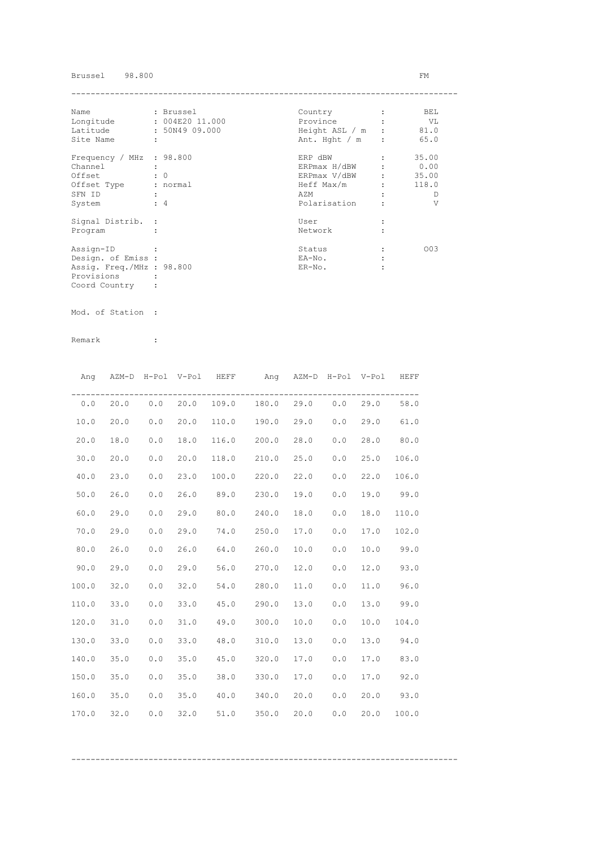## Brussel 98.800 FM

| : Brussel<br>Name         |                      |                 | Country          |                               | BEL   |
|---------------------------|----------------------|-----------------|------------------|-------------------------------|-------|
| Longitude                 |                      | : 004E20 11.000 | Province         |                               | VL    |
| Latitude                  |                      | : 50N49 09.000  | Height ASL / m : |                               | 81.0  |
| Site Name                 | $\ddot{\phantom{a}}$ |                 | Ant. Hght / m    | $\cdot$                       | 65.0  |
| Frequency / MHz : 98.800  |                      |                 | ERP dBW          |                               | 35.00 |
| Channel                   |                      |                 | ERPmax H/dBW     |                               | 0.00  |
| Offset                    |                      | $\colon 0$      | ERPmax V/dBW     | $\mathbf{r}$ and $\mathbf{r}$ | 35.00 |
| Offset Type               |                      | : normal        | Heff Max/m       |                               | 118.0 |
| SFN ID                    |                      |                 | AZM              |                               | Ð     |
| System                    |                      | $\div$ 4        | Polarisation     |                               | V     |
| Signal Distrib. :         |                      |                 | User             |                               |       |
| Program                   |                      |                 | Network          |                               |       |
| Assign-ID                 |                      |                 | Status           |                               | 003   |
| Design. of Emiss :        |                      |                 | EA-No.           |                               |       |
| Assig. Freq./MHz : 98.800 |                      |                 | $ER-NO$ .        |                               |       |
| Provisions                |                      |                 |                  |                               |       |
| Coord Country             |                      |                 |                  |                               |       |

Mod. of Station :

Remark :

|       | Ang AZM-D H-Pol V-Pol HEFF |       |      |      | Ang AZM-D H-Pol V-Pol HEFF |      |     |      |       |
|-------|----------------------------|-------|------|------|----------------------------|------|-----|------|-------|
|       | $0.0$ 20.0 0.0 20.0        |       |      |      | 109.0 180.0 29.0 0.0       |      |     | 29.0 | 58.0  |
| 10.0  | 20.0                       | $0.0$ | 20.0 |      | 110.0 190.0 29.0           |      | 0.0 | 29.0 | 61.0  |
| 20.0  | 18.0                       | 0.0   | 18.0 |      | 116.0 200.0                | 28.0 | 0.0 | 28.0 | 80.0  |
| 30.0  | 20.0                       | 0.0   | 20.0 |      | 118.0 210.0                | 25.0 | 0.0 | 25.0 | 106.0 |
| 40.0  | 23.0                       | 0.0   | 23.0 |      | 100.0 220.0                | 22.0 | 0.0 | 22.0 | 106.0 |
| 50.0  | 26.0                       | 0.0   | 26.0 | 89.0 | 230.0                      | 19.0 | 0.0 | 19.0 | 99.0  |
| 60.0  | 29.0                       | 0.0   | 29.0 | 80.0 | 240.0                      | 18.0 | 0.0 | 18.0 | 110.0 |
| 70.0  | 29.0                       | 0.0   | 29.0 | 74.0 | 250.0                      | 17.0 | 0.0 | 17.0 | 102.0 |
| 80.0  | 26.0                       | 0.0   | 26.0 | 64.0 | 260.0                      | 10.0 | 0.0 | 10.0 | 99.0  |
| 90.0  | 29.0                       | 0.0   | 29.0 |      | 56.0 270.0                 | 12.0 | 0.0 | 12.0 | 93.0  |
| 100.0 | 32.0                       | 0.0   | 32.0 |      | 54.0 280.0                 | 11.0 | 0.0 | 11.0 | 96.0  |
| 110.0 | 33.0                       | 0.0   | 33.0 |      | 45.0 290.0                 | 13.0 | 0.0 | 13.0 | 99.0  |
| 120.0 | 31.0                       | 0.0   | 31.0 | 49.0 | 300.0                      | 10.0 | 0.0 | 10.0 | 104.0 |
| 130.0 | 33.0                       | 0.0   | 33.0 | 48.0 | 310.0                      | 13.0 | 0.0 | 13.0 | 94.0  |
| 140.0 | 35.0                       | 0.0   | 35.0 | 45.0 | 320.0                      | 17.0 | 0.0 | 17.0 | 83.0  |
| 150.0 | 35.0                       | 0.0   | 35.0 | 38.0 | 330.0                      | 17.0 | 0.0 | 17.0 | 92.0  |
| 160.0 | 35.0                       | 0.0   | 35.0 |      | 40.0 340.0                 | 20.0 | 0.0 | 20.0 | 93.0  |
| 170.0 | 32.0                       | 0.0   | 32.0 | 51.0 | 350.0                      | 20.0 | 0.0 | 20.0 | 100.0 |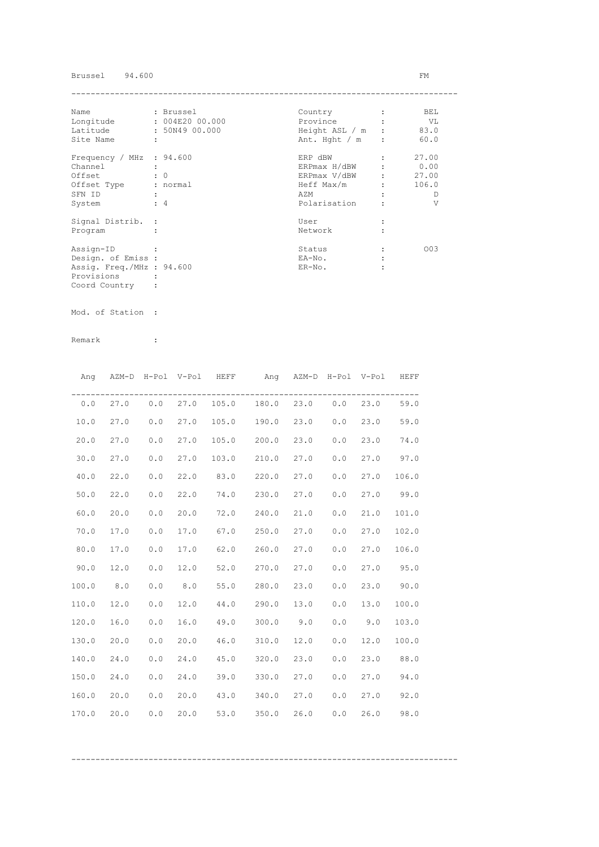## Brussel 94.600 FM

| Name                      |   | : Brussel       | Country          | BEL   |
|---------------------------|---|-----------------|------------------|-------|
| Longitude                 |   | : 004E20 00.000 | Province         | VL    |
| Latitude                  |   | : 50N49 00.000  | Height ASL / m : | 83.0  |
| Site Name                 | ÷ |                 | Ant. Hght $/m$ : | 60.0  |
| Frequency / MHz : 94.600  |   |                 | ERP dBW          | 27.00 |
| Channel                   |   |                 | ERPmax H/dBW     | 0.00  |
| Offset                    |   | $\colon 0$      | ERPmax V/dBW     | 27.00 |
| Offset Type               |   | : normal        | Heff Max/m       | 106.0 |
| SFN ID                    |   |                 | AZM              | D     |
| System                    |   | $\div$ 4        | Polarisation     | V     |
| Signal Distrib. :         |   |                 | User             |       |
| Program                   |   |                 | Network          |       |
| Assign-ID                 |   |                 | Status           | 003   |
| Design. of Emiss :        |   |                 | EA-No.           |       |
| Assig. Freq./MHz : 94.600 |   |                 | $ER-NO$ .        |       |
| Provisions                |   |                 |                  |       |
| Coord Country             |   |                 |                  |       |

Mod. of Station :

Remark :

|       | Ang AZM-D H-Pol V-Pol HEFF |     |               |            | Ang AZM-D H-Pol V-Pol |      |     |      | HEFF  |
|-------|----------------------------|-----|---------------|------------|-----------------------|------|-----|------|-------|
| 0.0   |                            |     | 27.0 0.0 27.0 |            | 105.0 180.0 23.0 0.0  |      |     | 23.0 | 59.0  |
| 10.0  | 27.0                       | 0.0 | 27.0          |            | 105.0 190.0 23.0      |      | 0.0 | 23.0 | 59.0  |
| 20.0  | 27.0                       | 0.0 | 27.0          |            | 105.0 200.0           | 23.0 | 0.0 | 23.0 | 74.0  |
| 30.0  | 27.0                       | 0.0 | 27.0          |            | 103.0 210.0           | 27.0 | 0.0 | 27.0 | 97.0  |
| 40.0  | 22.0                       | 0.0 | 22.0          | 83.0 220.0 |                       | 27.0 | 0.0 | 27.0 | 106.0 |
| 50.0  | 22.0                       | 0.0 | 22.0          |            | 74.0 230.0            | 27.0 | 0.0 | 27.0 | 99.0  |
| 60.0  | 20.0                       | 0.0 | 20.0          | 72.0       | 240.0                 | 21.0 | 0.0 | 21.0 | 101.0 |
| 70.0  | 17.0                       | 0.0 | 17.0          | 67.0       | 250.0                 | 27.0 | 0.0 | 27.0 | 102.0 |
| 80.0  | 17.0                       | 0.0 | 17.0          | 62.0       | 260.0                 | 27.0 | 0.0 | 27.0 | 106.0 |
| 90.0  | 12.0                       | 0.0 | 12.0          |            | 52.0 270.0 27.0       |      | 0.0 | 27.0 | 95.0  |
| 100.0 | 8.0                        | 0.0 | 8.0           |            | 55.0 280.0 23.0       |      | 0.0 | 23.0 | 90.0  |
| 110.0 | 12.0                       | 0.0 | 12.0          |            | 44.0 290.0 13.0       |      | 0.0 | 13.0 | 100.0 |
| 120.0 | 16.0                       | 0.0 | 16.0          |            | 49.0 300.0 9.0        |      | 0.0 | 9.0  | 103.0 |
| 130.0 | 20.0                       | 0.0 | 20.0          |            | 46.0 310.0            | 12.0 | 0.0 | 12.0 | 100.0 |
| 140.0 | 24.0                       | 0.0 | 24.0          |            | 45.0 320.0            | 23.0 | 0.0 | 23.0 | 88.0  |
| 150.0 | 24.0                       | 0.0 | 24.0          |            | 39.0 330.0            | 27.0 | 0.0 | 27.0 | 94.0  |
| 160.0 | 20.0                       | 0.0 | 20.0          |            | 43.0 340.0            | 27.0 | 0.0 | 27.0 | 92.0  |
| 170.0 | 20.0                       | 0.0 | 20.0          | 53.0       | 350.0                 | 26.0 | 0.0 | 26.0 | 98.0  |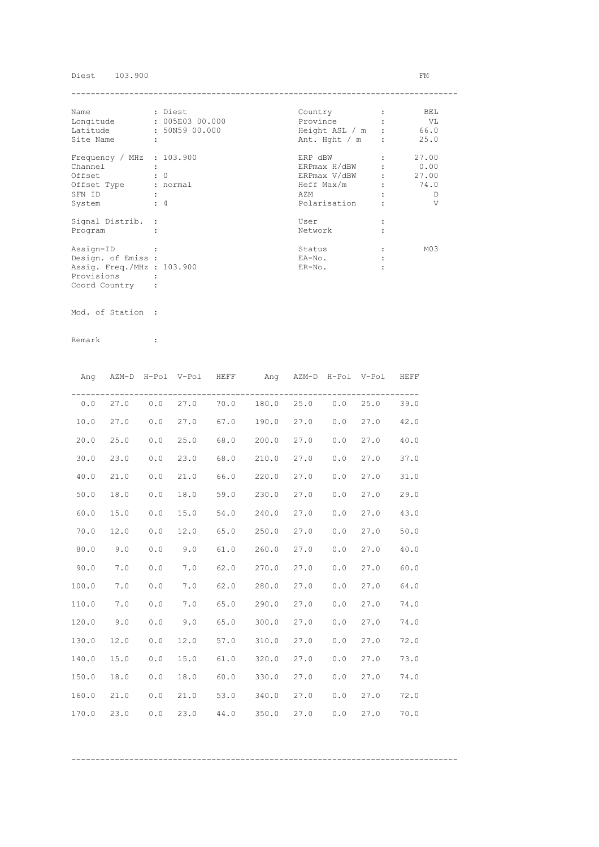## Diest 103.900 FM

| Name                        | : Diest              | Country          | BEL             |
|-----------------------------|----------------------|------------------|-----------------|
| Longitude                   | : 005E03 00.000      | Province         | VL V            |
| Latitude                    | : 50N59 00.000       | Height ASL / m : | 66.0            |
| Site Name                   | $\ddot{\phantom{a}}$ | Ant. Hght $/m$ : | 25.0            |
| Frequency / MHz : $103.900$ |                      | ERP dBW          | 27.00           |
| Channel                     |                      | ERPmax H/dBW     | 0.00            |
| Offset                      | $\cdot$ 0            | ERPmax V/dBW :   | 27.00           |
| Offset Type                 | : normal             | Heff Max/m       | 74.0            |
| SFN ID                      |                      | AZM              | D               |
| System                      | $\div$ 4             | Polarisation     | V               |
| Signal Distrib. :           |                      | User             |                 |
| Program                     |                      | Network          |                 |
| Assign-ID                   |                      | Status           | M <sub>03</sub> |
| Design. of Emiss :          |                      | EA-No.           |                 |
| Assig. Freq./MHz : 103.900  |                      | $ER-NO$ .        |                 |
| Provisions                  |                      |                  |                 |
| Coord Country               |                      |                  |                 |

Mod. of Station :

|       | Ang AZM-D H-Pol V-Pol HEFF |       |      |      | Ang AZM-D H-Pol V-Pol HEFF                   |      |     |      |      |
|-------|----------------------------|-------|------|------|----------------------------------------------|------|-----|------|------|
|       |                            |       |      |      | $0.0$ 27.0 0.0 27.0 70.0 180.0 25.0 0.0 25.0 |      |     |      | 39.0 |
| 10.0  | 27.0                       | 0.0   | 27.0 |      | 67.0 190.0 27.0                              |      | 0.0 | 27.0 | 42.0 |
| 20.0  | 25.0                       | 0.0   | 25.0 |      | 68.0 200.0                                   | 27.0 | 0.0 | 27.0 | 40.0 |
| 30.0  | 23.0                       | 0.0   | 23.0 |      | 68.0 210.0                                   | 27.0 | 0.0 | 27.0 | 37.0 |
| 40.0  | 21.0                       | 0.0   | 21.0 |      | 66.0 220.0                                   | 27.0 | 0.0 | 27.0 | 31.0 |
| 50.0  | 18.0                       | 0.0   | 18.0 |      | 59.0 230.0                                   | 27.0 | 0.0 | 27.0 | 29.0 |
| 60.0  | 15.0                       | 0.0   | 15.0 |      | 54.0 240.0                                   | 27.0 | 0.0 | 27.0 | 43.0 |
| 70.0  | 12.0                       | 0.0   | 12.0 |      | 65.0 250.0                                   | 27.0 | 0.0 | 27.0 | 50.0 |
| 80.0  | 9.0                        | 0.0   | 9.0  | 61.0 | 260.0                                        | 27.0 | 0.0 | 27.0 | 40.0 |
| 90.0  | 7.0                        | $0.0$ | 7.0  |      | 62.0 270.0 27.0                              |      | 0.0 | 27.0 | 60.0 |
| 100.0 | 7.0                        | $0.0$ | 7.0  |      | 62.0 280.0 27.0                              |      | 0.0 | 27.0 | 64.0 |
| 110.0 | 7.0                        | 0.0   | 7.0  |      | 65.0 290.0                                   | 27.0 | 0.0 | 27.0 | 74.0 |
| 120.0 | 9.0                        | 0.0   | 9.0  |      | 65.0 300.0                                   | 27.0 | 0.0 | 27.0 | 74.0 |
| 130.0 | 12.0                       | 0.0   | 12.0 |      | 57.0 310.0                                   | 27.0 | 0.0 | 27.0 | 72.0 |
| 140.0 | 15.0                       | 0.0   | 15.0 |      | 61.0 320.0                                   | 27.0 | 0.0 | 27.0 | 73.0 |
| 150.0 | 18.0                       | 0.0   | 18.0 |      | $60.0$ 330.0                                 | 27.0 | 0.0 | 27.0 | 74.0 |
| 160.0 | 21.0                       | 0.0   | 21.0 |      | 53.0 340.0                                   | 27.0 | 0.0 | 27.0 | 72.0 |
| 170.0 | 23.0                       | 0.0   | 23.0 | 44.0 | 350.0                                        | 27.0 | 0.0 | 27.0 | 70.0 |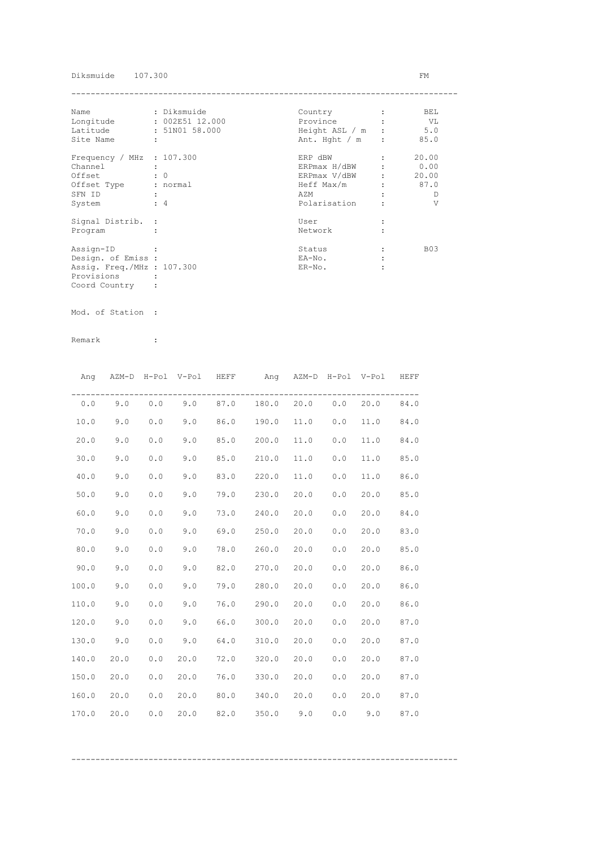### Diksmuide 107.300 FM

| Name                        | : Diksmuide     | Country          | BEL        |
|-----------------------------|-----------------|------------------|------------|
| Longitude                   | : 002E51 12.000 | Province         | - VL       |
| Latitude                    | : 51N01 58.000  | Height ASL / m   | 5.0        |
| Site Name                   | ÷               | Ant. Hght $/m$ : | 85.0       |
| Frequency / MHz : $107.300$ |                 | ERP dBW          | 20.00      |
| Channel                     |                 | ERPmax H/dBW     | 0.00       |
| Offset                      | $\colon 0$      | ERPmax V/dBW     | 20.00      |
| Offset Type                 | : normal        | Heff Max/m       | 87.0       |
| SFN ID                      |                 | AZM              | D          |
| System                      | $\div$ 4        | Polarisation     | V          |
| Signal Distrib. :           |                 | User             |            |
| Program                     |                 | Network          |            |
| Assign-ID                   |                 | Status           | <b>B03</b> |
| Design. of Emiss :          |                 | EA-No.           |            |
| Assig. Freq./MHz : 107.300  |                 | $ER-NO$ .        |            |
| Provisions                  |                 |                  |            |
| Coord Country               |                 |                  |            |

Mod. of Station :

|       |      |     | Ang AZM-D H-Pol V-Pol HEFF |      | Ang AZM-D H-Pol V-Pol HEFF        |             |     |      |      |
|-------|------|-----|----------------------------|------|-----------------------------------|-------------|-----|------|------|
| 0.0   |      |     |                            |      | $9.0$ 0.0 9.0 87.0 180.0 20.0 0.0 |             |     | 20.0 | 84.0 |
| 10.0  | 9.0  | 0.0 | 9.0                        | 86.0 | 190.0                             | 11.0        | 0.0 | 11.0 | 84.0 |
| 20.0  | 9.0  | 0.0 | 9.0                        | 85.0 | 200.0                             | 11.0        | 0.0 | 11.0 | 84.0 |
| 30.0  | 9.0  | 0.0 | 9.0                        |      | 85.0 210.0                        | 11.0        | 0.0 | 11.0 | 85.0 |
| 40.0  | 9.0  | 0.0 | 9.0                        | 83.0 | 220.0                             | 11.0        | 0.0 | 11.0 | 86.0 |
| 50.0  | 9.0  | 0.0 | 9.0                        | 79.0 | 230.0                             | 20.0        | 0.0 | 20.0 | 85.0 |
| 60.0  | 9.0  | 0.0 | 9.0                        | 73.0 | 240.0                             | 20.0        | 0.0 | 20.0 | 84.0 |
| 70.0  | 9.0  | 0.0 | 9.0                        | 69.0 | 250.0                             | 20.0        | 0.0 | 20.0 | 83.0 |
| 80.0  | 9.0  | 0.0 | 9.0                        | 78.0 | 260.0                             | 20.0        | 0.0 | 20.0 | 85.0 |
| 90.0  | 9.0  | 0.0 | 9.0                        | 82.0 | 270.0                             | 20.0        | 0.0 | 20.0 | 86.0 |
| 100.0 | 9.0  | 0.0 | 9.0                        | 79.0 | 280.0                             | 20.0        | 0.0 | 20.0 | 86.0 |
| 110.0 | 9.0  | 0.0 | 9.0                        | 76.0 | 290.0                             | 20.0        | 0.0 | 20.0 | 86.0 |
| 120.0 | 9.0  | 0.0 | 9.0                        | 66.0 | 300.0                             | 20.0        | 0.0 | 20.0 | 87.0 |
| 130.0 | 9.0  | 0.0 | 9.0                        | 64.0 | 310.0                             | 20.0        | 0.0 | 20.0 | 87.0 |
| 140.0 | 20.0 | 0.0 | 20.0                       |      | 72.0 320.0                        | 20.0        | 0.0 | 20.0 | 87.0 |
| 150.0 | 20.0 | 0.0 | 20.0                       |      | 76.0 330.0                        | 20.0        | 0.0 | 20.0 | 87.0 |
| 160.0 | 20.0 | 0.0 | 20.0                       |      | 80.0 340.0 20.0                   |             | 0.0 | 20.0 | 87.0 |
| 170.0 | 20.0 | 0.0 | 20.0                       | 82.0 |                                   | $350.0$ 9.0 | 0.0 | 9.0  | 87.0 |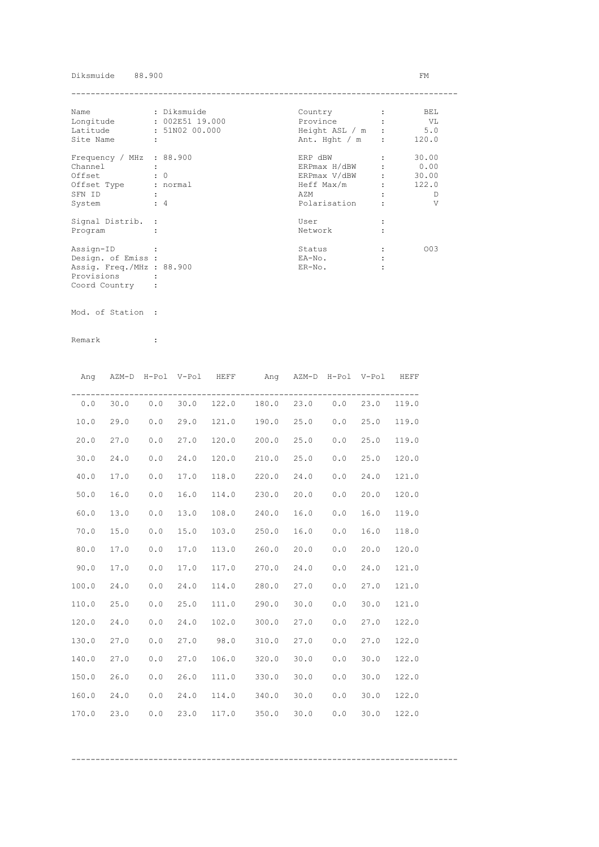### Diksmuide 88.900 FM

| Name                      | : Diksmuide          | Country        |                               | BEL   |
|---------------------------|----------------------|----------------|-------------------------------|-------|
| Longitude                 | : 002E51 19.000      | Province       |                               | - VL  |
| Latitude                  | : 51N02 00.000       | Height ASL / m |                               | 5.0   |
| Site Name                 | $\ddot{\phantom{a}}$ | Ant. Hght / m  | $\mathbf{r}$                  | 120.0 |
| Frequency / MHz : 88.900  |                      | ERP dBW        |                               | 30.00 |
| Channel                   |                      | ERPmax H/dBW   |                               | 0.00  |
| Offset                    | $\colon 0$           | ERPmax V/dBW   | $\mathbf{r}$ and $\mathbf{r}$ | 30.00 |
| Offset Type               | : normal             | Heff Max/m     |                               | 122.0 |
| SFN ID                    |                      | AZM            |                               | Ð     |
| System                    | $\div$ 4             | Polarisation   |                               | V     |
| Signal Distrib. :         |                      | User           |                               |       |
| Program                   |                      | Network        |                               |       |
| Assign-ID                 |                      | Status         |                               | 003   |
| Design. of Emiss :        |                      | EA-No.         |                               |       |
| Assig. Freq./MHz : 88.900 |                      | $ER-NO$ .      |                               |       |
| Provisions                |                      |                |                               |       |
| Coord Country             |                      |                |                               |       |

Mod. of Station :

|       | Ang AZM-D H-Pol V-Pol HEFF |     |      |       | Ang AZM-D H-Pol V-Pol HEFF         |      |     |      |       |
|-------|----------------------------|-----|------|-------|------------------------------------|------|-----|------|-------|
| 0.0   |                            |     |      |       | 30.0 0.0 30.0 122.0 180.0 23.0 0.0 |      |     | 23.0 | 119.0 |
| 10.0  | 29.0                       | 0.0 | 29.0 |       | 121.0 190.0 25.0                   |      | 0.0 | 25.0 | 119.0 |
| 20.0  | 27.0                       | 0.0 | 27.0 |       | 120.0 200.0                        | 25.0 | 0.0 | 25.0 | 119.0 |
| 30.0  | 24.0                       | 0.0 | 24.0 | 120.0 | 210.0                              | 25.0 | 0.0 | 25.0 | 120.0 |
| 40.0  | 17.0                       | 0.0 | 17.0 | 118.0 | 220.0                              | 24.0 | 0.0 | 24.0 | 121.0 |
| 50.0  | 16.0                       | 0.0 | 16.0 | 114.0 | 230.0                              | 20.0 | 0.0 | 20.0 | 120.0 |
| 60.0  | 13.0                       | 0.0 | 13.0 | 108.0 | 240.0                              | 16.0 | 0.0 | 16.0 | 119.0 |
| 70.0  | 15.0                       | 0.0 | 15.0 | 103.0 | 250.0                              | 16.0 | 0.0 | 16.0 | 118.0 |
| 80.0  | 17.0                       | 0.0 | 17.0 |       | 113.0 260.0                        | 20.0 | 0.0 | 20.0 | 120.0 |
| 90.0  | 17.0                       | 0.0 | 17.0 | 117.0 | 270.0                              | 24.0 | 0.0 | 24.0 | 121.0 |
| 100.0 | 24.0                       | 0.0 | 24.0 | 114.0 | 280.0 27.0                         |      | 0.0 | 27.0 | 121.0 |
| 110.0 | 25.0                       | 0.0 | 25.0 |       | 111.0 290.0 30.0                   |      | 0.0 | 30.0 | 121.0 |
| 120.0 | 24.0                       | 0.0 | 24.0 |       | 102.0 300.0 27.0                   |      | 0.0 | 27.0 | 122.0 |
| 130.0 | 27.0                       | 0.0 | 27.0 | 98.0  | 310.0 27.0                         |      | 0.0 | 27.0 | 122.0 |
| 140.0 | 27.0                       | 0.0 | 27.0 |       | 106.0 320.0 30.0                   |      | 0.0 | 30.0 | 122.0 |
| 150.0 | 26.0                       | 0.0 | 26.0 |       | 111.0 330.0 30.0                   |      | 0.0 | 30.0 | 122.0 |
| 160.0 | 24.0                       | 0.0 | 24.0 |       | 114.0 340.0                        | 30.0 | 0.0 | 30.0 | 122.0 |
| 170.0 | 23.0                       | 0.0 | 23.0 |       | 117.0 350.0                        | 30.0 | 0.0 | 30.0 | 122.0 |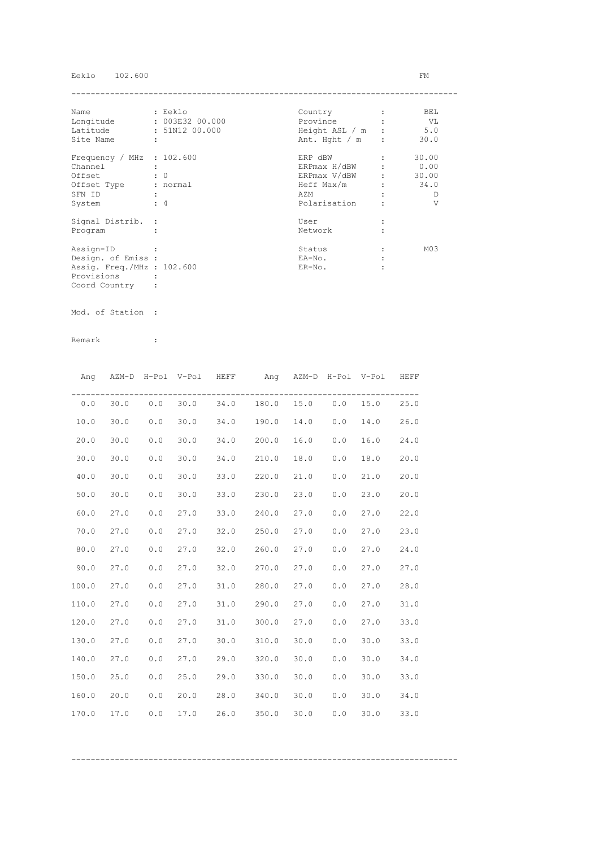## Eeklo 102.600 FM

| Name                        | : Eeklo              | Country          | BEL             |
|-----------------------------|----------------------|------------------|-----------------|
| Longitude                   | : 003E32 00.000      | Province         | VL V            |
| Latitude                    | : 51N12 00.000       | Height ASL / m : | 5.0             |
| Site Name                   | $\ddot{\phantom{a}}$ | Ant. Hght $/m$ : | 30.0            |
| Frequency / MHz : $102.600$ |                      | ERP dBW          | 30.00           |
| Channel                     |                      | ERPmax H/dBW     | 0.00            |
| Offset                      | $\cdot$ 0            | ERPmax V/dBW :   | 30.00           |
| Offset Type                 | : normal             | Heff Max/m       | 34.0            |
| SFN ID                      |                      | AZM              | D               |
| System                      | $\div$ 4             | Polarisation     | V               |
| Signal Distrib. :           |                      | User             |                 |
| Program                     |                      | Network          |                 |
| Assign-ID                   |                      | Status           | M <sub>03</sub> |
| Design. of Emiss :          |                      | EA-No.           |                 |
| Assig. Freq./MHz : 102.600  |                      | $ER-NO$ .        |                 |
| Provisions                  |                      |                  |                 |
| Coord Country               |                      |                  |                 |

Mod. of Station :

|       |      |     | Ang AZM-D H-Pol V-Pol HEFF |      | Ang AZM-D H-Pol V-Pol HEFF              |             |     |      |      |
|-------|------|-----|----------------------------|------|-----------------------------------------|-------------|-----|------|------|
| 0.0   |      |     |                            |      | 30.0  0.0  30.0  34.0  180.0  15.0  0.0 |             |     | 15.0 | 25.0 |
| 10.0  | 30.0 | 0.0 | 30.0                       |      | 34.0 190.0                              | $14.0\ 0.0$ |     | 14.0 | 26.0 |
| 20.0  | 30.0 | 0.0 | 30.0                       |      | $34.0$ 200.0                            | 16.0        | 0.0 | 16.0 | 24.0 |
| 30.0  | 30.0 | 0.0 | 30.0                       |      | 34.0 210.0                              | 18.0        | 0.0 | 18.0 | 20.0 |
| 40.0  | 30.0 | 0.0 | 30.0                       |      | 33.0 220.0                              | 21.0        | 0.0 | 21.0 | 20.0 |
| 50.0  | 30.0 | 0.0 | 30.0                       |      | 33.0 230.0                              | 23.0        | 0.0 | 23.0 | 20.0 |
| 60.0  | 27.0 | 0.0 | 27.0                       | 33.0 | 240.0                                   | 27.0        | 0.0 | 27.0 | 22.0 |
| 70.0  | 27.0 | 0.0 | 27.0                       | 32.0 | 250.0                                   | 27.0        | 0.0 | 27.0 | 23.0 |
| 80.0  | 27.0 | 0.0 | 27.0                       | 32.0 | 260.0                                   | 27.0        | 0.0 | 27.0 | 24.0 |
| 90.0  | 27.0 | 0.0 | 27.0                       |      | 32.0 270.0                              | 27.0        | 0.0 | 27.0 | 27.0 |
| 100.0 | 27.0 | 0.0 | 27.0                       |      | 31.0 280.0                              | 27.0        | 0.0 | 27.0 | 28.0 |
| 110.0 | 27.0 | 0.0 | 27.0                       |      | 31.0 290.0                              | 27.0        | 0.0 | 27.0 | 31.0 |
| 120.0 | 27.0 | 0.0 | 27.0                       |      | 31.0 300.0                              | 27.0        | 0.0 | 27.0 | 33.0 |
| 130.0 | 27.0 | 0.0 | 27.0                       |      | 30.0 310.0                              | 30.0        | 0.0 | 30.0 | 33.0 |
| 140.0 | 27.0 | 0.0 | 27.0                       |      | 29.0 320.0                              | 30.0        | 0.0 | 30.0 | 34.0 |
| 150.0 | 25.0 | 0.0 | 25.0                       |      | 29.0 330.0                              | 30.0        | 0.0 | 30.0 | 33.0 |
| 160.0 | 20.0 | 0.0 | 20.0                       |      | 28.0 340.0                              | 30.0        | 0.0 | 30.0 | 34.0 |
| 170.0 | 17.0 | 0.0 | 17.0                       | 26.0 | 350.0                                   | 30.0        | 0.0 | 30.0 | 33.0 |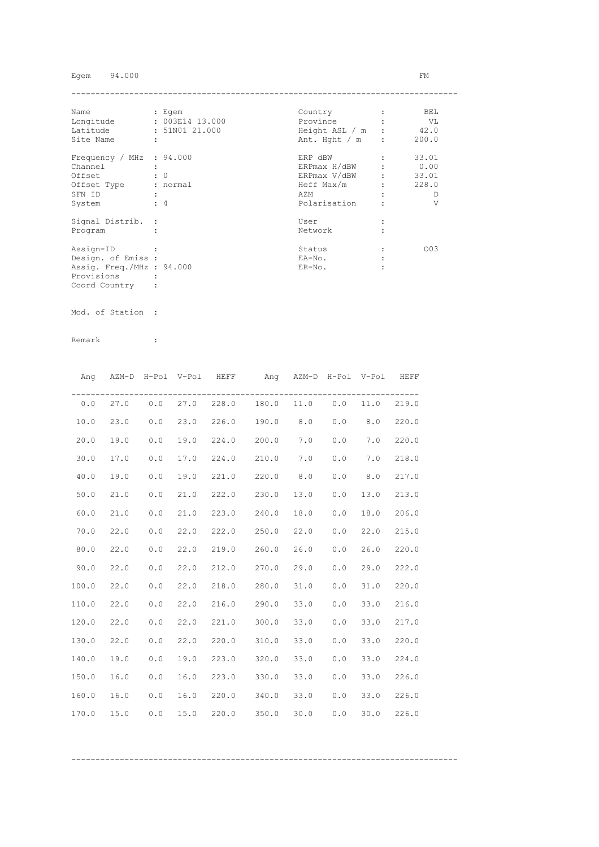## Egem 94.000 FM

| Name                      |   | : Egem          | Country        |              | BEL   |
|---------------------------|---|-----------------|----------------|--------------|-------|
| Longitude                 |   | : 003E14 13.000 | Province       |              | VL    |
| Latitude                  |   | : 51N01 21.000  | Height ASL / m |              | 42.0  |
| Site Name                 | ÷ |                 | Ant. Hght / m  | $\mathbf{r}$ | 200.0 |
| Frequency / MHz : 94.000  |   |                 | ERP dBW        |              | 33.01 |
| Channel                   |   |                 | ERPmax H/dBW   |              | 0.00  |
| Offset                    |   | $\colon 0$      | ERPmax V/dBW   |              | 33.01 |
| Offset Type               |   | : normal        | Heff Max/m     |              | 228.0 |
| SFN ID                    |   |                 | AZM            |              | Ð     |
| System                    |   | $\div$ 4        | Polarisation   |              | V     |
| Signal Distrib. :         |   |                 | User           |              |       |
| Program                   |   |                 | Network        |              |       |
| Assign-ID                 |   |                 | Status         |              | 003   |
| Design. of Emiss :        |   |                 | EA-No.         |              |       |
| Assig. Freq./MHz : 94.000 |   |                 | $ER-NO$ .      |              |       |
| Provisions                |   |                 |                |              |       |
| Coord Country             |   |                 |                |              |       |

Mod. of Station :

Remark :

|       |      |     |      | Ang AZM-D H-Pol V-Pol HEFF | Ang AZM-D H-Pol V-Pol HEFF               |      |     |      |       |
|-------|------|-----|------|----------------------------|------------------------------------------|------|-----|------|-------|
| 0.0   |      |     |      |                            | 27.0  0.0  27.0  228.0  180.0  11.0  0.0 |      |     | 11.0 | 219.0 |
| 10.0  | 23.0 | 0.0 | 23.0 |                            | 226.0 190.0 8.0 0.0                      |      |     | 8.0  | 220.0 |
| 20.0  | 19.0 | 0.0 | 19.0 |                            | 224.0 200.0                              | 7.0  | 0.0 | 7.0  | 220.0 |
| 30.0  | 17.0 | 0.0 | 17.0 |                            | 224.0 210.0                              | 7.0  | 0.0 | 7.0  | 218.0 |
| 40.0  | 19.0 | 0.0 | 19.0 |                            | 221.0 220.0 8.0                          |      | 0.0 | 8.0  | 217.0 |
| 50.0  | 21.0 | 0.0 | 21.0 |                            | 222.0 230.0                              | 13.0 | 0.0 | 13.0 | 213.0 |
| 60.0  | 21.0 | 0.0 | 21.0 |                            | 223.0 240.0                              | 18.0 | 0.0 | 18.0 | 206.0 |
| 70.0  | 22.0 | 0.0 | 22.0 |                            | 222.0 250.0                              | 22.0 | 0.0 | 22.0 | 215.0 |
| 80.0  | 22.0 | 0.0 | 22.0 |                            | 219.0 260.0                              | 26.0 | 0.0 | 26.0 | 220.0 |
| 90.0  | 22.0 | 0.0 | 22.0 |                            | 212.0 270.0                              | 29.0 | 0.0 | 29.0 | 222.0 |
| 100.0 | 22.0 | 0.0 | 22.0 |                            | 218.0 280.0                              | 31.0 | 0.0 | 31.0 | 220.0 |
| 110.0 | 22.0 | 0.0 | 22.0 |                            | 216.0 290.0 33.0                         |      | 0.0 | 33.0 | 216.0 |
| 120.0 | 22.0 | 0.0 | 22.0 |                            | 221.0 300.0                              | 33.0 | 0.0 | 33.0 | 217.0 |
| 130.0 | 22.0 | 0.0 | 22.0 |                            | 220.0 310.0                              | 33.0 | 0.0 | 33.0 | 220.0 |
| 140.0 | 19.0 | 0.0 | 19.0 |                            | 223.0 320.0                              | 33.0 | 0.0 | 33.0 | 224.0 |
| 150.0 | 16.0 | 0.0 | 16.0 |                            | 223.0 330.0 33.0                         |      | 0.0 | 33.0 | 226.0 |
| 160.0 | 16.0 | 0.0 | 16.0 |                            | 220.0 340.0                              | 33.0 | 0.0 | 33.0 | 226.0 |
| 170.0 | 15.0 | 0.0 | 15.0 |                            | 220.0 350.0                              | 30.0 | 0.0 | 30.0 | 226.0 |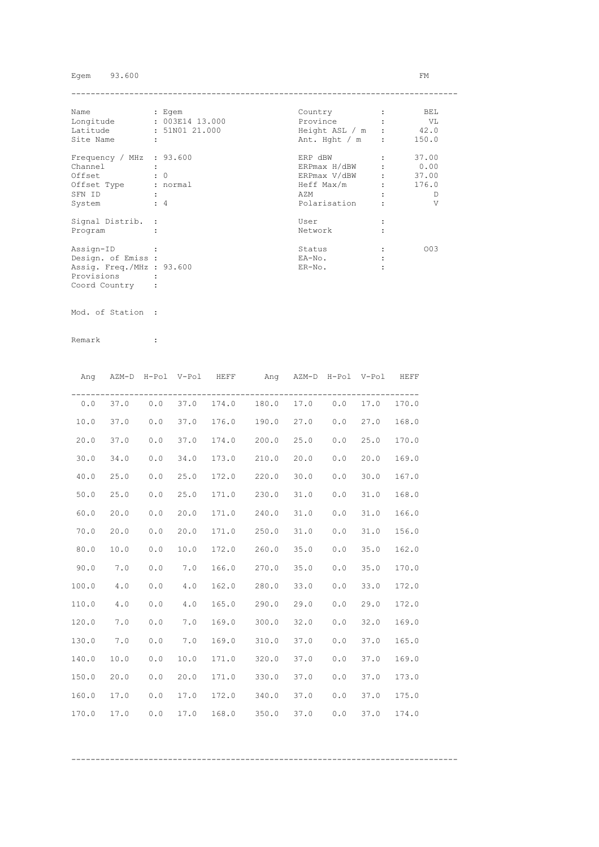## Egem 93.600 FM

| Name                      |   | : Egem          | Country        |              | BEL   |
|---------------------------|---|-----------------|----------------|--------------|-------|
| Longitude                 |   | : 003E14 13.000 | Province       |              | VL    |
| Latitude                  |   | : 51N01 21.000  | Height ASL / m |              | 42.0  |
| Site Name                 | ÷ |                 | Ant. Hght / m  | $\mathbf{r}$ | 150.0 |
| Frequency / MHz : 93.600  |   |                 | ERP dBW        |              | 37.00 |
| Channel                   |   |                 | ERPmax H/dBW   |              | 0.00  |
| Offset                    |   | $\colon 0$      | ERPmax V/dBW   |              | 37.00 |
| Offset Type               |   | : normal        | Heff Max/m     |              | 176.0 |
| SFN ID                    |   |                 | AZM            |              | Ð     |
| System                    |   | $\div$ 4        | Polarisation   |              | V     |
| Signal Distrib. :         |   |                 | User           |              |       |
| Program                   |   |                 | Network        |              |       |
| Assign-ID                 |   |                 | Status         |              | 003   |
| Design. of Emiss :        |   |                 | EA-No.         |              |       |
| Assig. Freq./MHz : 93.600 |   |                 | $ER-NO$ .      |              |       |
| Provisions                |   |                 |                |              |       |
| Coord Country             |   |                 |                |              |       |

Mod. of Station :

| Ang   | AZM-D H-Pol V-Pol HEFF |     |      |       | Ang AZM-D H-Pol V-Pol HEFF      |      |     |      |       |
|-------|------------------------|-----|------|-------|---------------------------------|------|-----|------|-------|
| 0.0   | 37.0                   |     |      |       | $0.0$ 37.0 174.0 180.0 17.0 0.0 |      |     | 17.0 | 170.0 |
| 10.0  | 37.0                   | 0.0 | 37.0 |       | 176.0 190.0                     | 27.0 | 0.0 | 27.0 | 168.0 |
| 20.0  | 37.0                   | 0.0 | 37.0 | 174.0 | 200.0                           | 25.0 | 0.0 | 25.0 | 170.0 |
| 30.0  | 34.0                   | 0.0 | 34.0 | 173.0 | 210.0                           | 20.0 | 0.0 | 20.0 | 169.0 |
| 40.0  | 25.0                   | 0.0 | 25.0 | 172.0 | 220.0                           | 30.0 | 0.0 | 30.0 | 167.0 |
| 50.0  | 25.0                   | 0.0 | 25.0 | 171.0 | 230.0                           | 31.0 | 0.0 | 31.0 | 168.0 |
| 60.0  | 20.0                   | 0.0 | 20.0 | 171.0 | 240.0                           | 31.0 | 0.0 | 31.0 | 166.0 |
| 70.0  | 20.0                   | 0.0 | 20.0 | 171.0 | 250.0                           | 31.0 | 0.0 | 31.0 | 156.0 |
| 80.0  | 10.0                   | 0.0 | 10.0 | 172.0 | 260.0                           | 35.0 | 0.0 | 35.0 | 162.0 |
| 90.0  | 7.0                    | 0.0 | 7.0  | 166.0 | 270.0                           | 35.0 | 0.0 | 35.0 | 170.0 |
| 100.0 | 4.0                    | 0.0 | 4.0  | 162.0 | 280.0                           | 33.0 | 0.0 | 33.0 | 172.0 |
| 110.0 | 4.0                    | 0.0 | 4.0  |       | 165.0 290.0                     | 29.0 | 0.0 | 29.0 | 172.0 |
| 120.0 | 7.0                    | 0.0 | 7.0  |       | 169.0 300.0                     | 32.0 | 0.0 | 32.0 | 169.0 |
| 130.0 | 7.0                    | 0.0 | 7.0  | 169.0 | 310.0                           | 37.0 | 0.0 | 37.0 | 165.0 |
| 140.0 | 10.0                   | 0.0 | 10.0 |       | 171.0 320.0                     | 37.0 | 0.0 | 37.0 | 169.0 |
| 150.0 | 20.0                   | 0.0 | 20.0 |       | 171.0 330.0                     | 37.0 | 0.0 | 37.0 | 173.0 |
| 160.0 | 17.0                   | 0.0 | 17.0 |       | 172.0 340.0                     | 37.0 | 0.0 | 37.0 | 175.0 |
| 170.0 | 17.0                   | 0.0 | 17.0 | 168.0 | 350.0                           | 37.0 | 0.0 | 37.0 | 174.0 |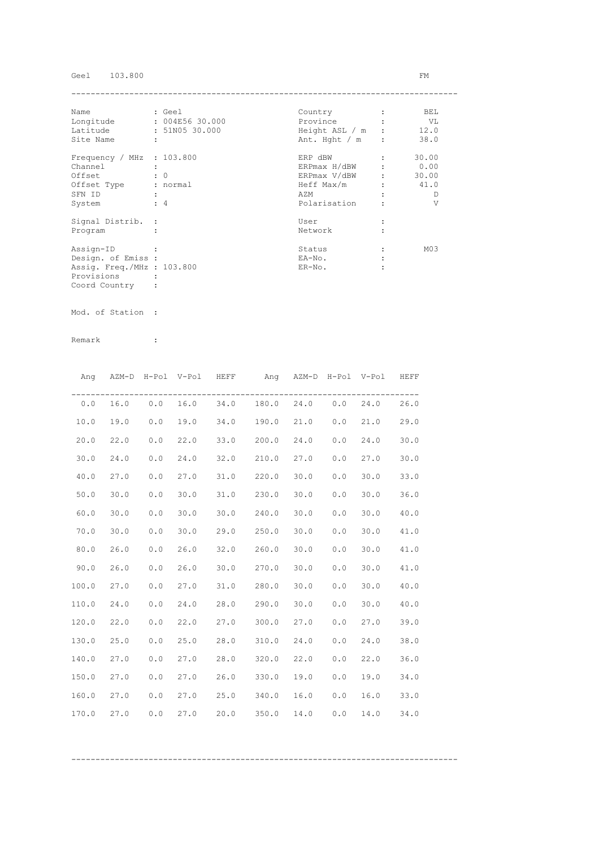# Geel 103.800 FM

| Name                        |   | : Geel          | Country          | BEL             |
|-----------------------------|---|-----------------|------------------|-----------------|
| Longitude                   |   | : 004E56 30.000 | Province         | VL V            |
| Latitude                    |   | : 51N05 30.000  | Height ASL / m : | 12.0            |
| Site Name                   | ÷ |                 | Ant. Hght $/m$ : | 38.0            |
| Frequency / MHz : $103.800$ |   |                 | ERP dBW          | 30.00           |
| Channel                     |   |                 | ERPmax H/dBW     | 0.00            |
| Offset                      |   | $\colon 0$      | ERPmax V/dBW     | 30.00           |
| Offset Type                 |   | : normal        | Heff Max/m       | 41.0            |
| SFN ID                      |   |                 | AZM              | D               |
| System                      |   | $\div$ 4        | Polarisation     | V               |
| Signal Distrib. :           |   |                 | User             |                 |
| Program                     |   |                 | Network          |                 |
| Assign-ID                   |   |                 | Status           | M <sub>03</sub> |
| Design. of Emiss :          |   |                 | EA-No.           |                 |
| Assig. Freq./MHz : 103.800  |   |                 | $ER-NO$ .        |                 |
| Provisions                  |   |                 |                  |                 |
| Coord Country               |   |                 |                  |                 |

Mod. of Station :

Remark :

|       | Ang AZM-D H-Pol V-Pol HEFF |     |      | Ang AZM-D H-Pol V-Pol HEFF        |      |     |      |      |
|-------|----------------------------|-----|------|-----------------------------------|------|-----|------|------|
| 0.0   |                            |     |      | 16.0 0.0 16.0 34.0 180.0 24.0 0.0 |      |     | 24.0 | 26.0 |
| 10.0  | 19.0                       | 0.0 | 19.0 | 34.0 190.0 21.0                   |      | 0.0 | 21.0 | 29.0 |
| 20.0  | 22.0                       | 0.0 | 22.0 | 33.0 200.0                        | 24.0 | 0.0 | 24.0 | 30.0 |
| 30.0  | 24.0                       | 0.0 | 24.0 | $32.0$ $210.0$                    | 27.0 | 0.0 | 27.0 | 30.0 |
| 40.0  | 27.0                       | 0.0 | 27.0 | 31.0 220.0                        | 30.0 | 0.0 | 30.0 | 33.0 |
| 50.0  | 30.0                       | 0.0 | 30.0 | $31.0$ 230.0                      | 30.0 | 0.0 | 30.0 | 36.0 |
| 60.0  | 30.0                       | 0.0 | 30.0 | $30.0$ 240.0                      | 30.0 | 0.0 | 30.0 | 40.0 |
| 70.0  | 30.0                       | 0.0 | 30.0 | 29.0 250.0                        | 30.0 | 0.0 | 30.0 | 41.0 |
| 80.0  | 26.0                       | 0.0 | 26.0 | 32.0 260.0                        | 30.0 | 0.0 | 30.0 | 41.0 |
| 90.0  | 26.0                       | 0.0 | 26.0 | $30.0$ 270.0                      | 30.0 | 0.0 | 30.0 | 41.0 |
| 100.0 | 27.0                       | 0.0 | 27.0 | 31.0 280.0                        | 30.0 | 0.0 | 30.0 | 40.0 |
| 110.0 | 24.0                       | 0.0 | 24.0 | 28.0 290.0                        | 30.0 | 0.0 | 30.0 | 40.0 |
| 120.0 | 22.0                       | 0.0 | 22.0 | 27.0 300.0                        | 27.0 | 0.0 | 27.0 | 39.0 |
| 130.0 | 25.0                       | 0.0 | 25.0 | 28.0 310.0                        | 24.0 | 0.0 | 24.0 | 38.0 |
| 140.0 | 27.0                       | 0.0 | 27.0 | 28.0 320.0                        | 22.0 | 0.0 | 22.0 | 36.0 |
| 150.0 | 27.0                       | 0.0 | 27.0 | 26.0 330.0                        | 19.0 | 0.0 | 19.0 | 34.0 |
| 160.0 | 27.0                       | 0.0 | 27.0 | 25.0 340.0                        | 16.0 | 0.0 | 16.0 | 33.0 |
| 170.0 | 27.0                       | 0.0 | 27.0 | 20.0 350.0                        | 14.0 | 0.0 | 14.0 | 34.0 |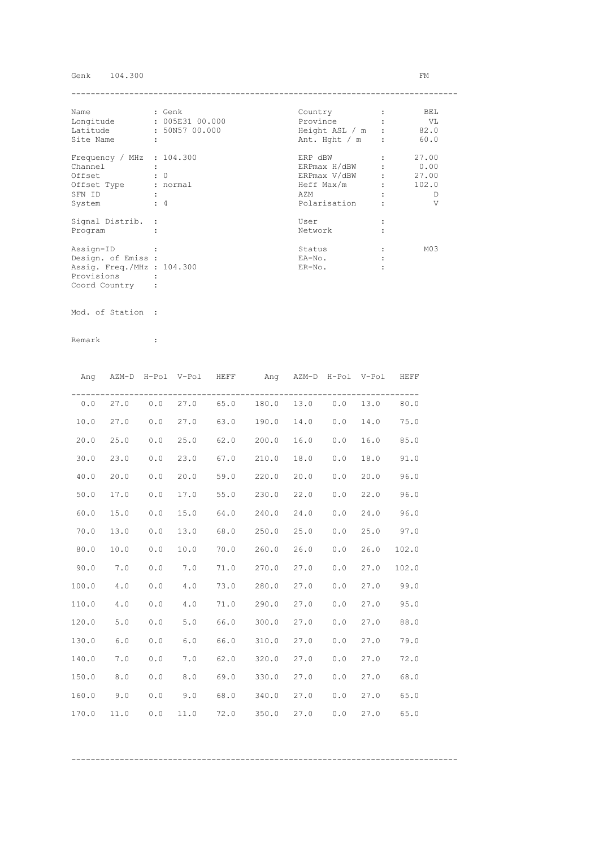## Genk 104.300 FM

| Name                        | : Genk          | Country          | BEL             |
|-----------------------------|-----------------|------------------|-----------------|
| Longitude                   | : 005E31 00.000 | Province         | VL              |
| Latitude                    | : 50N57 00.000  | Height ASL / m : | 82.0            |
| Site Name                   | ÷               | Ant. Hght $/m$ : | 60.0            |
| Frequency / MHz : $104.300$ |                 | ERP dBW          | 27.00           |
| Channel                     |                 | ERPmax H/dBW     | 0.00            |
| Offset                      | $\colon 0$      | ERPmax V/dBW     | 27.00           |
| Offset Type                 | : normal        | Heff Max/m       | 102.0           |
| SFN ID                      |                 | AZM              | D               |
| System                      | $\div$ 4        | Polarisation     | V               |
| Signal Distrib. :           |                 | User             |                 |
| Program                     |                 | Network          |                 |
| Assign-ID                   |                 | Status           | M <sub>03</sub> |
| Design. of Emiss :          |                 | EA-No.           |                 |
| Assig. Freq./MHz : 104.300  |                 | $ER-NO$ .        |                 |
| Provisions                  |                 |                  |                 |
| Coord Country               |                 |                  |                 |

Mod. of Station :

|       | Ang AZM-D H-Pol V-Pol HEFF |     |      |      | Ang AZM-D H-Pol V-Pol                     |            |     |      | HEFF  |
|-------|----------------------------|-----|------|------|-------------------------------------------|------------|-----|------|-------|
|       |                            |     |      |      | $0.0$ 27.0 $0.0$ 27.0 65.0 180.0 13.0 0.0 |            |     | 13.0 | 80.0  |
| 10.0  | 27.0                       | 0.0 | 27.0 |      | 63.0 190.0                                | 14.0       | 0.0 | 14.0 | 75.0  |
| 20.0  | 25.0                       | 0.0 | 25.0 |      | $62.0$ 200.0                              | 16.0       | 0.0 | 16.0 | 85.0  |
| 30.0  | 23.0                       | 0.0 | 23.0 |      | $67.0$ 210.0                              | 18.0       | 0.0 | 18.0 | 91.0  |
| 40.0  | 20.0                       | 0.0 | 20.0 |      | 59.0 220.0                                | 20.0       | 0.0 | 20.0 | 96.0  |
| 50.0  | 17.0                       | 0.0 | 17.0 |      | 55.0 230.0                                | 22.0       | 0.0 | 22.0 | 96.0  |
| 60.0  | 15.0                       | 0.0 | 15.0 | 64.0 | 240.0                                     | 24.0       | 0.0 | 24.0 | 96.0  |
| 70.0  | 13.0                       | 0.0 | 13.0 | 68.0 | 250.0                                     | 25.0       | 0.0 | 25.0 | 97.0  |
| 80.0  | 10.0                       | 0.0 | 10.0 |      | 70.0 260.0                                | 26.0       | 0.0 | 26.0 | 102.0 |
| 90.0  | 7.0                        | 0.0 | 7.0  |      | 71.0 270.0 27.0                           |            | 0.0 | 27.0 | 102.0 |
| 100.0 | 4.0                        | 0.0 | 4.0  |      | 73.0 280.0 27.0                           |            | 0.0 | 27.0 | 99.0  |
| 110.0 | 4.0                        | 0.0 | 4.0  |      | 71.0 290.0 27.0                           |            | 0.0 | 27.0 | 95.0  |
| 120.0 | 5.0                        | 0.0 | 5.0  | 66.0 |                                           | 300.0 27.0 | 0.0 | 27.0 | 88.0  |
| 130.0 | 6.0                        | 0.0 | 6.0  | 66.0 | 310.0                                     | 27.0       | 0.0 | 27.0 | 79.0  |
| 140.0 | 7.0                        | 0.0 | 7.0  | 62.0 | 320.0                                     | 27.0       | 0.0 | 27.0 | 72.0  |
| 150.0 | 8.0                        | 0.0 | 8.0  |      | 69.0 330.0                                | 27.0       | 0.0 | 27.0 | 68.0  |
| 160.0 | 9.0                        | 0.0 | 9.0  | 68.0 | 340.0                                     | 27.0       | 0.0 | 27.0 | 65.0  |
| 170.0 | 11.0                       | 0.0 | 11.0 | 72.0 | 350.0                                     | 27.0       | 0.0 | 27.0 | 65.0  |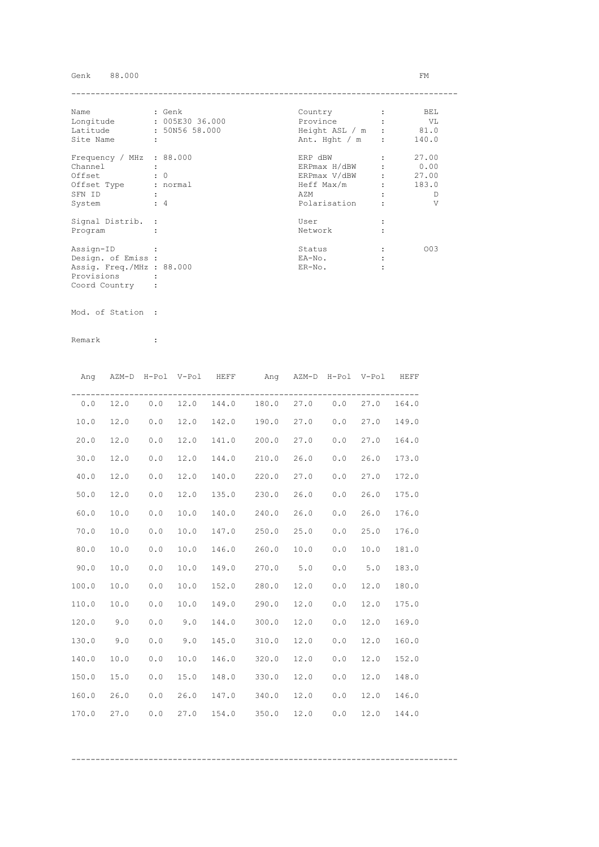## Genk 88.000 FM

| Name                      | : Genk               | Country                |                               | BEL   |
|---------------------------|----------------------|------------------------|-------------------------------|-------|
| Longitude                 | : 005E30 36.000      | Province               |                               | VL    |
| Latitude                  | : 50N56 58.000       | Height ASL $/m$ : 81.0 |                               |       |
| Site Name                 | $\ddot{\phantom{a}}$ | Ant. Hght / m          | $\mathbf{r}$                  | 140.0 |
| Frequency / MHz : 88.000  |                      | ERP dBW                |                               | 27.00 |
| Channel                   |                      | ERPmax H/dBW           |                               | 0.00  |
| Offset                    | $\colon 0$           | ERPmax V/dBW           | $\mathbf{r}$ and $\mathbf{r}$ | 27.00 |
| Offset Type               | : normal             | Heff Max/m             |                               | 183.0 |
| SFN ID                    |                      | AZM                    |                               | Ð     |
| System                    | $\div$ 4             | Polarisation           |                               | V     |
| Signal Distrib. :         |                      | User                   |                               |       |
| Program                   |                      | Network                |                               |       |
| Assign-ID                 |                      | Status                 |                               | 003   |
| Design. of Emiss :        |                      | EA-No.                 |                               |       |
| Assig. Freq./MHz : 88.000 |                      | $ER-NO$ .              |                               |       |
| Provisions                |                      |                        |                               |       |
| Coord Country             |                      |                        |                               |       |

Mod. of Station :

|       |      |     |      | Ang AZM-D H-Pol V-Pol HEFF | Ang AZM-D H-Pol V-Pol HEFF      |      |     |      |       |
|-------|------|-----|------|----------------------------|---------------------------------|------|-----|------|-------|
| 0.0   | 12.0 |     |      |                            | $0.0$ 12.0 144.0 180.0 27.0 0.0 |      |     | 27.0 | 164.0 |
| 10.0  | 12.0 | 0.0 | 12.0 |                            | 142.0 190.0 27.0 0.0            |      |     | 27.0 | 149.0 |
| 20.0  | 12.0 | 0.0 | 12.0 |                            | 141.0 200.0                     | 27.0 | 0.0 | 27.0 | 164.0 |
| 30.0  | 12.0 | 0.0 | 12.0 |                            | 144.0 210.0                     | 26.0 | 0.0 | 26.0 | 173.0 |
| 40.0  | 12.0 | 0.0 | 12.0 | 140.0                      | 220.0                           | 27.0 | 0.0 | 27.0 | 172.0 |
| 50.0  | 12.0 | 0.0 | 12.0 |                            | 135.0 230.0                     | 26.0 | 0.0 | 26.0 | 175.0 |
| 60.0  | 10.0 | 0.0 | 10.0 | 140.0                      | 240.0                           | 26.0 | 0.0 | 26.0 | 176.0 |
| 70.0  | 10.0 | 0.0 | 10.0 | 147.0                      | 250.0                           | 25.0 | 0.0 | 25.0 | 176.0 |
| 80.0  | 10.0 | 0.0 | 10.0 |                            | 146.0 260.0                     | 10.0 | 0.0 | 10.0 | 181.0 |
| 90.0  | 10.0 | 0.0 | 10.0 |                            | 149.0 270.0 5.0                 |      | 0.0 | 5.0  | 183.0 |
| 100.0 | 10.0 | 0.0 | 10.0 |                            | 152.0 280.0                     | 12.0 | 0.0 | 12.0 | 180.0 |
| 110.0 | 10.0 | 0.0 | 10.0 |                            | 149.0 290.0                     | 12.0 | 0.0 | 12.0 | 175.0 |
| 120.0 | 9.0  | 0.0 | 9.0  |                            | 144.0 300.0                     | 12.0 | 0.0 | 12.0 | 169.0 |
| 130.0 | 9.0  | 0.0 | 9.0  |                            | 145.0 310.0                     | 12.0 | 0.0 | 12.0 | 160.0 |
| 140.0 | 10.0 | 0.0 | 10.0 |                            | 146.0 320.0                     | 12.0 | 0.0 | 12.0 | 152.0 |
| 150.0 | 15.0 | 0.0 | 15.0 |                            | 148.0 330.0                     | 12.0 | 0.0 | 12.0 | 148.0 |
| 160.0 | 26.0 | 0.0 | 26.0 |                            | 147.0 340.0                     | 12.0 | 0.0 | 12.0 | 146.0 |
| 170.0 | 27.0 | 0.0 | 27.0 |                            | 154.0 350.0                     | 12.0 | 0.0 | 12.0 | 144.0 |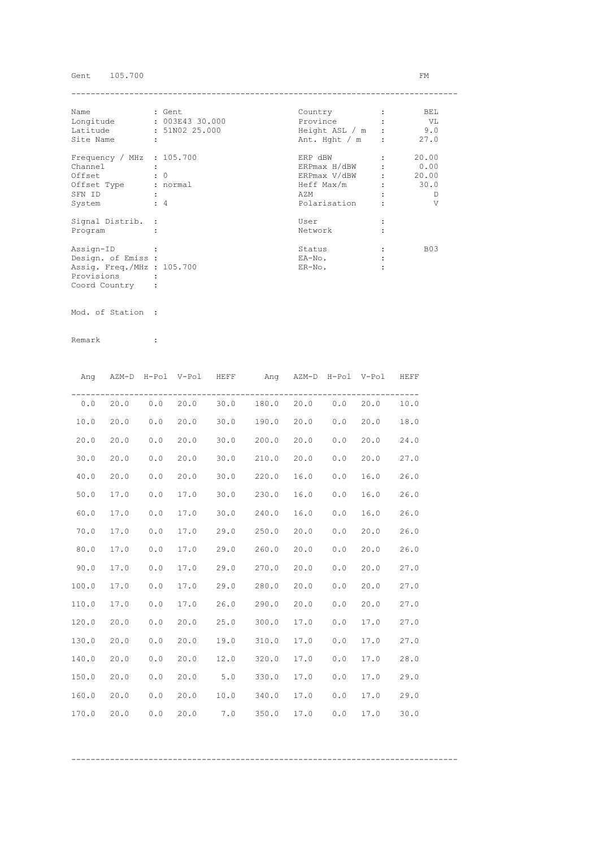# Gent 105.700 FM

| Name                        |   | : Gent          | Country          | BEL        |
|-----------------------------|---|-----------------|------------------|------------|
| Longitude                   |   | : 003E43 30.000 | Province         | VL V       |
| Latitude                    |   | : 51N02 25.000  | Height ASL / m : | 9.0        |
| Site Name                   | ÷ |                 | Ant. Hght $/m$ : | 27.0       |
| Frequency / MHz : $105.700$ |   |                 | ERP dBW          | 20.00      |
| Channel                     |   |                 | ERPmax H/dBW     | 0.00       |
| Offset                      |   | $\colon 0$      | ERPmax V/dBW     | 20.00      |
| Offset Type                 |   | : normal        | Heff Max/m       | 30.0       |
| SFN ID                      |   |                 | AZM              | D          |
| System                      |   | $\div$ 4        | Polarisation     | V          |
| Signal Distrib. :           |   |                 | User             |            |
| Program                     |   |                 | Network          |            |
| Assign-ID                   |   |                 | Status           | <b>B03</b> |
| Design. of Emiss :          |   |                 | EA-No.           |            |
| Assig. Freq./MHz : 105.700  |   |                 | $ER-NO$ .        |            |
| Provisions                  |   |                 |                  |            |
| Coord Country               |   |                 |                  |            |

Mod. of Station :

Remark :

|       |          |       | Ang AZM-D H-Pol V-Pol HEFF |      | Ang AZM-D H-Pol V-Pol          |      |     |      | HEFF |
|-------|----------|-------|----------------------------|------|--------------------------------|------|-----|------|------|
|       | 0.0 20.0 |       |                            |      | $0.0$ 20.0 30.0 180.0 20.0 0.0 |      |     | 20.0 | 10.0 |
| 10.0  | 20.0     | 0.0   | 20.0                       |      | 30.0 190.0 20.0                |      | 0.0 | 20.0 | 18.0 |
| 20.0  | 20.0     | 0.0   | 20.0                       | 30.0 | 200.0                          | 20.0 | 0.0 | 20.0 | 24.0 |
| 30.0  | 20.0     | 0.0   | 20.0                       |      | $30.0$ $210.0$                 | 20.0 | 0.0 | 20.0 | 27.0 |
| 40.0  | 20.0     | 0.0   | 20.0                       | 30.0 | 220.0                          | 16.0 | 0.0 | 16.0 | 26.0 |
| 50.0  | 17.0     | 0.0   | 17.0                       | 30.0 | 230.0                          | 16.0 | 0.0 | 16.0 | 26.0 |
| 60.0  | 17.0     | 0.0   | 17.0                       | 30.0 | 240.0                          | 16.0 | 0.0 | 16.0 | 26.0 |
| 70.0  | 17.0     | 0.0   | 17.0                       | 29.0 | 250.0                          | 20.0 | 0.0 | 20.0 | 26.0 |
| 80.0  | 17.0     | 0.0   | 17.0                       | 29.0 | 260.0                          | 20.0 | 0.0 | 20.0 | 26.0 |
| 90.0  | 17.0     | $0.0$ | 17.0                       |      | 29.0 270.0                     | 20.0 | 0.0 | 20.0 | 27.0 |
| 100.0 | 17.0     | 0.0   | 17.0                       |      | 29.0 280.0                     | 20.0 | 0.0 | 20.0 | 27.0 |
| 110.0 | 17.0     | 0.0   | 17.0                       |      | 26.0 290.0                     | 20.0 | 0.0 | 20.0 | 27.0 |
| 120.0 | 20.0     | 0.0   | 20.0                       | 25.0 | 300.0                          | 17.0 | 0.0 | 17.0 | 27.0 |
| 130.0 | 20.0     | 0.0   | 20.0                       | 19.0 | 310.0                          | 17.0 | 0.0 | 17.0 | 27.0 |
| 140.0 | 20.0     | 0.0   | 20.0                       | 12.0 | 320.0                          | 17.0 | 0.0 | 17.0 | 28.0 |
| 150.0 | 20.0     | 0.0   | 20.0                       | 5.0  | 330.0                          | 17.0 | 0.0 | 17.0 | 29.0 |
| 160.0 | 20.0     | 0.0   | 20.0                       | 10.0 | 340.0                          | 17.0 | 0.0 | 17.0 | 29.0 |
| 170.0 | 20.0     | 0.0   | 20.0                       | 7.0  | 350.0                          | 17.0 | 0.0 | 17.0 | 30.0 |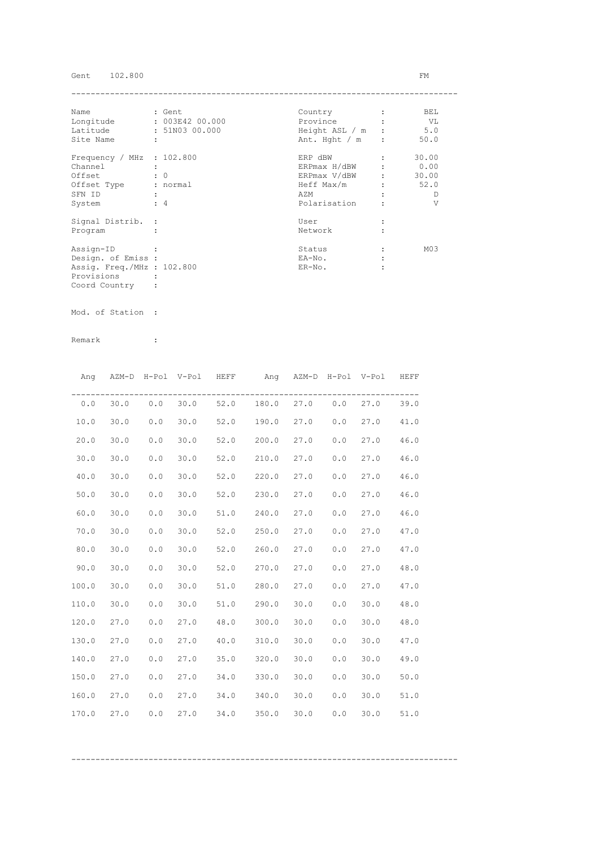# Gent 102.800 FM

| Name                        | : Gent          | Country          | BEL             |
|-----------------------------|-----------------|------------------|-----------------|
| Longitude                   | : 003E42 00.000 | Province         | VL V            |
| Latitude                    | : 51N03 00.000  | Height ASL / m : | 5.0             |
| Site Name                   | ÷               | Ant. Hght $/m$ : | 50.0            |
| Frequency / MHz : $102.800$ |                 | ERP dBW          | 30.00           |
| Channel                     |                 | ERPmax H/dBW     | 0.00            |
| Offset                      | $\colon 0$      | ERPmax V/dBW     | 30.00           |
| Offset Type                 | : normal        | Heff Max/m       | 52.0            |
| SFN ID                      |                 | AZM              | D               |
| System                      | $\div$ 4        | Polarisation     | V               |
| Signal Distrib. :           |                 | User             |                 |
| Program                     |                 | Network          |                 |
| Assign-ID                   |                 | Status           | M <sub>03</sub> |
| Design. of Emiss :          |                 | EA-No.           |                 |
| Assig. Freq./MHz : 102.800  |                 | $ER-NO$ .        |                 |
| Provisions                  |                 |                  |                 |
| Coord Country               |                 |                  |                 |

Mod. of Station :

Remark :

| Ang   |      |       | AZM-D H-Pol V-Pol HEFF |      | Ang AZM-D H-Pol V-Pol HEFF        |      |     |      |      |
|-------|------|-------|------------------------|------|-----------------------------------|------|-----|------|------|
| 0.0   |      |       |                        |      | 30.0 0.0 30.0 52.0 180.0 27.0 0.0 |      |     | 27.0 | 39.0 |
| 10.0  | 30.0 | $0.0$ | 30.0                   |      | 52.0 190.0                        | 27.0 | 0.0 | 27.0 | 41.0 |
| 20.0  | 30.0 | 0.0   | 30.0                   |      | 52.0 200.0                        | 27.0 | 0.0 | 27.0 | 46.0 |
| 30.0  | 30.0 | 0.0   | 30.0                   |      | 52.0 210.0                        | 27.0 | 0.0 | 27.0 | 46.0 |
| 40.0  | 30.0 | 0.0   | 30.0                   |      | 52.0 220.0                        | 27.0 | 0.0 | 27.0 | 46.0 |
| 50.0  | 30.0 | 0.0   | 30.0                   | 52.0 | 230.0                             | 27.0 | 0.0 | 27.0 | 46.0 |
| 60.0  | 30.0 | 0.0   | 30.0                   |      | 51.0 240.0                        | 27.0 | 0.0 | 27.0 | 46.0 |
| 70.0  | 30.0 | 0.0   | 30.0                   |      | 52.0 250.0                        | 27.0 | 0.0 | 27.0 | 47.0 |
| 80.0  | 30.0 | 0.0   | 30.0                   | 52.0 | 260.0                             | 27.0 | 0.0 | 27.0 | 47.0 |
| 90.0  | 30.0 | 0.0   | 30.0                   |      | 52.0 270.0                        | 27.0 | 0.0 | 27.0 | 48.0 |
| 100.0 | 30.0 | 0.0   | 30.0                   |      | 51.0 280.0                        | 27.0 | 0.0 | 27.0 | 47.0 |
| 110.0 | 30.0 | 0.0   | 30.0                   |      | 51.0 290.0                        | 30.0 | 0.0 | 30.0 | 48.0 |
| 120.0 | 27.0 | 0.0   | 27.0                   |      | 48.0 300.0                        | 30.0 | 0.0 | 30.0 | 48.0 |
| 130.0 | 27.0 | 0.0   | 27.0                   | 40.0 | 310.0                             | 30.0 | 0.0 | 30.0 | 47.0 |
| 140.0 | 27.0 | 0.0   | 27.0                   | 35.0 | 320.0                             | 30.0 | 0.0 | 30.0 | 49.0 |
| 150.0 | 27.0 | 0.0   | 27.0                   | 34.0 | 330.0                             | 30.0 | 0.0 | 30.0 | 50.0 |
| 160.0 | 27.0 | 0.0   | 27.0                   | 34.0 | 340.0                             | 30.0 | 0.0 | 30.0 | 51.0 |
| 170.0 | 27.0 | 0.0   | 27.0                   | 34.0 | 350.0                             | 30.0 | 0.0 | 30.0 | 51.0 |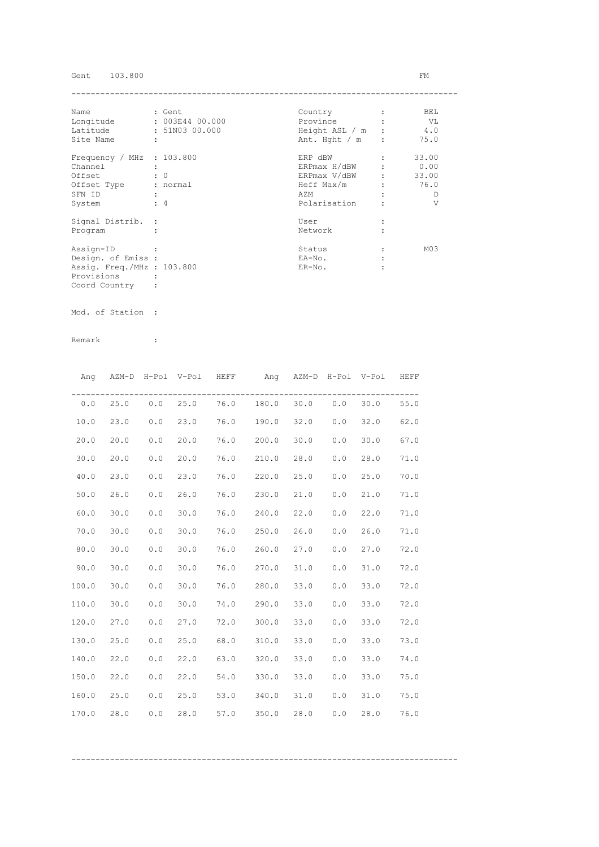# Gent 103.800 FM

| Name                        |   | : Gent          | Country          | BEL             |
|-----------------------------|---|-----------------|------------------|-----------------|
| Longitude                   |   | : 003E44 00.000 | Province         | VL V            |
| Latitude                    |   | : 51N03 00.000  | Height ASL / m : | 4.0             |
| Site Name                   | ÷ |                 | Ant. Hght $/m$ : | 75.0            |
| Frequency / MHz : $103.800$ |   |                 | ERP dBW          | 33.00           |
| Channel                     |   |                 | ERPmax H/dBW     | 0.00            |
| Offset                      |   | $\colon 0$      | ERPmax V/dBW     | 33.00           |
| Offset Type                 |   | : normal        | Heff Max/m       | 76.0            |
| SFN ID                      |   |                 | AZM              | D               |
| System                      |   | $\div$ 4        | Polarisation     | V               |
| Signal Distrib. :           |   |                 | User             |                 |
| Program                     |   |                 | Network          |                 |
| Assign-ID                   |   |                 | Status           | M <sub>03</sub> |
| Design. of Emiss :          |   |                 | EA-No.           |                 |
| Assig. Freq./MHz : 103.800  |   |                 | $ER-NO$ .        |                 |
| Provisions                  |   |                 |                  |                 |
| Coord Country               |   |                 |                  |                 |

Mod. of Station :

Remark :

|       | Ang AZM-D H-Pol V-Pol HEFF |     |      |      | Ang AZM-D H-Pol V-Pol HEFF              |      |     |      |      |
|-------|----------------------------|-----|------|------|-----------------------------------------|------|-----|------|------|
|       |                            |     |      |      | $0.0$ 25.0 0.0 25.0 76.0 180.0 30.0 0.0 |      |     | 30.0 | 55.0 |
| 10.0  | 23.0                       | 0.0 | 23.0 |      | 76.0 190.0                              | 32.0 | 0.0 | 32.0 | 62.0 |
| 20.0  | 20.0                       | 0.0 | 20.0 |      | 76.0 200.0                              | 30.0 | 0.0 | 30.0 | 67.0 |
| 30.0  | 20.0                       | 0.0 | 20.0 |      | 76.0 210.0                              | 28.0 | 0.0 | 28.0 | 71.0 |
| 40.0  | 23.0                       | 0.0 | 23.0 |      | 76.0 220.0                              | 25.0 | 0.0 | 25.0 | 70.0 |
| 50.0  | 26.0                       | 0.0 | 26.0 |      | 76.0 230.0                              | 21.0 | 0.0 | 21.0 | 71.0 |
| 60.0  | 30.0                       | 0.0 | 30.0 | 76.0 | 240.0                                   | 22.0 | 0.0 | 22.0 | 71.0 |
| 70.0  | 30.0                       | 0.0 | 30.0 | 76.0 | 250.0                                   | 26.0 | 0.0 | 26.0 | 71.0 |
| 80.0  | 30.0                       | 0.0 | 30.0 |      | 76.0 260.0                              | 27.0 | 0.0 | 27.0 | 72.0 |
| 90.0  | 30.0                       | 0.0 | 30.0 |      | 76.0 270.0                              | 31.0 | 0.0 | 31.0 | 72.0 |
| 100.0 | 30.0                       | 0.0 | 30.0 |      | 76.0 280.0                              | 33.0 | 0.0 | 33.0 | 72.0 |
| 110.0 | 30.0                       | 0.0 | 30.0 |      | 74.0 290.0                              | 33.0 | 0.0 | 33.0 | 72.0 |
| 120.0 | 27.0                       | 0.0 | 27.0 |      | 72.0 300.0                              | 33.0 | 0.0 | 33.0 | 72.0 |
| 130.0 | 25.0                       | 0.0 | 25.0 | 68.0 | 310.0                                   | 33.0 | 0.0 | 33.0 | 73.0 |
| 140.0 | 22.0                       | 0.0 | 22.0 |      | 63.0 320.0                              | 33.0 | 0.0 | 33.0 | 74.0 |
| 150.0 | 22.0                       | 0.0 | 22.0 |      | 54.0 330.0                              | 33.0 | 0.0 | 33.0 | 75.0 |
| 160.0 | 25.0                       | 0.0 | 25.0 |      | 53.0 340.0                              | 31.0 | 0.0 | 31.0 | 75.0 |
| 170.0 | 28.0                       | 0.0 | 28.0 | 57.0 | 350.0                                   | 28.0 | 0.0 | 28.0 | 76.0 |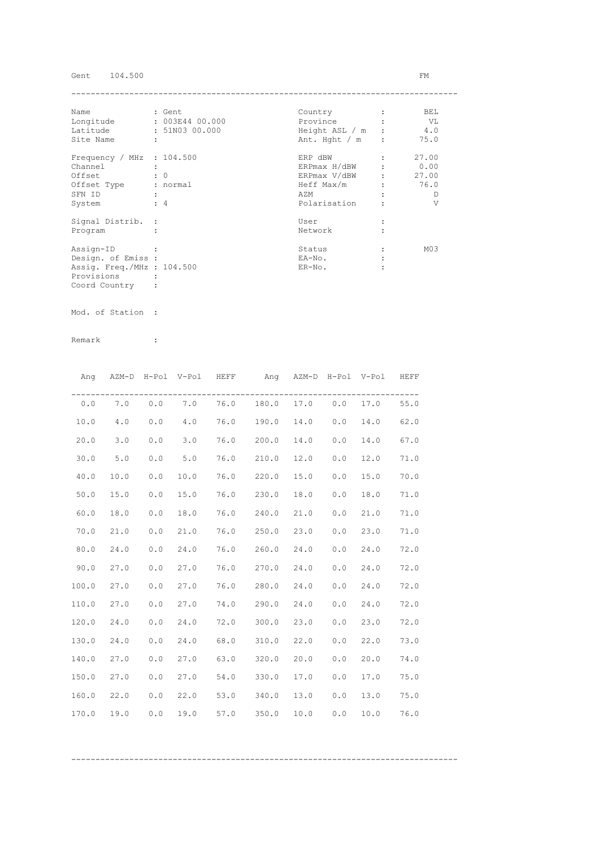# Gent 104.500 FM

| Name                        | : Gent               | Country        | BEL             |
|-----------------------------|----------------------|----------------|-----------------|
| Longitude                   | : 003E44 00.000      | Province       | VL V            |
| Latitude                    | : 51N03 00.000       | Height ASL / m | 4.0             |
| Site Name                   | $\ddot{\phantom{a}}$ | Ant. Hght / m  | 75.0            |
| Frequency / MHz : $104.500$ |                      | ERP dBW        | 27.00           |
| Channel                     |                      | ERPmax H/dBW   | 0.00            |
| Offset                      | $\colon 0$           | ERPmax V/dBW   | 27.00           |
| Offset Type                 | : normal             | Heff Max/m     | 76.0            |
| SFN ID                      |                      | AZM            | Ð               |
| System                      | $\div$ 4             | Polarisation   | V               |
| Signal Distrib. :           |                      | User           |                 |
| Program                     |                      | Network        |                 |
| Assign-ID                   |                      | Status         | M <sub>03</sub> |
| Design. of Emiss :          |                      | EA-No.         |                 |
| Assig. Freq./MHz : 104.500  |                      | $ER-NO$ .      |                 |
| Provisions                  |                      |                |                 |
| Coord Country               |                      |                |                 |

Mod. of Station :

| Ang   |      |     | AZM-D H-Pol V-Pol | HEFF |       |      |     | Ang AZM-D H-Pol V-Pol | HEFF |
|-------|------|-----|-------------------|------|-------|------|-----|-----------------------|------|
| 0.0   | 7.0  | 0.0 | 7.0               | 76.0 | 180.0 | 17.0 | 0.0 | 17.0                  | 55.0 |
| 10.0  | 4.0  | 0.0 | 4.0               | 76.0 | 190.0 | 14.0 | 0.0 | 14.0                  | 62.0 |
| 20.0  | 3.0  | 0.0 | 3.0               | 76.0 | 200.0 | 14.0 | 0.0 | 14.0                  | 67.0 |
| 30.0  | 5.0  | 0.0 | 5.0               | 76.0 | 210.0 | 12.0 | 0.0 | 12.0                  | 71.0 |
| 40.0  | 10.0 | 0.0 | 10.0              | 76.0 | 220.0 | 15.0 | 0.0 | 15.0                  | 70.0 |
| 50.0  | 15.0 | 0.0 | 15.0              | 76.0 | 230.0 | 18.0 | 0.0 | 18.0                  | 71.0 |
| 60.0  | 18.0 | 0.0 | 18.0              | 76.0 | 240.0 | 21.0 | 0.0 | 21.0                  | 71.0 |
| 70.0  | 21.0 | 0.0 | 21.0              | 76.0 | 250.0 | 23.0 | 0.0 | 23.0                  | 71.0 |
| 80.0  | 24.0 | 0.0 | 24.0              | 76.0 | 260.0 | 24.0 | 0.0 | 24.0                  | 72.0 |
| 90.0  | 27.0 | 0.0 | 27.0              | 76.0 | 270.0 | 24.0 | 0.0 | 24.0                  | 72.0 |
| 100.0 | 27.0 | 0.0 | 27.0              | 76.0 | 280.0 | 24.0 | 0.0 | 24.0                  | 72.0 |
| 110.0 | 27.0 | 0.0 | 27.0              | 74.0 | 290.0 | 24.0 | 0.0 | 24.0                  | 72.0 |
| 120.0 | 24.0 | 0.0 | 24.0              | 72.0 | 300.0 | 23.0 | 0.0 | 23.0                  | 72.0 |
| 130.0 | 24.0 | 0.0 | 24.0              | 68.0 | 310.0 | 22.0 | 0.0 | 22.0                  | 73.0 |
| 140.0 | 27.0 | 0.0 | 27.0              | 63.0 | 320.0 | 20.0 | 0.0 | 20.0                  | 74.0 |
| 150.0 | 27.0 | 0.0 | 27.0              | 54.0 | 330.0 | 17.0 | 0.0 | 17.0                  | 75.0 |
| 160.0 | 22.0 | 0.0 | 22.0              | 53.0 | 340.0 | 13.0 | 0.0 | 13.0                  | 75.0 |
| 170.0 | 19.0 | 0.0 | 19.0              | 57.0 | 350.0 | 10.0 | 0.0 | 10.0                  | 76.0 |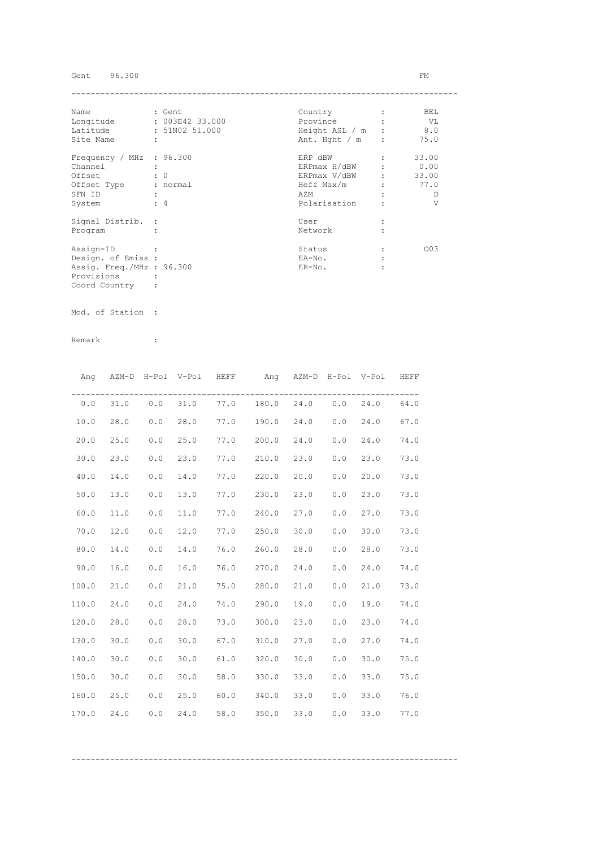## Gent 96.300 FM

| Name                      | : Gent               | Country          | BEL   |
|---------------------------|----------------------|------------------|-------|
| Longitude                 | : 003E42 33.000      | Province         | - VL  |
| Latitude                  | : 51N02 51.000       | Height ASL / m   | 8.0   |
| Site Name                 | $\ddot{\phantom{a}}$ | Ant. Hght $/m$ : | 75.0  |
| Frequency / MHz : 96.300  |                      | ERP dBW          | 33.00 |
| Channel                   |                      | ERPmax H/dBW     | 0.00  |
| Offset                    | $\colon 0$           | ERPmax V/dBW     | 33.00 |
| Offset Type               | : normal             | Heff Max/m       | 77.0  |
| SFN ID                    |                      | AZM              | D     |
| System                    | $\div$ 4             | Polarisation     | V     |
| Signal Distrib. :         |                      | User             |       |
| Program                   |                      | Network          |       |
| Assign-ID                 |                      | Status           | 003   |
| Design. of Emiss :        |                      | EA-No.           |       |
| Assig. Freq./MHz : 96.300 |                      | $ER-NO$ .        |       |
| Provisions                |                      |                  |       |
| Coord Country             |                      |                  |       |

Mod. of Station :

|       |      |       | Ang AZM-D H-Pol V-Pol HEFF |      | Ang AZM-D H-Pol V-Pol          |      |     |      | HEFF |
|-------|------|-------|----------------------------|------|--------------------------------|------|-----|------|------|
| 0.0   | 31.0 |       |                            |      | $0.0$ 31.0 77.0 180.0 24.0 0.0 |      |     | 24.0 | 64.0 |
| 10.0  | 28.0 | 0.0   | 28.0                       |      | 77.0 190.0 24.0                |      | 0.0 | 24.0 | 67.0 |
| 20.0  | 25.0 | 0.0   | 25.0                       |      | 77.0 200.0 24.0                |      | 0.0 | 24.0 | 74.0 |
| 30.0  | 23.0 | 0.0   | 23.0                       |      | 77.0 210.0                     | 23.0 | 0.0 | 23.0 | 73.0 |
| 40.0  | 14.0 | 0.0   | 14.0                       |      | 77.0 220.0                     | 20.0 | 0.0 | 20.0 | 73.0 |
| 50.0  | 13.0 | 0.0   | 13.0                       |      | 77.0 230.0                     | 23.0 | 0.0 | 23.0 | 73.0 |
| 60.0  | 11.0 | 0.0   | 11.0                       |      | 77.0 240.0                     | 27.0 | 0.0 | 27.0 | 73.0 |
| 70.0  | 12.0 | 0.0   | 12.0                       |      | 77.0 250.0                     | 30.0 | 0.0 | 30.0 | 73.0 |
| 80.0  | 14.0 | 0.0   | 14.0                       |      | 76.0 260.0                     | 28.0 | 0.0 | 28.0 | 73.0 |
| 90.0  | 16.0 | $0.0$ | 16.0                       |      | 76.0 270.0 24.0                |      | 0.0 | 24.0 | 74.0 |
| 100.0 | 21.0 | 0.0   | 21.0                       |      | 75.0 280.0 21.0                |      | 0.0 | 21.0 | 73.0 |
| 110.0 | 24.0 | 0.0   | 24.0                       |      | 74.0 290.0                     | 19.0 | 0.0 | 19.0 | 74.0 |
| 120.0 | 28.0 | 0.0   | 28.0                       | 73.0 | 300.0                          | 23.0 | 0.0 | 23.0 | 74.0 |
| 130.0 | 30.0 | 0.0   | 30.0                       | 67.0 | 310.0                          | 27.0 | 0.0 | 27.0 | 74.0 |
| 140.0 | 30.0 | 0.0   | 30.0                       | 61.0 | 320.0                          | 30.0 | 0.0 | 30.0 | 75.0 |
| 150.0 | 30.0 | 0.0   | 30.0                       |      | 58.0 330.0                     | 33.0 | 0.0 | 33.0 | 75.0 |
| 160.0 | 25.0 | 0.0   | 25.0                       |      | $60.0$ 340.0                   | 33.0 | 0.0 | 33.0 | 76.0 |
| 170.0 | 24.0 | 0.0   | 24.0                       | 58.0 | 350.0                          | 33.0 | 0.0 | 33.0 | 77.0 |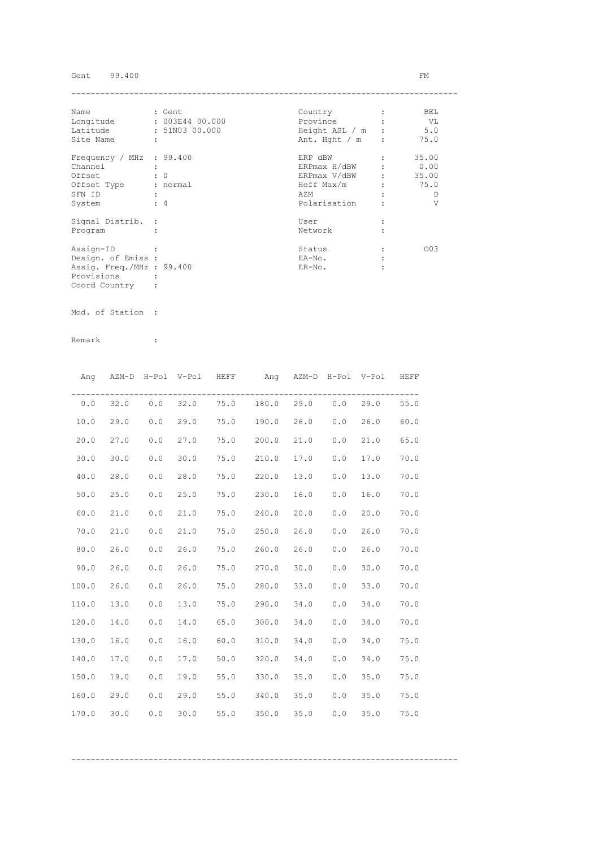## Gent 99.400 FM

| Name                      |   | : Gent          | Country          | BEL   |
|---------------------------|---|-----------------|------------------|-------|
| Longitude                 |   | : 003E44 00.000 | Province         | - VL  |
| Latitude                  |   | : 51N03 00.000  | Height ASL / m : | 5.0   |
| Site Name                 | ÷ |                 | Ant. Hght $/m$ : | 75.0  |
| Frequency / MHz : 99.400  |   |                 | ERP dBW          | 35.00 |
| Channel                   |   |                 | ERPmax H/dBW     | 0.00  |
| Offset                    |   | $\colon 0$      | ERPmax V/dBW     | 35.00 |
| Offset Type               |   | : normal        | Heff Max/m       | 75.0  |
| SFN ID                    |   |                 | AZM              | D     |
| System                    |   | $\div$ 4        | Polarisation     | V     |
| Signal Distrib. :         |   |                 | User             |       |
| Program                   |   |                 | Network          |       |
| Assign-ID                 |   |                 | Status           | 003   |
| Design. of Emiss :        |   |                 | EA-No.           |       |
| Assig. Freq./MHz : 99.400 |   |                 | $ER-NO$ .        |       |
| Provisions                |   |                 |                  |       |
| Coord Country             |   |                 |                  |       |

Mod. of Station :

|       | Ang AZM-D H-Pol V-Pol HEFF |     |      |            | Ang AZM-D H-Pol V-Pol HEFF     |      |     |      |      |
|-------|----------------------------|-----|------|------------|--------------------------------|------|-----|------|------|
|       | $0.0$ 32.0                 |     |      |            | $0.0$ 32.0 75.0 180.0 29.0 0.0 |      |     | 29.0 | 55.0 |
| 10.0  | 29.0                       | 0.0 | 29.0 |            | 75.0 190.0                     | 26.0 | 0.0 | 26.0 | 60.0 |
| 20.0  | 27.0                       | 0.0 | 27.0 |            | 75.0 200.0                     | 21.0 | 0.0 | 21.0 | 65.0 |
| 30.0  | 30.0                       | 0.0 | 30.0 |            | 75.0 210.0                     | 17.0 | 0.0 | 17.0 | 70.0 |
| 40.0  | 28.0                       | 0.0 | 28.0 | 75.0 220.0 |                                | 13.0 | 0.0 | 13.0 | 70.0 |
| 50.0  | 25.0                       | 0.0 | 25.0 |            | $75.0$ 230.0                   | 16.0 | 0.0 | 16.0 | 70.0 |
| 60.0  | 21.0                       | 0.0 | 21.0 | 75.0       | 240.0                          | 20.0 | 0.0 | 20.0 | 70.0 |
| 70.0  | 21.0                       | 0.0 | 21.0 | 75.0       | 250.0                          | 26.0 | 0.0 | 26.0 | 70.0 |
| 80.0  | 26.0                       | 0.0 | 26.0 | 75.0       | 260.0                          | 26.0 | 0.0 | 26.0 | 70.0 |
| 90.0  | 26.0                       | 0.0 | 26.0 |            | 75.0 270.0                     | 30.0 | 0.0 | 30.0 | 70.0 |
| 100.0 | 26.0                       | 0.0 | 26.0 |            | 75.0 280.0                     | 33.0 | 0.0 | 33.0 | 70.0 |
| 110.0 | 13.0                       | 0.0 | 13.0 |            | 75.0 290.0                     | 34.0 | 0.0 | 34.0 | 70.0 |
| 120.0 | 14.0                       | 0.0 | 14.0 | 65.0       | 300.0                          | 34.0 | 0.0 | 34.0 | 70.0 |
| 130.0 | 16.0                       | 0.0 | 16.0 | 60.0       | 310.0                          | 34.0 | 0.0 | 34.0 | 75.0 |
| 140.0 | 17.0                       | 0.0 | 17.0 |            | 50.0 320.0                     | 34.0 | 0.0 | 34.0 | 75.0 |
| 150.0 | 19.0                       | 0.0 | 19.0 |            | 55.0 330.0                     | 35.0 | 0.0 | 35.0 | 75.0 |
| 160.0 | 29.0                       | 0.0 | 29.0 | 55.0       | 340.0                          | 35.0 | 0.0 | 35.0 | 75.0 |
| 170.0 | 30.0                       | 0.0 | 30.0 | 55.0       | 350.0                          | 35.0 | 0.0 | 35.0 | 75.0 |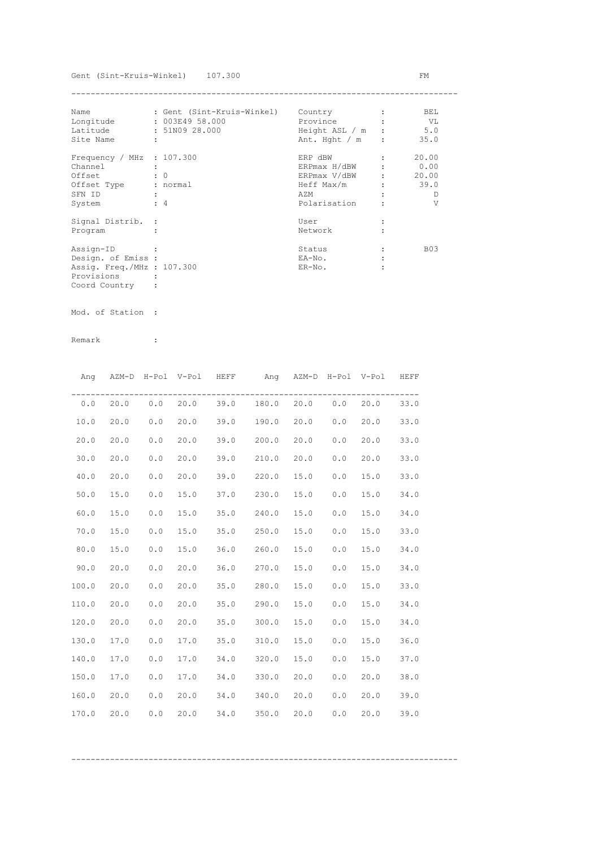| Name                        |   | : Gent (Sint-Kruis-Winkel) | Country          | BEL        |
|-----------------------------|---|----------------------------|------------------|------------|
| Longitude                   |   | : 003E49 58.000            | Province         | VL V       |
| Latitude                    |   | : 51N09 28.000             | Height ASL / m : | 5.0        |
| Site Name                   | ÷ |                            | Ant. Hght $/m$ : | 35.0       |
| Frequency / MHz : $107.300$ |   |                            | ERP dBW          | 20.00      |
| Channel                     |   |                            | ERPmax H/dBW     | 0.00       |
| Offset                      |   | $\colon 0$                 | ERPmax V/dBW     | 20.00      |
| Offset Type                 |   | : normal                   | Heff Max/m       | 39.0       |
| SFN ID                      |   |                            | AZM              | D          |
| System                      |   | $\div$ 4                   | Polarisation     | V          |
| Signal Distrib. :           |   |                            | User             |            |
| Program                     |   |                            | Network          |            |
| Assign-ID                   |   |                            | Status           | <b>B03</b> |
| Design. of Emiss :          |   |                            | EA-No.           |            |
| Assig. Freq./MHz : 107.300  |   |                            | $ER-NO$ .        |            |
| Provisions                  |   |                            |                  |            |
| Coord Country               |   |                            |                  |            |

Mod. of Station :

|       |      |     |      |                | Ang AZM-D H-Pol V-Pol HEFF Ang AZM-D H-Pol V-Pol HEFF |      |     |      |      |
|-------|------|-----|------|----------------|-------------------------------------------------------|------|-----|------|------|
| 0.0   |      |     |      |                | 20.0 0.0 20.0 39.0 180.0 20.0 0.0                     |      |     | 20.0 | 33.0 |
| 10.0  | 20.0 | 0.0 | 20.0 |                | 39.0 190.0                                            | 20.0 | 0.0 | 20.0 | 33.0 |
| 20.0  | 20.0 | 0.0 | 20.0 | 39.0           | 200.0                                                 | 20.0 | 0.0 | 20.0 | 33.0 |
| 30.0  | 20.0 | 0.0 | 20.0 | 39.0 210.0     |                                                       | 20.0 | 0.0 | 20.0 | 33.0 |
| 40.0  | 20.0 | 0.0 | 20.0 | 39.0           | 220.0                                                 | 15.0 | 0.0 | 15.0 | 33.0 |
| 50.0  | 15.0 | 0.0 | 15.0 | 37.0 230.0     |                                                       | 15.0 | 0.0 | 15.0 | 34.0 |
| 60.0  | 15.0 | 0.0 | 15.0 | $35.0$ $240.0$ |                                                       | 15.0 | 0.0 | 15.0 | 34.0 |
| 70.0  | 15.0 | 0.0 | 15.0 | 35.0 250.0     |                                                       | 15.0 | 0.0 | 15.0 | 33.0 |
| 80.0  | 15.0 | 0.0 | 15.0 | 36.0           | 260.0                                                 | 15.0 | 0.0 | 15.0 | 34.0 |
| 90.0  | 20.0 | 0.0 | 20.0 |                | 36.0 270.0                                            | 15.0 | 0.0 | 15.0 | 34.0 |
| 100.0 | 20.0 | 0.0 | 20.0 | 35.0           | 280.0                                                 | 15.0 | 0.0 | 15.0 | 33.0 |
| 110.0 | 20.0 | 0.0 | 20.0 |                | 35.0 290.0                                            | 15.0 | 0.0 | 15.0 | 34.0 |
| 120.0 | 20.0 | 0.0 | 20.0 |                | 35.0 300.0                                            | 15.0 | 0.0 | 15.0 | 34.0 |
| 130.0 | 17.0 | 0.0 | 17.0 | 35.0           | 310.0                                                 | 15.0 | 0.0 | 15.0 | 36.0 |
| 140.0 | 17.0 | 0.0 | 17.0 |                | 34.0 320.0                                            | 15.0 | 0.0 | 15.0 | 37.0 |
| 150.0 | 17.0 | 0.0 | 17.0 |                | 34.0 330.0                                            | 20.0 | 0.0 | 20.0 | 38.0 |
| 160.0 | 20.0 | 0.0 | 20.0 |                | 34.0 340.0                                            | 20.0 | 0.0 | 20.0 | 39.0 |
| 170.0 | 20.0 | 0.0 | 20.0 |                | 34.0 350.0                                            | 20.0 | 0.0 | 20.0 | 39.0 |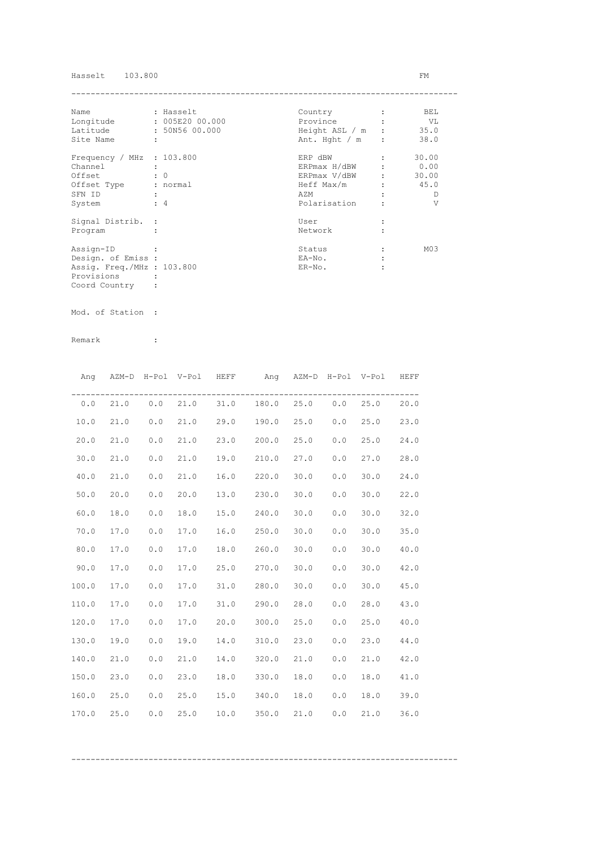## Hasselt  $103.800$  FM

| Name                        |   | : Hasselt       | Country          | BEL             |
|-----------------------------|---|-----------------|------------------|-----------------|
| Longitude                   |   | : 005E20 00.000 | Province         | VL V            |
| Latitude                    |   | : 50N56 00.000  | Height ASL / m : | 35.0            |
| Site Name                   | ÷ |                 | Ant. Hght $/m$ : | 38.0            |
| Frequency / MHz : $103.800$ |   |                 | ERP dBW          | 30.00           |
| Channel                     |   |                 | ERPmax H/dBW     | 0.00            |
| Offset                      |   | $\colon 0$      | ERPmax V/dBW     | 30.00           |
| Offset Type                 |   | : normal        | Heff Max/m       | 45.0            |
| SFN ID                      |   |                 | AZM              | D               |
| System                      |   | $\div$ 4        | Polarisation     | V               |
| Signal Distrib. :           |   |                 | User             |                 |
| Program                     |   |                 | Network          |                 |
| Assign-ID                   |   |                 | Status           | M <sub>03</sub> |
| Design. of Emiss :          |   |                 | EA-No.           |                 |
| Assig. Freq./MHz : 103.800  |   |                 | $ER-NO$ .        |                 |
| Provisions                  |   |                 |                  |                 |
| Coord Country               |   |                 |                  |                 |

Mod. of Station :

Remark :

|       |          |     | Ang AZM-D H-Pol V-Pol HEFF | Ang AZM-D H-Pol V-Pol HEFF     |      |     |      |      |
|-------|----------|-----|----------------------------|--------------------------------|------|-----|------|------|
|       | 0.0 21.0 |     |                            | $0.0$ 21.0 31.0 180.0 25.0 0.0 |      |     | 25.0 | 20.0 |
| 10.0  | 21.0     | 0.0 | 21.0                       | 29.0 190.0 25.0                |      | 0.0 | 25.0 | 23.0 |
| 20.0  | 21.0     | 0.0 | 21.0                       | 23.0 200.0                     | 25.0 | 0.0 | 25.0 | 24.0 |
| 30.0  | 21.0     | 0.0 | 21.0                       | 19.0 210.0                     | 27.0 | 0.0 | 27.0 | 28.0 |
| 40.0  | 21.0     | 0.0 | 21.0                       | 16.0 220.0                     | 30.0 | 0.0 | 30.0 | 24.0 |
| 50.0  | 20.0     | 0.0 | 20.0                       | 13.0 230.0                     | 30.0 | 0.0 | 30.0 | 22.0 |
| 60.0  | 18.0     | 0.0 | 18.0                       | 15.0 240.0                     | 30.0 | 0.0 | 30.0 | 32.0 |
| 70.0  | 17.0     | 0.0 | 17.0                       | 16.0 250.0                     | 30.0 | 0.0 | 30.0 | 35.0 |
| 80.0  | 17.0     | 0.0 | 17.0                       | 18.0 260.0                     | 30.0 | 0.0 | 30.0 | 40.0 |
| 90.0  | 17.0     | 0.0 | 17.0                       | 25.0 270.0                     | 30.0 | 0.0 | 30.0 | 42.0 |
| 100.0 | 17.0     | 0.0 | 17.0                       | 31.0 280.0                     | 30.0 | 0.0 | 30.0 | 45.0 |
| 110.0 | 17.0     | 0.0 | 17.0                       | 31.0 290.0                     | 28.0 | 0.0 | 28.0 | 43.0 |
| 120.0 | 17.0     | 0.0 | 17.0                       | 20.0 300.0                     | 25.0 | 0.0 | 25.0 | 40.0 |
| 130.0 | 19.0     | 0.0 | 19.0                       | 14.0 310.0 23.0                |      | 0.0 | 23.0 | 44.0 |
| 140.0 | 21.0     | 0.0 | 21.0                       | 14.0 320.0                     | 21.0 | 0.0 | 21.0 | 42.0 |
| 150.0 | 23.0     | 0.0 | 23.0                       | 18.0 330.0 18.0                |      | 0.0 | 18.0 | 41.0 |
| 160.0 | 25.0     | 0.0 | 25.0                       | 15.0 340.0                     | 18.0 | 0.0 | 18.0 | 39.0 |
| 170.0 | 25.0     | 0.0 | 25.0                       | $10.0$ 350.0                   | 21.0 | 0.0 | 21.0 | 36.0 |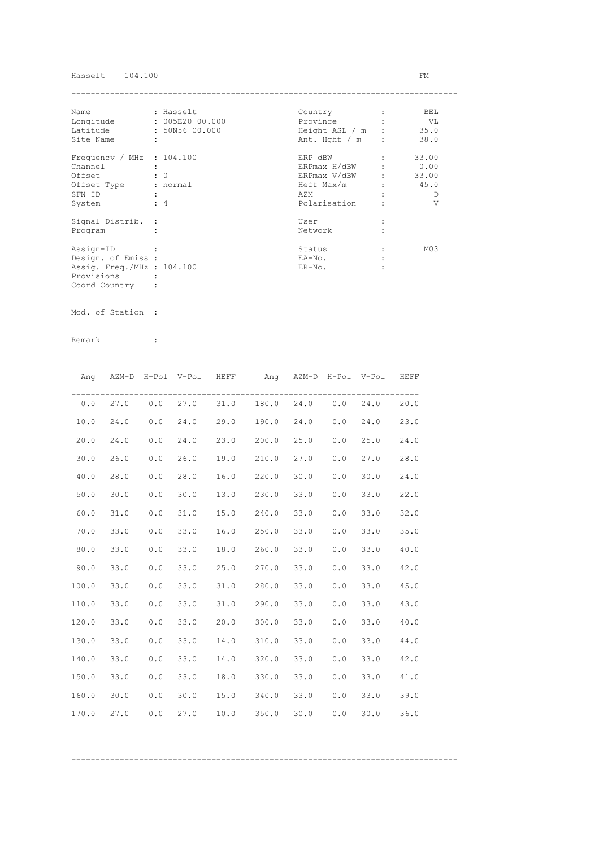## Hasselt  $104.100$  FM

| Name                        |                      | : Hasselt       | Country          | BEL             |
|-----------------------------|----------------------|-----------------|------------------|-----------------|
| Longitude                   |                      | : 005E20 00.000 | Province         | VL V            |
| Latitude                    |                      | : 50N56 00.000  | Height ASL / m : | 35.0            |
| Site Name                   | $\ddot{\phantom{a}}$ |                 | Ant. Hght $/m$ : | 38.0            |
| Frequency / MHz : $104.100$ |                      |                 | ERP dBW          | 33.00           |
| Channel                     |                      |                 | ERPmax H/dBW     | 0.00            |
| Offset                      |                      | $\colon 0$      | ERPmax V/dBW :   | 33.00           |
| Offset Type                 |                      | : normal        | Heff Max/m       | 45.0            |
| SFN ID                      |                      |                 | AZM              | D               |
| System                      |                      | $\div$ 4        | Polarisation     | V               |
| Signal Distrib. :           |                      |                 | User             |                 |
| Program                     |                      |                 | Network          |                 |
| Assign-ID                   |                      |                 | Status           | M <sub>03</sub> |
| Design. of Emiss :          |                      |                 | EA-No.           |                 |
| Assig. Freq./MHz : 104.100  |                      |                 | $ER-NO$ .        |                 |
| Provisions                  |                      |                 |                  |                 |
| Coord Country               |                      |                 |                  |                 |

Mod. of Station :

Remark :

|       |      |     | Ang AZM-D H-Pol V-Pol HEFF |      | Ang AZM-D H-Pol V-Pol HEFF                |      |     |      |      |
|-------|------|-----|----------------------------|------|-------------------------------------------|------|-----|------|------|
|       |      |     |                            |      | $0.0$ 27.0 $0.0$ 27.0 31.0 180.0 24.0 0.0 |      |     | 24.0 | 20.0 |
| 10.0  | 24.0 | 0.0 | 24.0                       |      | 29.0 190.0 24.0                           |      | 0.0 | 24.0 | 23.0 |
| 20.0  | 24.0 | 0.0 | 24.0                       |      | 23.0 200.0                                | 25.0 | 0.0 | 25.0 | 24.0 |
| 30.0  | 26.0 | 0.0 | 26.0                       |      | 19.0 210.0                                | 27.0 | 0.0 | 27.0 | 28.0 |
| 40.0  | 28.0 | 0.0 | 28.0                       |      | 16.0 220.0                                | 30.0 | 0.0 | 30.0 | 24.0 |
| 50.0  | 30.0 | 0.0 | 30.0                       |      | 13.0 230.0                                | 33.0 | 0.0 | 33.0 | 22.0 |
| 60.0  | 31.0 | 0.0 | 31.0                       |      | 15.0 240.0                                | 33.0 | 0.0 | 33.0 | 32.0 |
| 70.0  | 33.0 | 0.0 | 33.0                       | 16.0 | 250.0                                     | 33.0 | 0.0 | 33.0 | 35.0 |
| 80.0  | 33.0 | 0.0 | 33.0                       |      | 18.0 260.0                                | 33.0 | 0.0 | 33.0 | 40.0 |
| 90.0  | 33.0 | 0.0 | 33.0                       |      | 25.0 270.0                                | 33.0 | 0.0 | 33.0 | 42.0 |
| 100.0 | 33.0 | 0.0 | 33.0                       |      | 31.0 280.0                                | 33.0 | 0.0 | 33.0 | 45.0 |
| 110.0 | 33.0 | 0.0 | 33.0                       |      | 31.0 290.0                                | 33.0 | 0.0 | 33.0 | 43.0 |
| 120.0 | 33.0 | 0.0 | 33.0                       |      | 20.0 300.0                                | 33.0 | 0.0 | 33.0 | 40.0 |
| 130.0 | 33.0 | 0.0 | 33.0                       |      | 14.0 310.0                                | 33.0 | 0.0 | 33.0 | 44.0 |
| 140.0 | 33.0 | 0.0 | 33.0                       |      | 14.0 320.0                                | 33.0 | 0.0 | 33.0 | 42.0 |
| 150.0 | 33.0 | 0.0 | 33.0                       |      | 18.0 330.0                                | 33.0 | 0.0 | 33.0 | 41.0 |
| 160.0 | 30.0 | 0.0 | 30.0                       |      | 15.0 340.0                                | 33.0 | 0.0 | 33.0 | 39.0 |
| 170.0 | 27.0 | 0.0 | 27.0                       |      | $10.0$ 350.0                              | 30.0 | 0.0 | 30.0 | 36.0 |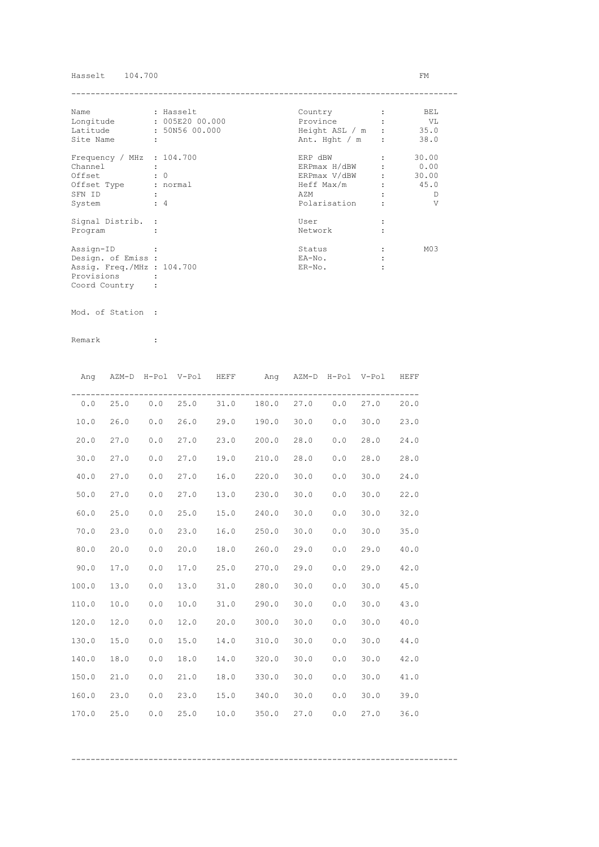## Hasselt 104.700 FM

| Name                        |   | : Hasselt       | Country          | BEL             |
|-----------------------------|---|-----------------|------------------|-----------------|
| Longitude                   |   | : 005E20 00.000 | Province         | VL V            |
| Latitude                    |   | : 50N56 00.000  | Height ASL / m : | 35.0            |
| Site Name                   | ÷ |                 | Ant. Hght $/m$ : | 38.0            |
| Frequency / MHz : $104.700$ |   |                 | ERP dBW          | 30.00           |
| Channel                     |   |                 | ERPmax H/dBW     | 0.00            |
| Offset                      |   | $\colon 0$      | ERPmax V/dBW     | 30.00           |
| Offset Type                 |   | : normal        | Heff Max/m       | 45.0            |
| SFN ID                      |   |                 | AZM              | D               |
| System                      |   | $\div$ 4        | Polarisation     | V               |
| Signal Distrib. :           |   |                 | User             |                 |
| Program                     |   |                 | Network          |                 |
| Assign-ID                   |   |                 | Status           | M <sub>03</sub> |
| Design. of Emiss :          |   |                 | EA-No.           |                 |
| Assig. Freq./MHz : 104.700  |   |                 | $ER-NO$ .        |                 |
| Provisions                  |   |                 |                  |                 |
| Coord Country               |   |                 |                  |                 |

Mod. of Station :

Remark :

|       |      |     | Ang AZM-D H-Pol V-Pol HEFF |      | Ang AZM-D H-Pol V-Pol HEFF        |      |     |      |      |
|-------|------|-----|----------------------------|------|-----------------------------------|------|-----|------|------|
| 0.0   |      |     |                            |      | 25.0 0.0 25.0 31.0 180.0 27.0 0.0 |      |     | 27.0 | 20.0 |
| 10.0  | 26.0 | 0.0 | 26.0                       |      | 29.0 190.0                        | 30.0 | 0.0 | 30.0 | 23.0 |
| 20.0  | 27.0 | 0.0 | 27.0                       |      | 23.0 200.0                        | 28.0 | 0.0 | 28.0 | 24.0 |
| 30.0  | 27.0 | 0.0 | 27.0                       |      | 19.0 210.0                        | 28.0 | 0.0 | 28.0 | 28.0 |
| 40.0  | 27.0 | 0.0 | 27.0                       |      | 16.0 220.0                        | 30.0 | 0.0 | 30.0 | 24.0 |
| 50.0  | 27.0 | 0.0 | 27.0                       |      | 13.0 230.0                        | 30.0 | 0.0 | 30.0 | 22.0 |
| 60.0  | 25.0 | 0.0 | 25.0                       |      | 15.0 240.0                        | 30.0 | 0.0 | 30.0 | 32.0 |
| 70.0  | 23.0 | 0.0 | 23.0                       | 16.0 | 250.0                             | 30.0 | 0.0 | 30.0 | 35.0 |
| 80.0  | 20.0 | 0.0 | 20.0                       | 18.0 | 260.0                             | 29.0 | 0.0 | 29.0 | 40.0 |
| 90.0  | 17.0 | 0.0 | 17.0                       |      | 25.0 270.0                        | 29.0 | 0.0 | 29.0 | 42.0 |
| 100.0 | 13.0 | 0.0 | 13.0                       |      | 31.0 280.0                        | 30.0 | 0.0 | 30.0 | 45.0 |
| 110.0 | 10.0 | 0.0 | 10.0                       |      | 31.0 290.0                        | 30.0 | 0.0 | 30.0 | 43.0 |
| 120.0 | 12.0 | 0.0 | 12.0                       |      | 20.0 300.0                        | 30.0 | 0.0 | 30.0 | 40.0 |
| 130.0 | 15.0 | 0.0 | 15.0                       |      | 14.0 310.0                        | 30.0 | 0.0 | 30.0 | 44.0 |
| 140.0 | 18.0 | 0.0 | 18.0                       |      | 14.0 320.0                        | 30.0 | 0.0 | 30.0 | 42.0 |
| 150.0 | 21.0 | 0.0 | 21.0                       |      | 18.0 330.0                        | 30.0 | 0.0 | 30.0 | 41.0 |
| 160.0 | 23.0 | 0.0 | 23.0                       |      | 15.0 340.0                        | 30.0 | 0.0 | 30.0 | 39.0 |
| 170.0 | 25.0 | 0.0 | 25.0                       |      | $10.0$ 350.0                      | 27.0 | 0.0 | 27.0 | 36.0 |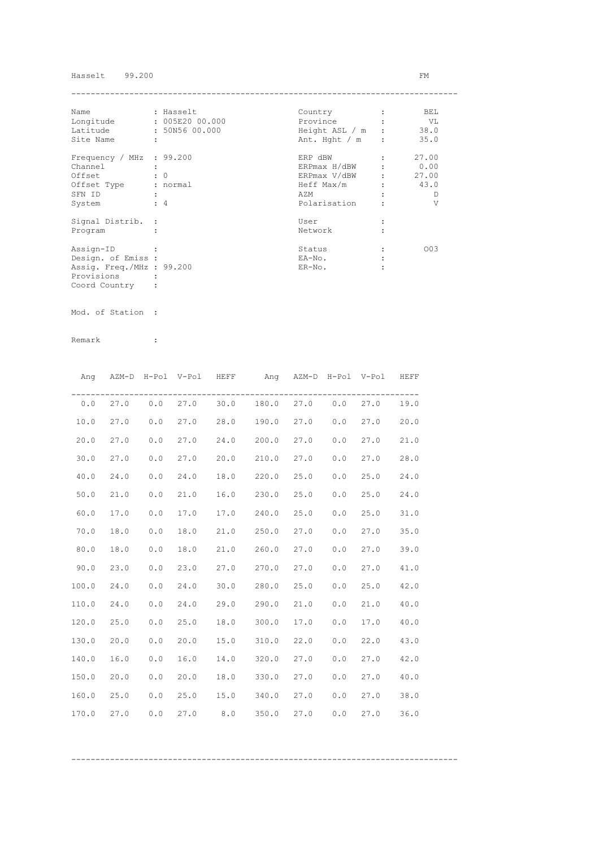## Hasselt 99.200 FM

| Name                      |   | : Hasselt       | Country          | BEL   |
|---------------------------|---|-----------------|------------------|-------|
| Longitude                 |   | : 005E20 00.000 | Province         | VL    |
| Latitude                  |   | : 50N56 00.000  | Height ASL / m : | 38.0  |
| Site Name                 | ÷ |                 | Ant. Hght $/m$ : | 35.0  |
| Frequency / MHz : 99.200  |   |                 | ERP dBW          | 27.00 |
| Channel                   |   |                 | ERPmax H/dBW     | 0.00  |
| Offset                    |   | $\colon 0$      | ERPmax V/dBW     | 27.00 |
| Offset Type               |   | : normal        | Heff Max/m       | 43.0  |
| SFN ID                    |   |                 | AZM              | D     |
| System                    |   | $\div$ 4        | Polarisation     | V     |
| Signal Distrib. :         |   |                 | User             |       |
| Program                   |   |                 | Network          |       |
| Assign-ID                 |   |                 | Status           | 003   |
| Design. of Emiss :        |   |                 | EA-No.           |       |
| Assig. Freq./MHz : 99.200 |   |                 | $ER-NO$ .        |       |
| Provisions                |   |                 |                  |       |
| Coord Country             |   |                 |                  |       |

Mod. of Station :

|       |      |                       | Ang AZM-D H-Pol V-Pol HEFF |     | Ang AZM-D H-Pol V-Pol                   |      |     |      | HEFF |
|-------|------|-----------------------|----------------------------|-----|-----------------------------------------|------|-----|------|------|
| 0.0   |      |                       |                            |     | 27.0  0.0  27.0  30.0  180.0  27.0  0.0 |      |     | 27.0 | 19.0 |
| 10.0  | 27.0 | 0.0                   | 27.0                       |     | 28.0 190.0 27.0                         |      | 0.0 | 27.0 | 20.0 |
| 20.0  | 27.0 | 0.0                   | 27.0                       |     | 24.0 200.0                              | 27.0 | 0.0 | 27.0 | 21.0 |
| 30.0  | 27.0 | 0.0                   | 27.0                       |     | 20.0 210.0                              | 27.0 | 0.0 | 27.0 | 28.0 |
| 40.0  | 24.0 | 0.0                   | 24.0                       |     | 18.0 220.0                              | 25.0 | 0.0 | 25.0 | 24.0 |
| 50.0  | 21.0 | ${\bf 0}$ . ${\bf 0}$ | 21.0                       |     | 16.0 230.0                              | 25.0 | 0.0 | 25.0 | 24.0 |
| 60.0  | 17.0 | 0.0                   | 17.0                       |     | 17.0 240.0                              | 25.0 | 0.0 | 25.0 | 31.0 |
| 70.0  | 18.0 | 0.0                   | 18.0                       |     | 21.0 250.0                              | 27.0 | 0.0 | 27.0 | 35.0 |
| 80.0  | 18.0 | 0.0                   | 18.0                       |     | 21.0 260.0                              | 27.0 | 0.0 | 27.0 | 39.0 |
| 90.0  | 23.0 | 0.0                   | 23.0                       |     | 27.0 270.0                              | 27.0 | 0.0 | 27.0 | 41.0 |
| 100.0 | 24.0 | 0.0                   | 24.0                       |     | 30.0 280.0                              | 25.0 | 0.0 | 25.0 | 42.0 |
| 110.0 | 24.0 | 0.0                   | 24.0                       |     | 29.0 290.0                              | 21.0 | 0.0 | 21.0 | 40.0 |
| 120.0 | 25.0 | 0.0                   | 25.0                       |     | 18.0 300.0                              | 17.0 | 0.0 | 17.0 | 40.0 |
| 130.0 | 20.0 | 0.0                   | 20.0                       |     | 15.0 310.0                              | 22.0 | 0.0 | 22.0 | 43.0 |
| 140.0 | 16.0 | 0.0                   | 16.0                       |     | 14.0 320.0                              | 27.0 | 0.0 | 27.0 | 42.0 |
| 150.0 | 20.0 | 0.0                   | 20.0                       |     | 18.0 330.0                              | 27.0 | 0.0 | 27.0 | 40.0 |
| 160.0 | 25.0 | 0.0                   | 25.0                       |     | 15.0 340.0                              | 27.0 | 0.0 | 27.0 | 38.0 |
| 170.0 | 27.0 | 0.0                   | 27.0                       | 8.0 | 350.0                                   | 27.0 | 0.0 | 27.0 | 36.0 |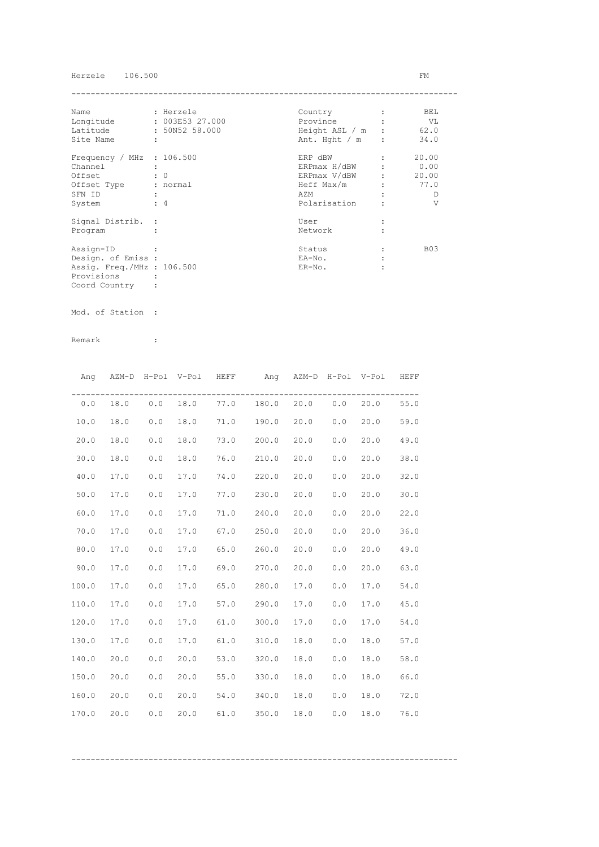## Herzele 106.500 FM

| Name                        | : Herzele       | Country          | BEL        |
|-----------------------------|-----------------|------------------|------------|
| Longitude                   | : 003E53 27.000 | Province         | VL V       |
| Latitude                    | : 50N52 58.000  | Height ASL / m : | 62.0       |
| Site Name                   | ÷               | Ant. Hght $/m$ : | 34.0       |
| Frequency / MHz : $106.500$ |                 | ERP dBW          | 20.00      |
| Channel                     |                 | ERPmax H/dBW     | 0.00       |
| Offset                      | $\colon 0$      | ERPmax V/dBW     | 20.00      |
| Offset Type                 | : normal        | Heff Max/m       | 77.0       |
| SFN ID                      |                 | AZM              | D          |
| System                      | $\div$ 4        | Polarisation     | V          |
| Signal Distrib. :           |                 | User             |            |
| Program                     |                 | Network          |            |
| Assign-ID                   |                 | Status           | <b>B03</b> |
| Design. of Emiss :          |                 | EA-No.           |            |
| Assig. Freq./MHz : 106.500  |                 | $ER-NO$ .        |            |
| Provisions                  |                 |                  |            |
| Coord Country               |                 |                  |            |

Mod. of Station :

Remark :

| Ang   |      |     | AZM-D H-Pol V-Pol HEFF |      | Ang AZM-D H-Pol V-Pol HEFF     |      |     |      |      |
|-------|------|-----|------------------------|------|--------------------------------|------|-----|------|------|
| 0.0   | 18.0 |     |                        |      | $0.0$ 18.0 77.0 180.0 20.0 0.0 |      |     | 20.0 | 55.0 |
| 10.0  | 18.0 | 0.0 | 18.0                   |      | 71.0 190.0 20.0                |      | 0.0 | 20.0 | 59.0 |
| 20.0  | 18.0 | 0.0 | 18.0                   |      | 73.0 200.0                     | 20.0 | 0.0 | 20.0 | 49.0 |
| 30.0  | 18.0 | 0.0 | 18.0                   |      | 76.0 210.0                     | 20.0 | 0.0 | 20.0 | 38.0 |
| 40.0  | 17.0 | 0.0 | 17.0                   |      | 74.0 220.0                     | 20.0 | 0.0 | 20.0 | 32.0 |
| 50.0  | 17.0 | 0.0 | 17.0                   |      | 77.0 230.0                     | 20.0 | 0.0 | 20.0 | 30.0 |
| 60.0  | 17.0 | 0.0 | 17.0                   |      | 71.0 240.0                     | 20.0 | 0.0 | 20.0 | 22.0 |
| 70.0  | 17.0 | 0.0 | 17.0                   |      | 67.0 250.0                     | 20.0 | 0.0 | 20.0 | 36.0 |
| 80.0  | 17.0 | 0.0 | 17.0                   |      | 65.0 260.0                     | 20.0 | 0.0 | 20.0 | 49.0 |
| 90.0  | 17.0 | 0.0 | 17.0                   | 69.0 | 270.0                          | 20.0 | 0.0 | 20.0 | 63.0 |
| 100.0 | 17.0 | 0.0 | 17.0                   | 65.0 | 280.0                          | 17.0 | 0.0 | 17.0 | 54.0 |
| 110.0 | 17.0 | 0.0 | 17.0                   |      | 57.0 290.0                     | 17.0 | 0.0 | 17.0 | 45.0 |
| 120.0 | 17.0 | 0.0 | 17.0                   |      | $61.0$ 300.0                   | 17.0 | 0.0 | 17.0 | 54.0 |
| 130.0 | 17.0 | 0.0 | 17.0                   | 61.0 | 310.0                          | 18.0 | 0.0 | 18.0 | 57.0 |
| 140.0 | 20.0 | 0.0 | 20.0                   |      | 53.0 320.0                     | 18.0 | 0.0 | 18.0 | 58.0 |
| 150.0 | 20.0 | 0.0 | 20.0                   |      | 55.0 330.0                     | 18.0 | 0.0 | 18.0 | 66.0 |
| 160.0 | 20.0 | 0.0 | 20.0                   |      | 54.0 340.0                     | 18.0 | 0.0 | 18.0 | 72.0 |
| 170.0 | 20.0 | 0.0 | 20.0                   | 61.0 | 350.0                          | 18.0 | 0.0 | 18.0 | 76.0 |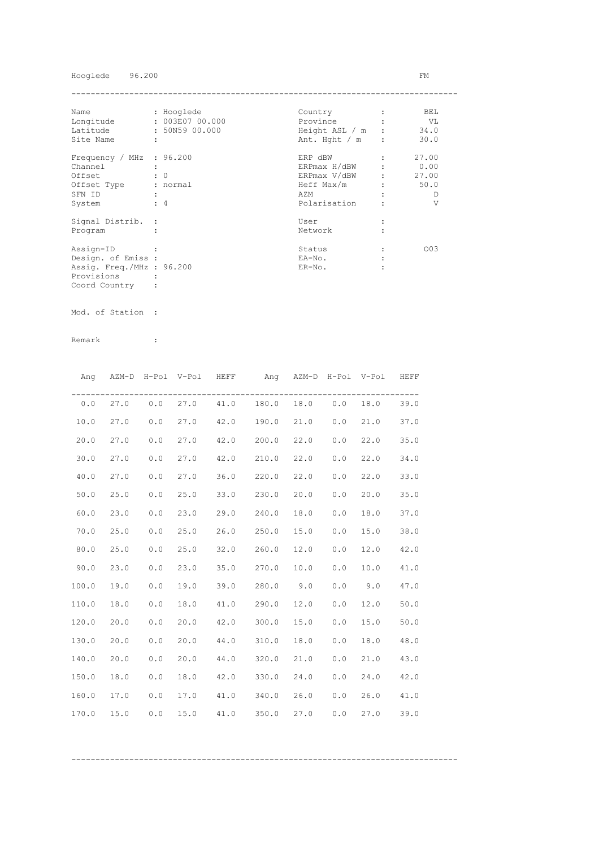## Hooglede 96.200 FM

| Name                      | : Hooglede           | Country          | BEL.  |
|---------------------------|----------------------|------------------|-------|
| Longitude                 | : 003E07 00.000      | Province         | VL    |
| Latitude                  | : 50N59 00.000       | Height ASL / m : | 34.0  |
| Site Name                 | $\ddot{\phantom{a}}$ | Ant. Hght / m    | 30.0  |
| Frequency / MHz : 96.200  |                      | ERP dBW          | 27.00 |
| Channel                   |                      | ERPmax H/dBW     | 0.00  |
| Offset                    | $\colon 0$           | ERPmax V/dBW     | 27.00 |
| Offset Type               | : normal             | Heff Max/m       | 50.0  |
| SFN ID                    |                      | AZM              | Ð     |
| System                    | $\div$ 4             | Polarisation     | V     |
| Signal Distrib. :         |                      | User             |       |
| Program                   |                      | Network          |       |
| Assign-ID                 |                      | Status           | 003   |
| Design. of Emiss :        |                      | EA-No.           |       |
| Assig. Freq./MHz : 96.200 |                      | $ER-NO$ .        |       |
| Provisions                |                      |                  |       |
| Coord Country             |                      |                  |       |

Mod. of Station :

Remark :

| Ang   |            |     | AZM-D H-Pol V-Pol HEFF | Ang AZM-D H-Pol V-Pol HEFF     |      |     |           |      |
|-------|------------|-----|------------------------|--------------------------------|------|-----|-----------|------|
|       | $0.0$ 27.0 |     |                        | $0.0$ 27.0 41.0 180.0 18.0 0.0 |      |     | 18.0      | 39.0 |
| 10.0  | 27.0       | 0.0 | 27.0                   | 42.0 190.0 21.0 0.0            |      |     | 21.0      | 37.0 |
| 20.0  | 27.0       | 0.0 | 27.0                   | 42.0 200.0                     | 22.0 | 0.0 | 22.0      | 35.0 |
| 30.0  | 27.0       | 0.0 | 27.0                   | 42.0 210.0                     | 22.0 | 0.0 | 22.0      | 34.0 |
| 40.0  | 27.0       | 0.0 | 27.0                   | 36.0 220.0                     | 22.0 | 0.0 | 22.0      | 33.0 |
| 50.0  | 25.0       | 0.0 | 25.0                   | 33.0 230.0                     | 20.0 | 0.0 | 20.0      | 35.0 |
| 60.0  | 23.0       | 0.0 | 23.0                   | 29.0 240.0                     | 18.0 | 0.0 | 18.0      | 37.0 |
| 70.0  | 25.0       | 0.0 | 25.0                   | 26.0 250.0                     | 15.0 | 0.0 | 15.0      | 38.0 |
| 80.0  | 25.0       | 0.0 | 25.0                   | 32.0 260.0                     | 12.0 | 0.0 | 12.0      | 42.0 |
| 90.0  | 23.0       | 0.0 | 23.0                   | 35.0 270.0                     | 10.0 | 0.0 | 10.0      | 41.0 |
| 100.0 | 19.0       | 0.0 | 19.0                   | $39.0$ 280.0 9.0               |      |     | $0.0$ 9.0 | 47.0 |
| 110.0 | 18.0       | 0.0 | 18.0                   | 41.0 290.0                     | 12.0 | 0.0 | 12.0      | 50.0 |
| 120.0 | 20.0       | 0.0 | 20.0                   | 42.0 300.0                     | 15.0 | 0.0 | 15.0      | 50.0 |
| 130.0 | 20.0       | 0.0 | 20.0                   | 44.0 310.0                     | 18.0 | 0.0 | 18.0      | 48.0 |
| 140.0 | 20.0       | 0.0 | 20.0                   | 44.0 320.0                     | 21.0 | 0.0 | 21.0      | 43.0 |
| 150.0 | 18.0       | 0.0 | 18.0                   | 42.0 330.0                     | 24.0 | 0.0 | 24.0      | 42.0 |
| 160.0 | 17.0       | 0.0 | 17.0                   | 41.0 340.0                     | 26.0 | 0.0 | 26.0      | 41.0 |
| 170.0 | 15.0       | 0.0 | 15.0                   | 41.0 350.0                     | 27.0 | 0.0 | 27.0      | 39.0 |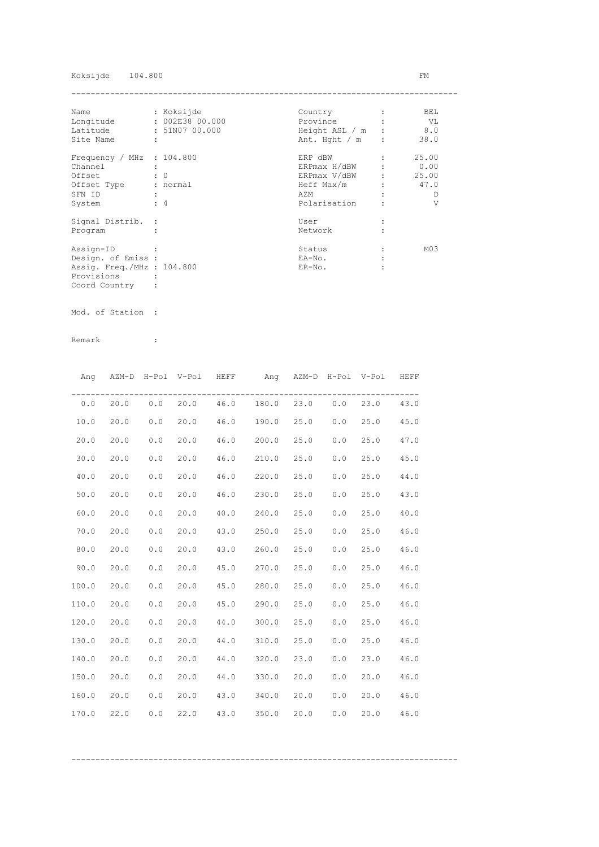## Koksijde 104.800 FM

| Name                        | : Koksijde      | Country          | BEL             |
|-----------------------------|-----------------|------------------|-----------------|
| Longitude                   | : 002E38 00.000 | Province         | VL V            |
| Latitude                    | : 51N07 00.000  | Height ASL / m : | 8.0             |
| Site Name                   | ÷               | Ant. Hght $/m$ : | 38.0            |
| Frequency / MHz : $104.800$ |                 | ERP dBW          | 25.00           |
| Channel                     |                 | ERPmax H/dBW     | 0.00            |
| Offset                      | $\colon 0$      | ERPmax V/dBW     | 25.00           |
| Offset Type                 | : normal        | Heff Max/m       | 47.0            |
| SFN ID                      |                 | AZM              | D               |
| System                      | $\div$ 4        | Polarisation     | V               |
| Signal Distrib. :           |                 | User             |                 |
| Program                     |                 | Network          |                 |
| Assign-ID                   |                 | Status           | M <sub>03</sub> |
| Design. of Emiss :          |                 | EA-No.           |                 |
| Assig. Freq./MHz : 104.800  |                 | $ER-NO$ .        |                 |
| Provisions                  |                 |                  |                 |
| Coord Country               |                 |                  |                 |

Mod. of Station :

|       |      |       | Ang AZM-D H-Pol V-Pol HEFF |      | Ang AZM-D H-Pol V-Pol HEFF                   |      |     |      |      |
|-------|------|-------|----------------------------|------|----------------------------------------------|------|-----|------|------|
|       |      |       |                            |      | $0.0$ 20.0 0.0 20.0 46.0 180.0 23.0 0.0 23.0 |      |     |      | 43.0 |
| 10.0  | 20.0 | 0.0   | 20.0                       |      | 46.0 190.0 25.0                              |      | 0.0 | 25.0 | 45.0 |
| 20.0  | 20.0 | 0.0   | 20.0                       |      | 46.0 200.0                                   | 25.0 | 0.0 | 25.0 | 47.0 |
| 30.0  | 20.0 | 0.0   | 20.0                       |      | 46.0 210.0                                   | 25.0 | 0.0 | 25.0 | 45.0 |
| 40.0  | 20.0 | 0.0   | 20.0                       |      | 46.0 220.0                                   | 25.0 | 0.0 | 25.0 | 44.0 |
| 50.0  | 20.0 | 0.0   | 20.0                       |      | 46.0 230.0                                   | 25.0 | 0.0 | 25.0 | 43.0 |
| 60.0  | 20.0 | 0.0   | 20.0                       | 40.0 | 240.0                                        | 25.0 | 0.0 | 25.0 | 40.0 |
| 70.0  | 20.0 | 0.0   | 20.0                       |      | 43.0 250.0                                   | 25.0 | 0.0 | 25.0 | 46.0 |
| 80.0  | 20.0 | 0.0   | 20.0                       |      | 43.0 260.0                                   | 25.0 | 0.0 | 25.0 | 46.0 |
| 90.0  | 20.0 | $0.0$ | 20.0                       |      | 45.0 270.0                                   | 25.0 | 0.0 | 25.0 | 46.0 |
| 100.0 | 20.0 | 0.0   | 20.0                       |      | 45.0 280.0 25.0                              |      | 0.0 | 25.0 | 46.0 |
| 110.0 | 20.0 | 0.0   | 20.0                       |      | 45.0 290.0                                   | 25.0 | 0.0 | 25.0 | 46.0 |
| 120.0 | 20.0 | 0.0   | 20.0                       |      | 44.0 300.0                                   | 25.0 | 0.0 | 25.0 | 46.0 |
| 130.0 | 20.0 | 0.0   | 20.0                       |      | 44.0 310.0                                   | 25.0 | 0.0 | 25.0 | 46.0 |
| 140.0 | 20.0 | 0.0   | 20.0                       |      | 44.0 320.0                                   | 23.0 | 0.0 | 23.0 | 46.0 |
| 150.0 | 20.0 | 0.0   | 20.0                       |      | 44.0 330.0                                   | 20.0 | 0.0 | 20.0 | 46.0 |
| 160.0 | 20.0 | 0.0   | 20.0                       |      | 43.0 340.0                                   | 20.0 | 0.0 | 20.0 | 46.0 |
| 170.0 | 22.0 | 0.0   | 22.0                       | 43.0 | 350.0                                        | 20.0 | 0.0 | 20.0 | 46.0 |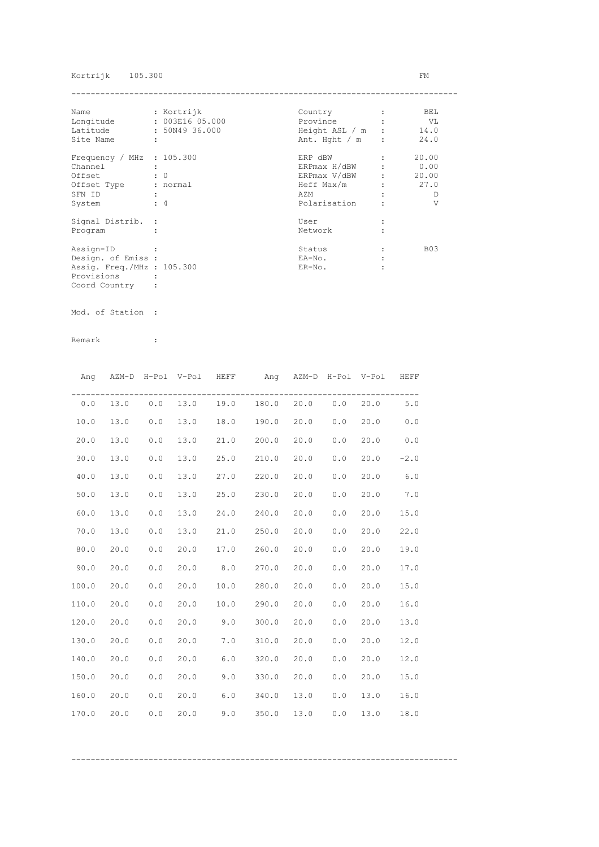## Kortrijk 105.300 FM

| Name                        |            | : Kortrijk      | Country          | BEL        |
|-----------------------------|------------|-----------------|------------------|------------|
| Longitude                   |            | : 003E16 05.000 | Province         | VL V       |
| Latitude                    |            | : 50N49 36.000  | Height ASL / m : | 14.0       |
| Site Name                   | ÷          |                 | Ant. Hght $/m$ : | 24.0       |
| Frequency / MHz : $105.300$ |            |                 | ERP dBW          | 20.00      |
| Channel                     |            |                 | ERPmax H/dBW     | 0.00       |
| Offset                      | $\colon 0$ |                 | ERPmax V/dBW     | 20.00      |
| Offset Type                 |            | : normal        | Heff Max/m       | 27.0       |
| SFN ID                      |            |                 | AZM              | D          |
| System                      | $\div$ 4   |                 | Polarisation     | V          |
| Signal Distrib. :           |            |                 | User             |            |
| Program                     |            |                 | Network          |            |
| Assign-ID                   |            |                 | Status           | <b>B03</b> |
| Design. of Emiss :          |            |                 | EA-No.           |            |
| Assig. Freq./MHz : 105.300  |            |                 | $ER-NO$ .        |            |
| Provisions                  |            |                 |                  |            |
| Coord Country               |            |                 |                  |            |

Mod. of Station :

Remark :

|       | Ang AZM-D H-Pol V-Pol HEFF |       |      |            | Ang AZM-D H-Pol V-Pol HEFF     |      |     |            |        |
|-------|----------------------------|-------|------|------------|--------------------------------|------|-----|------------|--------|
| 0.0   | 13.0                       |       |      |            | $0.0$ 13.0 19.0 180.0 20.0 0.0 |      |     | $20.0$ 5.0 |        |
| 10.0  | 13.0                       | 0.0   | 13.0 | 18.0 190.0 |                                | 20.0 | 0.0 | 20.0       | 0.0    |
| 20.0  | 13.0                       | 0.0   | 13.0 | 21.0 200.0 |                                | 20.0 | 0.0 | 20.0       | 0.0    |
| 30.0  | 13.0                       | 0.0   | 13.0 | 25.0 210.0 |                                | 20.0 | 0.0 | 20.0       | $-2.0$ |
| 40.0  | 13.0                       | 0.0   | 13.0 | 27.0 220.0 |                                | 20.0 | 0.0 | 20.0       | 6.0    |
| 50.0  | 13.0                       | 0.0   | 13.0 | 25.0 230.0 |                                | 20.0 | 0.0 | 20.0       | 7.0    |
| 60.0  | 13.0                       | 0.0   | 13.0 | 24.0 240.0 |                                | 20.0 | 0.0 | 20.0       | 15.0   |
| 70.0  | 13.0                       | 0.0   | 13.0 | 21.0 250.0 |                                | 20.0 | 0.0 | 20.0       | 22.0   |
| 80.0  | 20.0                       | 0.0   | 20.0 | 17.0       | 260.0                          | 20.0 | 0.0 | 20.0       | 19.0   |
| 90.0  | 20.0                       | 0.0   | 20.0 | 8.0        | 270.0                          | 20.0 | 0.0 | 20.0       | 17.0   |
| 100.0 | 20.0                       | 0.0   | 20.0 | 10.0       | 280.0                          | 20.0 | 0.0 | 20.0       | 15.0   |
| 110.0 | 20.0                       | 0.0   | 20.0 |            | $10.0$ 290.0                   | 20.0 | 0.0 | 20.0       | 16.0   |
| 120.0 | 20.0                       | $0.0$ | 20.0 | 9.0        | 300.0                          | 20.0 | 0.0 | 20.0       | 13.0   |
| 130.0 | 20.0                       | 0.0   | 20.0 | 7.0        | 310.0                          | 20.0 | 0.0 | 20.0       | 12.0   |
| 140.0 | 20.0                       | 0.0   | 20.0 | 6.0        | 320.0                          | 20.0 | 0.0 | 20.0       | 12.0   |
| 150.0 | 20.0                       | 0.0   | 20.0 |            | $9.0$ $330.0$                  | 20.0 | 0.0 | 20.0       | 15.0   |
| 160.0 | 20.0                       | 0.0   | 20.0 |            | $6.0$ 340.0                    | 13.0 | 0.0 | 13.0       | 16.0   |
| 170.0 | 20.0                       | 0.0   | 20.0 | 9.0        | 350.0                          | 13.0 | 0.0 | 13.0       | 18.0   |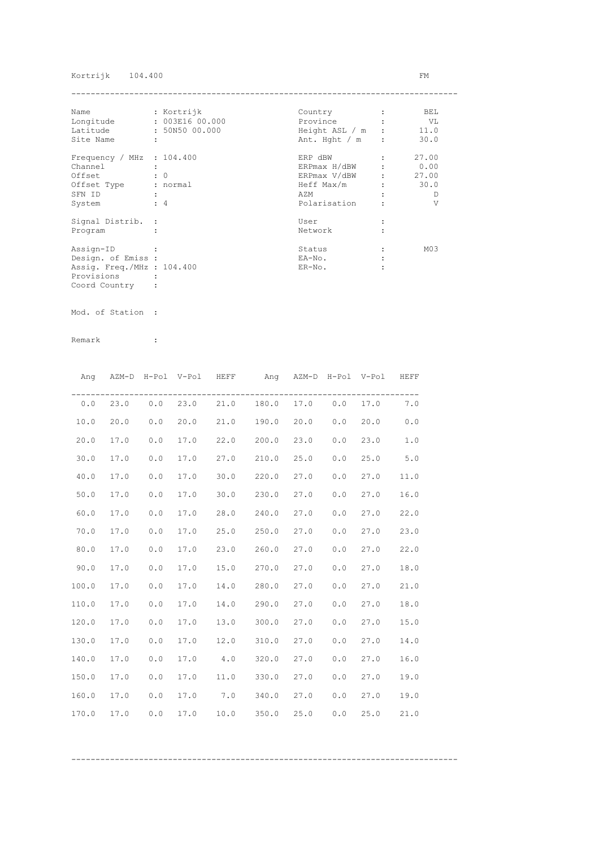## Kortrijk 104.400 FM

| Name                        | : Kortrijk      | Country          | BEL             |
|-----------------------------|-----------------|------------------|-----------------|
| Longitude                   | : 003E16 00.000 | Province         | VL V            |
| Latitude                    | : 50N50 00.000  | Height ASL / m : | 11.0            |
| Site Name                   | ÷               | Ant. Hght $/m$ : | 30.0            |
| Frequency / MHz : $104.400$ |                 | ERP dBW          | 27.00           |
| Channel                     |                 | ERPmax H/dBW     | 0.00            |
| Offset                      | $\colon 0$      | ERPmax V/dBW     | 27.00           |
| Offset Type                 | : normal        | Heff Max/m       | 30.0            |
| SFN ID                      |                 | AZM              | D               |
| System                      | $\div$ 4        | Polarisation     | V               |
| Signal Distrib. :           |                 | User             |                 |
| Program                     |                 | Network          |                 |
| Assign-ID                   |                 | Status           | M <sub>03</sub> |
| Design. of Emiss :          |                 | EA-No.           |                 |
| Assig. Freq./MHz : 104.400  |                 | $ER-NO$ .        |                 |
| Provisions                  |                 |                  |                 |
| Coord Country               |                 |                  |                 |

Mod. of Station :

Remark :

|       |      |     |      | Ang AZM-D H-Pol V-Pol HEFF ang AZM-D H-Pol V-Pol HEFF |      |       |          |      |
|-------|------|-----|------|-------------------------------------------------------|------|-------|----------|------|
|       |      |     |      | $0.0$ 23.0 $0.0$ 23.0 21.0 180.0 17.0 0.0             |      |       | 17.0 7.0 |      |
| 10.0  | 20.0 | 0.0 | 20.0 | 21.0 190.0                                            | 20.0 | 0.0   | 20.0     | 0.0  |
| 20.0  | 17.0 | 0.0 | 17.0 | 22.0 200.0                                            | 23.0 | 0.0   | 23.0     | 1.0  |
| 30.0  | 17.0 | 0.0 | 17.0 | 27.0 210.0                                            | 25.0 | 0.0   | 25.0     | 5.0  |
| 40.0  | 17.0 | 0.0 | 17.0 | $30.0$ 220.0                                          | 27.0 | 0.0   | 27.0     | 11.0 |
| 50.0  | 17.0 | 0.0 | 17.0 | $30.0$ 230.0                                          | 27.0 | 0.0   | 27.0     | 16.0 |
| 60.0  | 17.0 | 0.0 | 17.0 | 28.0 240.0                                            | 27.0 | 0.0   | 27.0     | 22.0 |
| 70.0  | 17.0 | 0.0 | 17.0 | 25.0 250.0                                            | 27.0 | 0.0   | 27.0     | 23.0 |
| 80.0  | 17.0 | 0.0 | 17.0 | 23.0 260.0                                            | 27.0 | 0.0   | 27.0     | 22.0 |
| 90.0  | 17.0 | 0.0 | 17.0 | 15.0 270.0                                            | 27.0 | 0.0   | 27.0     | 18.0 |
| 100.0 | 17.0 | 0.0 | 17.0 | 14.0 280.0                                            | 27.0 | 0.0   | 27.0     | 21.0 |
| 110.0 | 17.0 | 0.0 | 17.0 | 14.0 290.0 27.0                                       |      | 0.0   | 27.0     | 18.0 |
| 120.0 | 17.0 | 0.0 | 17.0 | 13.0 300.0 27.0                                       |      | 0.0   | 27.0     | 15.0 |
| 130.0 | 17.0 | 0.0 | 17.0 | 12.0 310.0 27.0                                       |      | 0.0   | 27.0     | 14.0 |
| 140.0 | 17.0 | 0.0 | 17.0 | $4.0$ 320.0                                           | 27.0 | 0.0   | 27.0     | 16.0 |
| 150.0 | 17.0 | 0.0 |      | 17.0 11.0 330.0                                       | 27.0 | $0.0$ | 27.0     | 19.0 |
| 160.0 | 17.0 | 0.0 |      | 17.0 7.0 340.0                                        | 27.0 | 0.0   | 27.0     | 19.0 |
| 170.0 | 17.0 | 0.0 | 17.0 | $10.0$ 350.0                                          | 25.0 | 0.0   | 25.0     | 21.0 |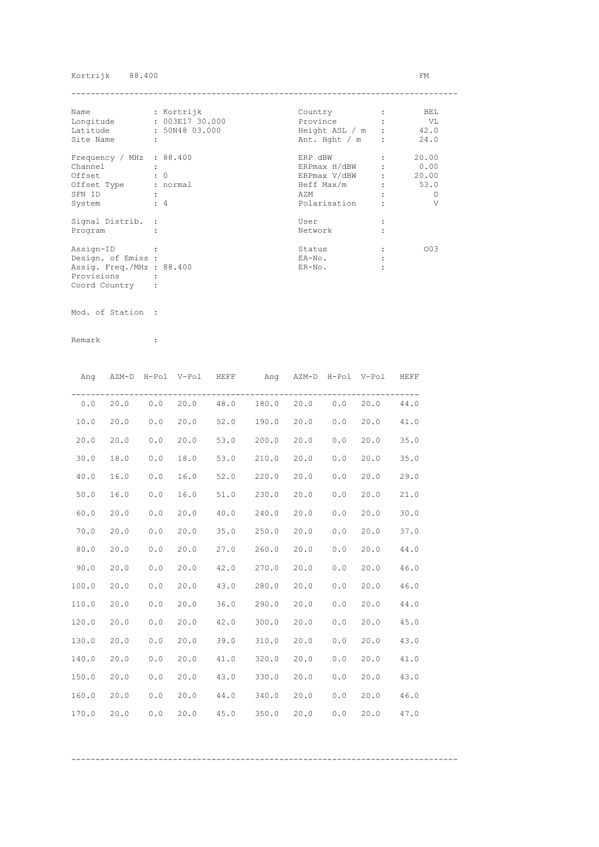## Kortrijk 88.400 FM

| Name                      |   | : Kortrijk      | Country                | BEL   |
|---------------------------|---|-----------------|------------------------|-------|
| Longitude                 |   | : 003E17 30.000 | Province               | VL V  |
| Latitude                  |   | : 50N48 03.000  | Height ASL $/m$ : 42.0 |       |
| Site Name                 | ÷ |                 | Ant. Hght $/m$ :       | 24.0  |
| Frequency / MHz : 88.400  |   |                 | ERP dBW                | 20.00 |
| Channel                   |   |                 | ERPmax H/dBW           | 0.00  |
| Offset                    |   | $\colon 0$      | ERPmax V/dBW           | 20.00 |
| Offset Type               |   | : normal        | Heff Max/m             | 53.0  |
| SFN ID                    |   |                 | AZM                    | D     |
| System                    |   | $\div$ 4        | Polarisation           | V     |
| Signal Distrib. :         |   |                 | User                   |       |
| Program                   |   |                 | Network                |       |
| Assign-ID                 |   |                 | Status                 | 003   |
| Design. of Emiss :        |   |                 | EA-No.                 |       |
| Assig. Freq./MHz : 88.400 |   |                 | $ER-NO$ .              |       |
| Provisions                |   |                 |                        |       |
| Coord Country             |   |                 |                        |       |

Mod. of Station :

|       |      |     | Ang AZM-D H-Pol V-Pol HEFF |            | Ang AZM-D H-Pol V-Pol HEFF     |      |     |      |      |
|-------|------|-----|----------------------------|------------|--------------------------------|------|-----|------|------|
| 0.0   | 20.0 |     |                            |            | $0.0$ 20.0 48.0 180.0 20.0 0.0 |      |     | 20.0 | 44.0 |
| 10.0  | 20.0 | 0.0 | 20.0                       |            | 52.0 190.0 20.0                |      | 0.0 | 20.0 | 41.0 |
| 20.0  | 20.0 | 0.0 | 20.0                       |            | 53.0 200.0                     | 20.0 | 0.0 | 20.0 | 35.0 |
| 30.0  | 18.0 | 0.0 | 18.0                       |            | 53.0 210.0                     | 20.0 | 0.0 | 20.0 | 35.0 |
| 40.0  | 16.0 | 0.0 | 16.0                       | 52.0 220.0 |                                | 20.0 | 0.0 | 20.0 | 29.0 |
| 50.0  | 16.0 | 0.0 | 16.0                       | 51.0       | 230.0                          | 20.0 | 0.0 | 20.0 | 21.0 |
| 60.0  | 20.0 | 0.0 | 20.0                       | 40.0       | 240.0                          | 20.0 | 0.0 | 20.0 | 30.0 |
| 70.0  | 20.0 | 0.0 | 20.0                       | 35.0       | 250.0                          | 20.0 | 0.0 | 20.0 | 37.0 |
| 80.0  | 20.0 | 0.0 | 20.0                       | 27.0       | 260.0                          | 20.0 | 0.0 | 20.0 | 44.0 |
| 90.0  | 20.0 | 0.0 | 20.0                       | 42.0       | 270.0                          | 20.0 | 0.0 | 20.0 | 46.0 |
| 100.0 | 20.0 | 0.0 | 20.0                       | 43.0       | 280.0                          | 20.0 | 0.0 | 20.0 | 46.0 |
| 110.0 | 20.0 | 0.0 | 20.0                       | 36.0       | 290.0                          | 20.0 | 0.0 | 20.0 | 44.0 |
| 120.0 | 20.0 | 0.0 | 20.0                       | 42.0       | 300.0                          | 20.0 | 0.0 | 20.0 | 45.0 |
| 130.0 | 20.0 | 0.0 | 20.0                       | 39.0       | 310.0                          | 20.0 | 0.0 | 20.0 | 43.0 |
| 140.0 | 20.0 | 0.0 | 20.0                       |            | 41.0 320.0 20.0                |      | 0.0 | 20.0 | 41.0 |
| 150.0 | 20.0 | 0.0 | 20.0                       |            | 43.0 330.0 20.0                |      | 0.0 | 20.0 | 43.0 |
| 160.0 | 20.0 | 0.0 | 20.0                       |            | 44.0 340.0                     | 20.0 | 0.0 | 20.0 | 46.0 |
| 170.0 | 20.0 | 0.0 | 20.0                       |            | 45.0 350.0                     | 20.0 | 0.0 | 20.0 | 47.0 |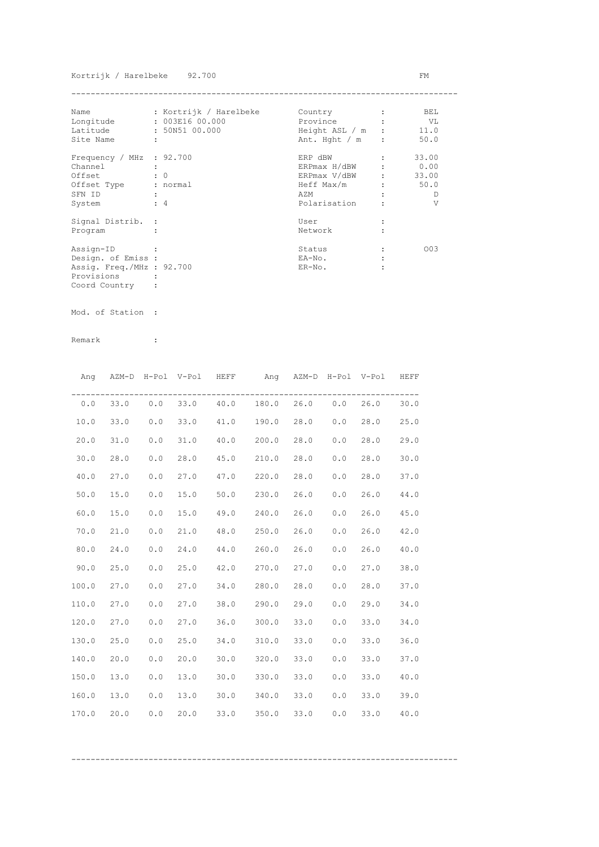## Kortrijk / Harelbeke 92.700 FM

| Name                      |   | : Kortrijk / Harelbeke | Country          | BEL   |
|---------------------------|---|------------------------|------------------|-------|
| Longitude                 |   | : 003E16 00.000        | Province         | VL V  |
| Latitude                  |   | : 50N51 00.000         | Height ASL / m : | 11.0  |
| Site Name                 | ÷ |                        | Ant. Hght $/m$ : | 50.0  |
| Frequency / MHz : 92.700  |   |                        | ERP dBW          | 33.00 |
| Channel                   |   |                        | ERPmax H/dBW     | 0.00  |
| Offset                    |   | $\colon 0$             | ERPmax V/dBW     | 33.00 |
| Offset Type               |   | : normal               | Heff Max/m       | 50.0  |
| SFN ID                    |   |                        | AZM              | D     |
| System                    |   | $\div$ 4               | Polarisation     | V     |
| Signal Distrib. :         |   |                        | User             |       |
| Program                   |   |                        | Network          |       |
| Assign-ID                 |   |                        | Status           | 003   |
| Design. of Emiss :        |   |                        | EA-No.           |       |
| Assig. Freq./MHz : 92.700 |   |                        | $ER-NO$ .        |       |
| Provisions                |   |                        |                  |       |
| Coord Country             |   |                        |                  |       |

Mod. of Station :

Remark :

|       |      |     | Ang AZM-D H-Pol V-Pol HEFF |      | Ang AZM-D H-Pol V-Pol HEFF              |      |     |      |      |
|-------|------|-----|----------------------------|------|-----------------------------------------|------|-----|------|------|
| 0.0   |      |     |                            |      | 33.0  0.0  33.0  40.0  180.0  26.0  0.0 |      |     | 26.0 | 30.0 |
| 10.0  | 33.0 | 0.0 | 33.0                       |      | 41.0 190.0 28.0 0.0                     |      |     | 28.0 | 25.0 |
| 20.0  | 31.0 | 0.0 | 31.0                       |      | 40.0 200.0                              | 28.0 | 0.0 | 28.0 | 29.0 |
| 30.0  | 28.0 | 0.0 | 28.0                       |      | 45.0 210.0                              | 28.0 | 0.0 | 28.0 | 30.0 |
| 40.0  | 27.0 | 0.0 | 27.0                       |      | 47.0 220.0                              | 28.0 | 0.0 | 28.0 | 37.0 |
| 50.0  | 15.0 | 0.0 | 15.0                       |      | $50.0$ 230.0                            | 26.0 | 0.0 | 26.0 | 44.0 |
| 60.0  | 15.0 | 0.0 | 15.0                       | 49.0 | 240.0                                   | 26.0 | 0.0 | 26.0 | 45.0 |
| 70.0  | 21.0 | 0.0 | 21.0                       | 48.0 | 250.0                                   | 26.0 | 0.0 | 26.0 | 42.0 |
| 80.0  | 24.0 | 0.0 | 24.0                       | 44.0 | 260.0                                   | 26.0 | 0.0 | 26.0 | 40.0 |
| 90.0  | 25.0 | 0.0 | 25.0                       |      | 42.0 270.0                              | 27.0 | 0.0 | 27.0 | 38.0 |
| 100.0 | 27.0 | 0.0 | 27.0                       |      | 34.0 280.0                              | 28.0 | 0.0 | 28.0 | 37.0 |
| 110.0 | 27.0 | 0.0 | 27.0                       |      | 38.0 290.0                              | 29.0 | 0.0 | 29.0 | 34.0 |
| 120.0 | 27.0 | 0.0 | 27.0                       |      | 36.0 300.0                              | 33.0 | 0.0 | 33.0 | 34.0 |
| 130.0 | 25.0 | 0.0 | 25.0                       |      | 34.0 310.0                              | 33.0 | 0.0 | 33.0 | 36.0 |
| 140.0 | 20.0 | 0.0 | 20.0                       |      | $30.0$ $320.0$                          | 33.0 | 0.0 | 33.0 | 37.0 |
| 150.0 | 13.0 | 0.0 | 13.0                       |      | $30.0$ $330.0$                          | 33.0 | 0.0 | 33.0 | 40.0 |
| 160.0 | 13.0 | 0.0 | 13.0                       |      | 30.0 340.0                              | 33.0 | 0.0 | 33.0 | 39.0 |
| 170.0 | 20.0 | 0.0 | 20.0                       | 33.0 | 350.0                                   | 33.0 | 0.0 | 33.0 | 40.0 |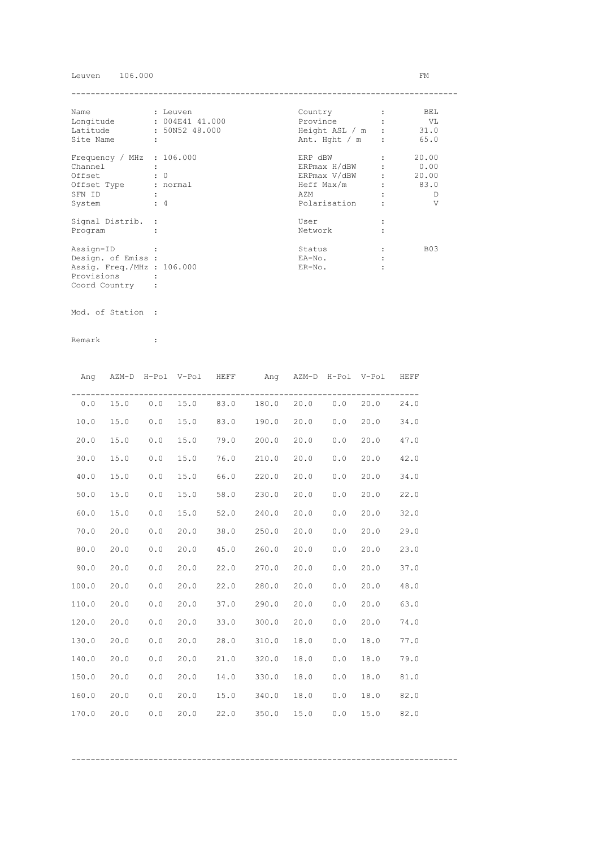Leuven 106.000 FM

| Name                        | : Leuven             | Country                | $\mathbf{r}$         | BEL            |
|-----------------------------|----------------------|------------------------|----------------------|----------------|
| Longitude                   | $: 004E41$ $41.000$  | Province               |                      | VL             |
| Latitude : 50N52 48.000     |                      | Height ASL $/m$ : 31.0 |                      |                |
| Site Name                   |                      | Ant. Hght $/m$ :       |                      | 65.0           |
| Frequency / MHz $: 106.000$ |                      | ERP dBW                | $\ddot{\phantom{a}}$ | 20.00          |
| Channel                     | $\ddot{\cdot}$       | ERPmax H/dBW : 0.00    |                      |                |
| Offset                      | $\colon 0$           | ERPmax V/dBW :         |                      | 20.00          |
| Offset Type : normal        |                      | $Heff Max/m$ : 83.0    |                      |                |
| SFN ID                      | $\sim$ $\sim$        | AZM                    |                      | D              |
| System                      | $\div$ 4             | Polarisation           |                      | $\overline{V}$ |
| Signal Distrib. :           |                      | User                   |                      |                |
| Program                     | $\ddot{\phantom{a}}$ | Network                | $\ddot{\phantom{a}}$ |                |
| Assign-ID                   |                      | Status                 |                      | <b>B03</b>     |
| Design. of Emiss :          |                      | EA-No.                 |                      |                |
| Assig. Freq./MHz : 106.000  |                      | $ER-NO.$               |                      |                |
| Provisions                  |                      |                        |                      |                |
| Coord Country               |                      |                        |                      |                |

Mod. of Station :

|       |      |       | Ang AZM-D H-Pol V-Pol HEFF |      | Ang AZM-D H-Pol V-Pol HEFF        |      |     |      |      |
|-------|------|-------|----------------------------|------|-----------------------------------|------|-----|------|------|
| 0.0   |      |       |                            |      | 15.0 0.0 15.0 83.0 180.0 20.0 0.0 |      |     | 20.0 | 24.0 |
| 10.0  | 15.0 | 0.0   | 15.0                       |      | 83.0 190.0 20.0                   |      | 0.0 | 20.0 | 34.0 |
| 20.0  | 15.0 | 0.0   | 15.0                       |      | 79.0 200.0                        | 20.0 | 0.0 | 20.0 | 47.0 |
| 30.0  | 15.0 | 0.0   | 15.0                       |      | 76.0 210.0                        | 20.0 | 0.0 | 20.0 | 42.0 |
| 40.0  | 15.0 | 0.0   | 15.0                       |      | 66.0 220.0                        | 20.0 | 0.0 | 20.0 | 34.0 |
| 50.0  | 15.0 | 0.0   | 15.0                       |      | 58.0 230.0                        | 20.0 | 0.0 | 20.0 | 22.0 |
| 60.0  | 15.0 | 0.0   | 15.0                       |      | 52.0 240.0                        | 20.0 | 0.0 | 20.0 | 32.0 |
| 70.0  | 20.0 | 0.0   | 20.0                       |      | 38.0 250.0                        | 20.0 | 0.0 | 20.0 | 29.0 |
| 80.0  | 20.0 | 0.0   | 20.0                       |      | 45.0 260.0                        | 20.0 | 0.0 | 20.0 | 23.0 |
| 90.0  | 20.0 | $0.0$ | 20.0                       |      | 22.0 270.0                        | 20.0 | 0.0 | 20.0 | 37.0 |
| 100.0 | 20.0 | 0.0   | 20.0                       |      | 22.0 280.0                        | 20.0 | 0.0 | 20.0 | 48.0 |
| 110.0 | 20.0 | 0.0   | 20.0                       |      | 37.0 290.0                        | 20.0 | 0.0 | 20.0 | 63.0 |
| 120.0 | 20.0 | 0.0   | 20.0                       |      | 33.0 300.0                        | 20.0 | 0.0 | 20.0 | 74.0 |
| 130.0 | 20.0 | 0.0   | 20.0                       |      | 28.0 310.0                        | 18.0 | 0.0 | 18.0 | 77.0 |
| 140.0 | 20.0 | 0.0   | 20.0                       |      | 21.0 320.0                        | 18.0 | 0.0 | 18.0 | 79.0 |
| 150.0 | 20.0 | 0.0   | 20.0                       |      | 14.0 330.0                        | 18.0 | 0.0 | 18.0 | 81.0 |
| 160.0 | 20.0 | 0.0   | 20.0                       |      | 15.0 340.0                        | 18.0 | 0.0 | 18.0 | 82.0 |
| 170.0 | 20.0 | 0.0   | 20.0                       | 22.0 | 350.0                             | 15.0 | 0.0 | 15.0 | 82.0 |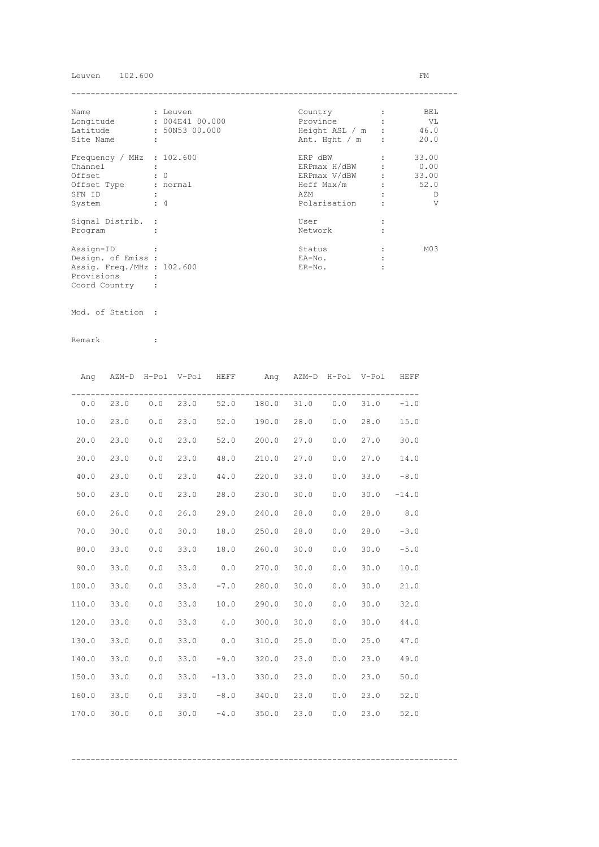Leuven 102.600 FM

| Name                        | : Leuven        | Country          | BEL             |
|-----------------------------|-----------------|------------------|-----------------|
| Longitude                   | : 004E41 00.000 | Province         | VL              |
| Latitude                    | : 50N53 00.000  | Height ASL / m : | 46.0            |
| Site Name                   | ÷               | Ant. Hght $/m$ : | 20.0            |
| Frequency / MHz : $102.600$ |                 | ERP dBW          | 33.00           |
| Channel                     |                 | ERPmax H/dBW     | 0.00            |
| Offset                      | $\colon 0$      | ERPmax V/dBW     | 33.00           |
| Offset Type                 | : normal        | Heff Max/m       | 52.0            |
| SFN ID                      |                 | AZM              | D               |
| System                      | $\div$ 4        | Polarisation     | V               |
| Signal Distrib. :           |                 | User             |                 |
| Program                     |                 | Network          |                 |
| Assign-ID                   |                 | Status           | M <sub>03</sub> |
| Design. of Emiss :          |                 | EA-No.           |                 |
| Assig. Freq./MHz : 102.600  |                 | $ER-NO$ .        |                 |
| Provisions                  |                 |                  |                 |
| Coord Country               |                 |                  |                 |

Mod. of Station :

Remark :

| Ang   |            | AZM-D H-Pol V-Pol HEFF |      |                       | Ang AZM-D H-Pol V-Pol |      |                       |      | HEFF    |
|-------|------------|------------------------|------|-----------------------|-----------------------|------|-----------------------|------|---------|
|       | $0.0$ 23.0 |                        |      | $0.0$ 23.0 52.0 180.0 |                       |      | $31.0\qquad0.0$       | 31.0 | $-1.0$  |
| 10.0  | 23.0       | 0.0                    | 23.0 | 52.0 190.0            |                       | 28.0 | 0.0                   | 28.0 | 15.0    |
| 20.0  | 23.0       | 0.0                    | 23.0 | 52.0 200.0            |                       | 27.0 | 0.0                   | 27.0 | 30.0    |
| 30.0  | 23.0       | 0.0                    | 23.0 | 48.0                  | 210.0                 | 27.0 | 0.0                   | 27.0 | 14.0    |
| 40.0  | 23.0       | 0.0                    | 23.0 | 44.0                  | 220.0                 | 33.0 | 0.0                   | 33.0 | $-8.0$  |
| 50.0  | 23.0       | 0.0                    | 23.0 | 28.0                  | 230.0                 | 30.0 | ${\bf 0}$ . ${\bf 0}$ | 30.0 | $-14.0$ |
| 60.0  | 26.0       | 0.0                    | 26.0 | 29.0                  | 240.0                 | 28.0 | 0.0                   | 28.0 | 8.0     |
| 70.0  | 30.0       | 0.0                    | 30.0 | 18.0                  | 250.0                 | 28.0 | 0.0                   | 28.0 | $-3.0$  |
| 80.0  | 33.0       | 0.0                    | 33.0 | 18.0                  | 260.0                 | 30.0 | 0.0                   | 30.0 | $-5.0$  |
| 90.0  | 33.0       | 0.0                    | 33.0 |                       | $0.0$ 270.0           | 30.0 | 0.0                   | 30.0 | 10.0    |
| 100.0 | 33.0       | 0.0                    | 33.0 |                       | $-7.0$ 280.0          | 30.0 | 0.0                   | 30.0 | 21.0    |
| 110.0 | 33.0       | 0.0                    | 33.0 | 10.0                  | 290.0                 | 30.0 | 0.0                   | 30.0 | 32.0    |
| 120.0 | 33.0       | 0.0                    | 33.0 | 4.0                   | 300.0                 | 30.0 | 0.0                   | 30.0 | 44.0    |
| 130.0 | 33.0       | 0.0                    | 33.0 | 0.0                   | 310.0                 | 25.0 | 0.0                   | 25.0 | 47.0    |
| 140.0 | 33.0       | 0.0                    | 33.0 | $-9.0$                | 320.0                 | 23.0 | 0.0                   | 23.0 | 49.0    |
| 150.0 | 33.0       | 0.0                    | 33.0 | $-13.0$               | 330.0                 | 23.0 | 0.0                   | 23.0 | 50.0    |
| 160.0 | 33.0       | 0.0                    | 33.0 |                       | $-8.0$ 340.0          | 23.0 | 0.0                   | 23.0 | 52.0    |
| 170.0 | 30.0       | 0.0                    | 30.0 | $-4.0$ 350.0 23.0     |                       |      | 0.0                   | 23.0 | 52.0    |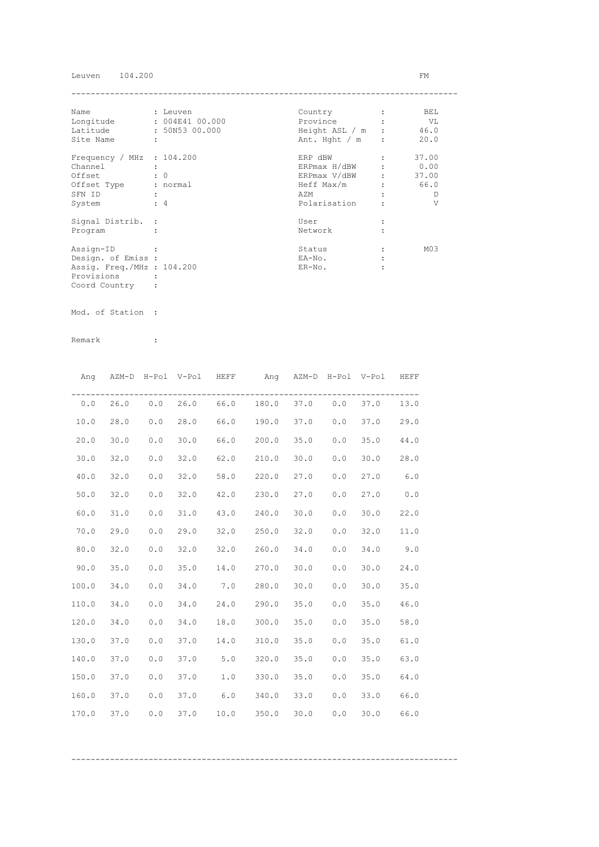Leuven 104.200 FM

| Name                        | : Leuven             | Country          | BEL             |
|-----------------------------|----------------------|------------------|-----------------|
| Longitude                   | : 004E41 00.000      | Province         | VL              |
| Latitude                    | : 50N53 00.000       | Height ASL / m : | 46.0            |
| Site Name                   | $\ddot{\phantom{a}}$ | Ant. Hght $/m$ : | 20.0            |
| Frequency / MHz : $104.200$ |                      | ERP dBW          | 37.00           |
| Channel                     |                      | ERPmax H/dBW     | 0.00            |
| Offset                      | $\colon 0$           | ERPmax V/dBW     | 37.00           |
| Offset Type : normal        |                      | Heff Max/m       | 66.0            |
| SFN ID                      | $\ddot{\phantom{a}}$ | AZM              | Ð               |
| System                      | $\div$ 4             | Polarisation     | V               |
| Signal Distrib. :           |                      | User             |                 |
| Program                     |                      | Network          |                 |
| Assign-ID                   |                      | Status           | M <sub>03</sub> |
| Design. of Emiss :          |                      | EA-No.           |                 |
| Assig. Freq./MHz : 104.200  |                      | $ER-NO$ .        |                 |
| Provisions                  |                      |                  |                 |
| Coord Country               |                      |                  |                 |

Mod. of Station :

Remark :

|       |      |     |      | Ang AZM-D H-Pol V-Pol HEFF | Ang AZM-D H-Pol V-Pol HEFF              |      |     |      |      |
|-------|------|-----|------|----------------------------|-----------------------------------------|------|-----|------|------|
|       |      |     |      |                            | $0.0$ 26.0 0.0 26.0 66.0 180.0 37.0 0.0 |      |     | 37.0 | 13.0 |
| 10.0  | 28.0 | 0.0 | 28.0 |                            | 66.0 190.0 37.0                         |      | 0.0 | 37.0 | 29.0 |
| 20.0  | 30.0 | 0.0 | 30.0 |                            | 66.0 200.0                              | 35.0 | 0.0 | 35.0 | 44.0 |
| 30.0  | 32.0 | 0.0 | 32.0 |                            | 62.0 210.0                              | 30.0 | 0.0 | 30.0 | 28.0 |
| 40.0  | 32.0 | 0.0 | 32.0 | 58.0 220.0                 |                                         | 27.0 | 0.0 | 27.0 | 6.0  |
| 50.0  | 32.0 | 0.0 | 32.0 | 42.0 230.0                 |                                         | 27.0 | 0.0 | 27.0 | 0.0  |
| 60.0  | 31.0 | 0.0 | 31.0 |                            | 43.0 240.0                              | 30.0 | 0.0 | 30.0 | 22.0 |
| 70.0  | 29.0 | 0.0 | 29.0 |                            | 32.0 250.0                              | 32.0 | 0.0 | 32.0 | 11.0 |
| 80.0  | 32.0 | 0.0 | 32.0 |                            | 32.0 260.0                              | 34.0 | 0.0 | 34.0 | 9.0  |
| 90.0  | 35.0 | 0.0 | 35.0 |                            | 14.0 270.0                              | 30.0 | 0.0 | 30.0 | 24.0 |
| 100.0 | 34.0 | 0.0 | 34.0 |                            | 7.0 280.0                               | 30.0 | 0.0 | 30.0 | 35.0 |
| 110.0 | 34.0 | 0.0 | 34.0 |                            | 24.0 290.0                              | 35.0 | 0.0 | 35.0 | 46.0 |
| 120.0 | 34.0 | 0.0 | 34.0 |                            | 18.0 300.0                              | 35.0 | 0.0 | 35.0 | 58.0 |
| 130.0 | 37.0 | 0.0 | 37.0 |                            | 14.0 310.0                              | 35.0 | 0.0 | 35.0 | 61.0 |
| 140.0 | 37.0 | 0.0 | 37.0 |                            | $5.0$ $320.0$                           | 35.0 | 0.0 | 35.0 | 63.0 |
| 150.0 | 37.0 | 0.0 | 37.0 |                            | $1.0$ 330.0                             | 35.0 | 0.0 | 35.0 | 64.0 |
| 160.0 | 37.0 | 0.0 |      |                            | 37.0 6.0 340.0                          | 33.0 | 0.0 | 33.0 | 66.0 |
| 170.0 | 37.0 | 0.0 | 37.0 |                            | $10.0$ 350.0                            | 30.0 | 0.0 | 30.0 | 66.0 |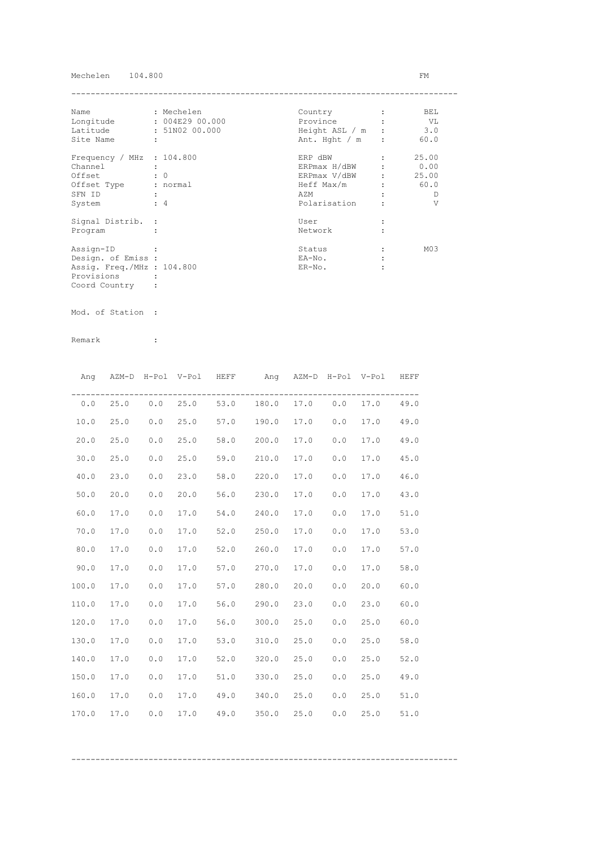## Mechelen 104.800 FM

| Name                        | : Mechelen      | Country          | BEL             |
|-----------------------------|-----------------|------------------|-----------------|
| Longitude                   | : 004E29 00.000 | Province         | VL V            |
| Latitude                    | : 51N02 00.000  | Height ASL / m : | 3.0             |
| Site Name                   | ÷               | Ant. Hght $/m$ : | 60.0            |
| Frequency / MHz : $104.800$ |                 | ERP dBW          | 25.00           |
| Channel                     |                 | ERPmax H/dBW     | 0.00            |
| Offset                      | $\colon 0$      | ERPmax V/dBW     | 25.00           |
| Offset Type                 | : normal        | Heff Max/m       | 60.0            |
| SFN ID                      |                 | AZM              | D               |
| System                      | $\div$ 4        | Polarisation     | V               |
| Signal Distrib. :           |                 | User             |                 |
| Program                     |                 | Network          |                 |
| Assign-ID                   |                 | Status           | M <sub>03</sub> |
| Design. of Emiss :          |                 | EA-No.           |                 |
| Assig. Freq./MHz : 104.800  |                 | $ER-NO$ .        |                 |
| Provisions                  |                 |                  |                 |
| Coord Country               |                 |                  |                 |

Mod. of Station :

|       |      |     |      | Ang AZM-D H-Pol V-Pol HEFF ang AZM-D H-Pol V-Pol HEFF |      |     |      |      |
|-------|------|-----|------|-------------------------------------------------------|------|-----|------|------|
|       |      |     |      | $0.0$ 25.0 0.0 25.0 53.0 180.0 17.0 0.0               |      |     | 17.0 | 49.0 |
| 10.0  | 25.0 | 0.0 | 25.0 | 57.0 190.0                                            | 17.0 | 0.0 | 17.0 | 49.0 |
| 20.0  | 25.0 | 0.0 | 25.0 | 58.0 200.0                                            | 17.0 | 0.0 | 17.0 | 49.0 |
| 30.0  | 25.0 | 0.0 | 25.0 | 59.0 210.0                                            | 17.0 | 0.0 | 17.0 | 45.0 |
| 40.0  | 23.0 | 0.0 | 23.0 | 58.0 220.0                                            | 17.0 | 0.0 | 17.0 | 46.0 |
| 50.0  | 20.0 | 0.0 | 20.0 | 56.0 230.0                                            | 17.0 | 0.0 | 17.0 | 43.0 |
| 60.0  | 17.0 | 0.0 | 17.0 | 54.0 240.0                                            | 17.0 | 0.0 | 17.0 | 51.0 |
| 70.0  | 17.0 | 0.0 | 17.0 | 52.0 250.0                                            | 17.0 | 0.0 | 17.0 | 53.0 |
| 80.0  | 17.0 | 0.0 | 17.0 | 52.0 260.0                                            | 17.0 | 0.0 | 17.0 | 57.0 |
| 90.0  | 17.0 | 0.0 | 17.0 | 57.0 270.0                                            | 17.0 | 0.0 | 17.0 | 58.0 |
| 100.0 | 17.0 | 0.0 | 17.0 | 57.0 280.0                                            | 20.0 | 0.0 | 20.0 | 60.0 |
| 110.0 | 17.0 | 0.0 | 17.0 | 56.0 290.0                                            | 23.0 | 0.0 | 23.0 | 60.0 |
| 120.0 | 17.0 | 0.0 | 17.0 | 56.0 300.0                                            | 25.0 | 0.0 | 25.0 | 60.0 |
| 130.0 | 17.0 | 0.0 | 17.0 | 53.0 310.0                                            | 25.0 | 0.0 | 25.0 | 58.0 |
| 140.0 | 17.0 | 0.0 | 17.0 | 52.0 320.0                                            | 25.0 | 0.0 | 25.0 | 52.0 |
| 150.0 | 17.0 | 0.0 | 17.0 | 51.0 330.0                                            | 25.0 | 0.0 | 25.0 | 49.0 |
| 160.0 | 17.0 | 0.0 | 17.0 | 49.0 340.0                                            | 25.0 | 0.0 | 25.0 | 51.0 |
| 170.0 | 17.0 | 0.0 | 17.0 | 49.0 350.0 25.0                                       |      | 0.0 | 25.0 | 51.0 |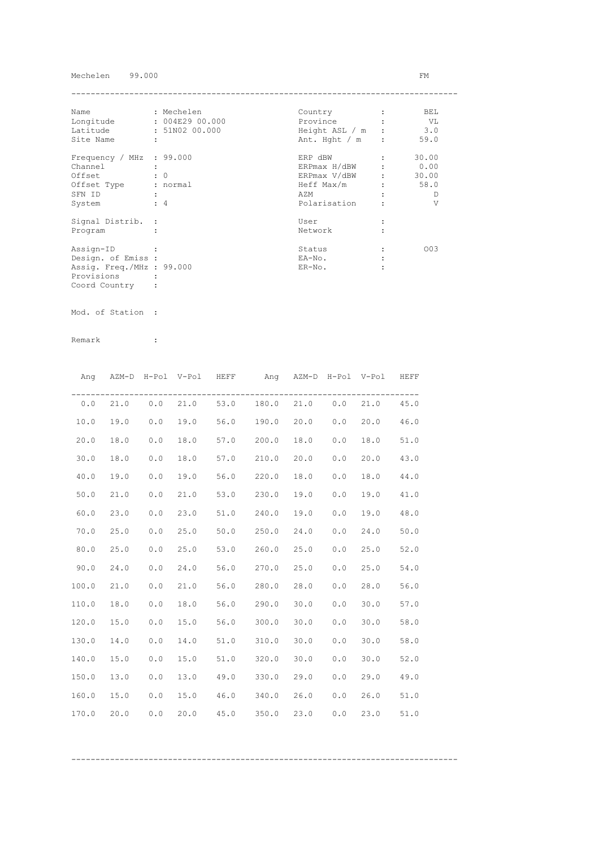## Mechelen 99.000 FM

| Name                      | : Mechelen           | Country        | BEL   |
|---------------------------|----------------------|----------------|-------|
| Longitude                 | : 004E29 00.000      | Province       | - VL  |
| Latitude                  | : 51N02 00.000       | Height ASL / m | 3.0   |
| Site Name                 | $\ddot{\phantom{a}}$ | Ant. Hght / m  | 59.0  |
| Frequency / MHz : 99.000  |                      | ERP dBW        | 30.00 |
| Channel                   |                      | ERPmax H/dBW   | 0.00  |
| Offset                    | $\colon 0$           | ERPmax V/dBW   | 30.00 |
| Offset Type               | : normal             | Heff Max/m     | 58.0  |
| SFN ID                    |                      | AZM            | Ð     |
| System                    | $\div$ 4             | Polarisation   | V     |
| Signal Distrib. :         |                      | User           |       |
| Program                   |                      | Network        |       |
| Assign-ID                 |                      | Status         | 003   |
| Design. of Emiss :        |                      | EA-No.         |       |
| Assig. Freq./MHz : 99.000 |                      | $ER-NO$ .      |       |
| Provisions                |                      |                |       |
| Coord Country             |                      |                |       |

Mod. of Station :

|       |      |     | Ang AZM-D H-Pol V-Pol HEFF |      | Ang AZM-D H-Pol V-Pol HEFF                |      |     |      |      |
|-------|------|-----|----------------------------|------|-------------------------------------------|------|-----|------|------|
|       |      |     |                            |      | $0.0$ 21.0 $0.0$ 21.0 53.0 180.0 21.0 0.0 |      |     | 21.0 | 45.0 |
| 10.0  | 19.0 | 0.0 | 19.0                       |      | 56.0 190.0 20.0                           |      | 0.0 | 20.0 | 46.0 |
| 20.0  | 18.0 | 0.0 | 18.0                       |      | 57.0 200.0                                | 18.0 | 0.0 | 18.0 | 51.0 |
| 30.0  | 18.0 | 0.0 | 18.0                       |      | 57.0 210.0                                | 20.0 | 0.0 | 20.0 | 43.0 |
| 40.0  | 19.0 | 0.0 | 19.0                       |      | 56.0 220.0                                | 18.0 | 0.0 | 18.0 | 44.0 |
| 50.0  | 21.0 | 0.0 | 21.0                       |      | 53.0 230.0                                | 19.0 | 0.0 | 19.0 | 41.0 |
| 60.0  | 23.0 | 0.0 | 23.0                       |      | 51.0 240.0                                | 19.0 | 0.0 | 19.0 | 48.0 |
| 70.0  | 25.0 | 0.0 | 25.0                       |      | 50.0 250.0                                | 24.0 | 0.0 | 24.0 | 50.0 |
| 80.0  | 25.0 | 0.0 | 25.0                       |      | 53.0 260.0                                | 25.0 | 0.0 | 25.0 | 52.0 |
| 90.0  | 24.0 | 0.0 | 24.0                       |      | 56.0 270.0                                | 25.0 | 0.0 | 25.0 | 54.0 |
| 100.0 | 21.0 | 0.0 | 21.0                       |      | 56.0 280.0                                | 28.0 | 0.0 | 28.0 | 56.0 |
| 110.0 | 18.0 | 0.0 | 18.0                       |      | 56.0 290.0                                | 30.0 | 0.0 | 30.0 | 57.0 |
| 120.0 | 15.0 | 0.0 | 15.0                       |      | 56.0 300.0                                | 30.0 | 0.0 | 30.0 | 58.0 |
| 130.0 | 14.0 | 0.0 | 14.0                       |      | 51.0 310.0                                | 30.0 | 0.0 | 30.0 | 58.0 |
| 140.0 | 15.0 | 0.0 | 15.0                       |      | 51.0 320.0                                | 30.0 | 0.0 | 30.0 | 52.0 |
| 150.0 | 13.0 | 0.0 | 13.0                       |      | 49.0 330.0                                | 29.0 | 0.0 | 29.0 | 49.0 |
| 160.0 | 15.0 | 0.0 | 15.0                       |      | 46.0 340.0                                | 26.0 | 0.0 | 26.0 | 51.0 |
| 170.0 | 20.0 | 0.0 | 20.0                       | 45.0 | 350.0                                     | 23.0 | 0.0 | 23.0 | 51.0 |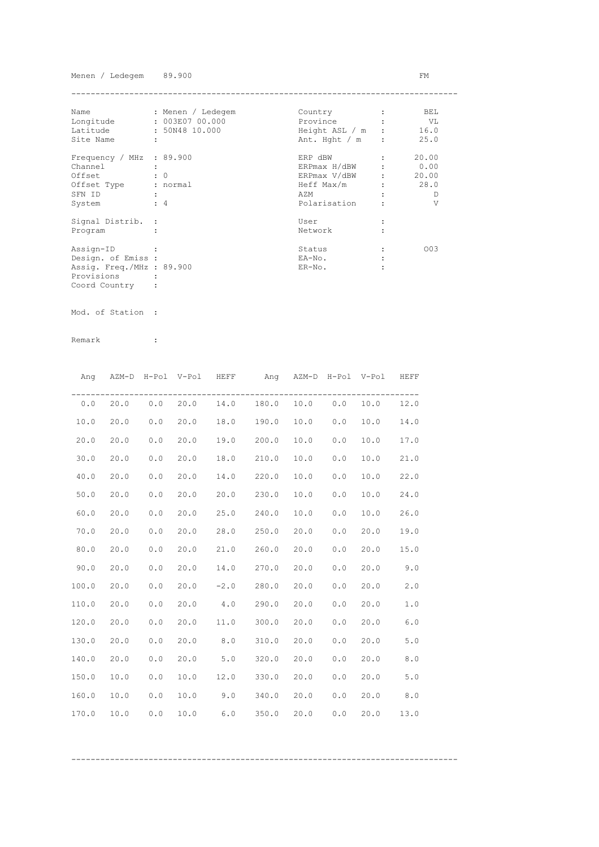Menen / Ledegem 89.900 FM

| Name                      | : Menen / Ledegem    | Country          |                               | BEL.  |
|---------------------------|----------------------|------------------|-------------------------------|-------|
| Longitude                 | : 003E07 00.000      | Province         |                               | VL    |
| Latitude                  | : 50N48 10.000       | Height ASL / m : |                               | 16.0  |
| Site Name                 | $\ddot{\phantom{a}}$ | Ant. Hght / m    | $\cdot$                       | 25.0  |
| Frequency / MHz : 89.900  |                      | ERP dBW          |                               | 20.00 |
| Channel                   |                      | ERPmax H/dBW     |                               | 0.00  |
| Offset                    | $\colon 0$           | ERPmax V/dBW     | $\mathbf{r}$ and $\mathbf{r}$ | 20.00 |
| Offset Type               | : normal             | Heff Max/m       |                               | 28.0  |
| SFN ID                    |                      | AZM              |                               | Ð     |
| System                    | $\div$ 4             | Polarisation     |                               | V     |
| Signal Distrib. :         |                      | User             |                               |       |
| Program                   |                      | Network          |                               |       |
| Assign-ID                 |                      | Status           |                               | 003   |
| Design. of Emiss :        |                      | EA-No.           |                               |       |
| Assig. Freq./MHz : 89.900 |                      | $ER-NO$ .        |                               |       |
| Provisions                |                      |                  |                               |       |
| Coord Country             |                      |                  |                               |       |

Mod. of Station :

Remark :

|       |      |       | Ang AZM-D H-Pol V-Pol HEFF |      | Ang AZM-D H-Pol V-Pol HEFF              |      |     |      |       |
|-------|------|-------|----------------------------|------|-----------------------------------------|------|-----|------|-------|
|       |      |       |                            |      | $0.0$ 20.0 0.0 20.0 14.0 180.0 10.0 0.0 |      |     | 10.0 | 12.0  |
| 10.0  | 20.0 | 0.0   | 20.0                       |      | 18.0 190.0                              | 10.0 | 0.0 | 10.0 | 14.0  |
| 20.0  | 20.0 | 0.0   | 20.0                       |      | 19.0 200.0                              | 10.0 | 0.0 | 10.0 | 17.0  |
| 30.0  | 20.0 | 0.0   | 20.0                       |      | 18.0 210.0                              | 10.0 | 0.0 | 10.0 | 21.0  |
| 40.0  | 20.0 | 0.0   | 20.0                       |      | 14.0 220.0                              | 10.0 | 0.0 | 10.0 | 22.0  |
| 50.0  | 20.0 | 0.0   | 20.0                       |      | 20.0 230.0                              | 10.0 | 0.0 | 10.0 | 24.0  |
| 60.0  | 20.0 | 0.0   | 20.0                       | 25.0 | 240.0                                   | 10.0 | 0.0 | 10.0 | 26.0  |
| 70.0  | 20.0 | 0.0   | 20.0                       | 28.0 | 250.0                                   | 20.0 | 0.0 | 20.0 | 19.0  |
| 80.0  | 20.0 | 0.0   | 20.0                       |      | 21.0 260.0                              | 20.0 | 0.0 | 20.0 | 15.0  |
| 90.0  | 20.0 | $0.0$ | 20.0                       |      | 14.0 270.0                              | 20.0 | 0.0 | 20.0 | 9.0   |
| 100.0 | 20.0 | 0.0   | 20.0                       |      | $-2.0$ 280.0                            | 20.0 | 0.0 | 20.0 | 2.0   |
| 110.0 | 20.0 | 0.0   | 20.0                       |      | 4.0 290.0                               | 20.0 | 0.0 | 20.0 | 1.0   |
| 120.0 | 20.0 | 0.0   | 20.0                       |      | 11.0 300.0                              | 20.0 | 0.0 | 20.0 | 6.0   |
| 130.0 | 20.0 | 0.0   | 20.0                       | 8.0  | 310.0                                   | 20.0 | 0.0 | 20.0 | 5.0   |
| 140.0 | 20.0 | 0.0   | 20.0                       |      | $5.0$ $320.0$                           | 20.0 | 0.0 | 20.0 | $8.0$ |
| 150.0 | 10.0 | 0.0   | 10.0                       |      | $12.0$ $330.0$                          | 20.0 | 0.0 | 20.0 | 5.0   |
| 160.0 | 10.0 | 0.0   | 10.0                       |      | $9.0$ 340.0                             | 20.0 | 0.0 | 20.0 | 8.0   |
| 170.0 | 10.0 | 0.0   | 10.0                       | 6.0  | 350.0                                   | 20.0 | 0.0 | 20.0 | 13.0  |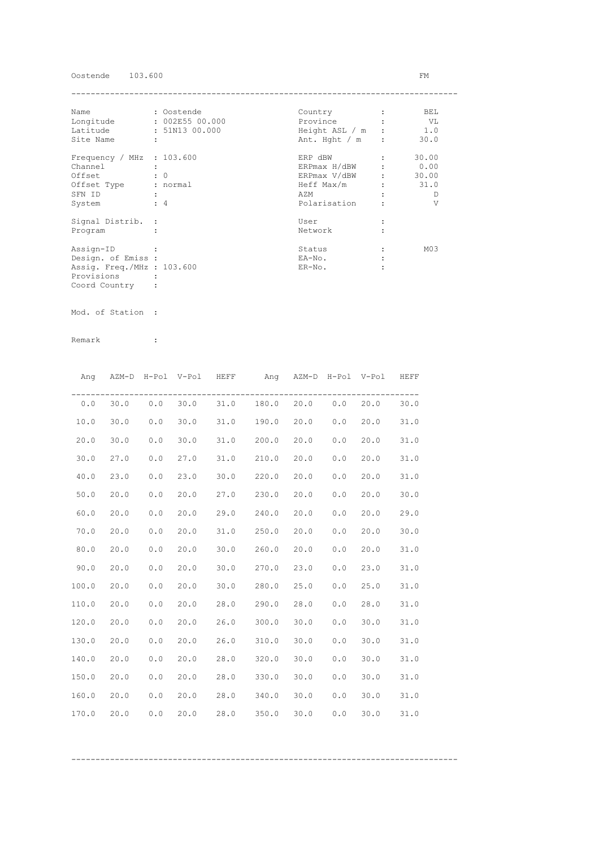Oostende 103.600 FM

| Name                        | : Oostende      | Country          | BEL             |
|-----------------------------|-----------------|------------------|-----------------|
| Longitude                   | : 002E55 00.000 | Province         | VL V            |
| Latitude                    | : 51N13 00.000  | Height ASL / m   | 1.0             |
| Site Name                   | ÷               | Ant. Hght $/m$ : | 30.0            |
| Frequency / MHz : $103.600$ |                 | ERP dBW          | 30.00           |
| Channel                     |                 | ERPmax H/dBW     | 0.00            |
| Offset                      | $\colon 0$      | ERPmax V/dBW     | 30.00           |
| Offset Type                 | : normal        | Heff Max/m       | 31.0            |
| SFN ID                      |                 | AZM              | D               |
| System                      | $\div$ 4        | Polarisation     | V               |
| Signal Distrib. :           |                 | User             |                 |
| Program                     |                 | Network          |                 |
| Assign-ID                   |                 | Status           | M <sub>03</sub> |
| Design. of Emiss :          |                 | EA-No.           |                 |
| Assig. Freq./MHz : 103.600  |                 | $ER-NO$ .        |                 |
| Provisions                  |                 |                  |                 |
| Coord Country               |                 |                  |                 |

Mod. of Station :

| Ang   |      |       | AZM-D H-Pol V-Pol HEFF |              | Ang AZM-D H-Pol V-Pol HEFF     |      |     |      |      |
|-------|------|-------|------------------------|--------------|--------------------------------|------|-----|------|------|
| 0.0   | 30.0 |       |                        |              | $0.0$ 30.0 31.0 180.0 20.0 0.0 |      |     | 20.0 | 30.0 |
| 10.0  | 30.0 | 0.0   | 30.0                   |              | 31.0 190.0                     | 20.0 | 0.0 | 20.0 | 31.0 |
| 20.0  | 30.0 | 0.0   | 30.0                   | 31.0         | 200.0                          | 20.0 | 0.0 | 20.0 | 31.0 |
| 30.0  | 27.0 | 0.0   | 27.0                   | $31.0$ 210.0 |                                | 20.0 | 0.0 | 20.0 | 31.0 |
| 40.0  | 23.0 | 0.0   | 23.0                   | $30.0$ 220.0 |                                | 20.0 | 0.0 | 20.0 | 31.0 |
| 50.0  | 20.0 | 0.0   | 20.0                   | 27.0         | 230.0                          | 20.0 | 0.0 | 20.0 | 30.0 |
| 60.0  | 20.0 | 0.0   | 20.0                   | 29.0         | 240.0                          | 20.0 | 0.0 | 20.0 | 29.0 |
| 70.0  | 20.0 | 0.0   | 20.0                   | 31.0         | 250.0                          | 20.0 | 0.0 | 20.0 | 30.0 |
| 80.0  | 20.0 | 0.0   | 20.0                   | 30.0         | 260.0                          | 20.0 | 0.0 | 20.0 | 31.0 |
| 90.0  | 20.0 | $0.0$ | 20.0                   |              | 30.0 270.0                     | 23.0 | 0.0 | 23.0 | 31.0 |
| 100.0 | 20.0 | 0.0   | 20.0                   |              | $30.0$ 280.0                   | 25.0 | 0.0 | 25.0 | 31.0 |
| 110.0 | 20.0 | 0.0   | 20.0                   |              | 28.0 290.0                     | 28.0 | 0.0 | 28.0 | 31.0 |
| 120.0 | 20.0 | 0.0   | 20.0                   | 26.0         | 300.0                          | 30.0 | 0.0 | 30.0 | 31.0 |
| 130.0 | 20.0 | 0.0   | 20.0                   | 26.0         | 310.0                          | 30.0 | 0.0 | 30.0 | 31.0 |
| 140.0 | 20.0 | 0.0   | 20.0                   | 28.0         | 320.0                          | 30.0 | 0.0 | 30.0 | 31.0 |
| 150.0 | 20.0 | 0.0   | 20.0                   | 28.0         | 330.0                          | 30.0 | 0.0 | 30.0 | 31.0 |
| 160.0 | 20.0 | 0.0   | 20.0                   | 28.0         | 340.0                          | 30.0 | 0.0 | 30.0 | 31.0 |
| 170.0 | 20.0 | 0.0   | 20.0                   | 28.0         | 350.0                          | 30.0 | 0.0 | 30.0 | 31.0 |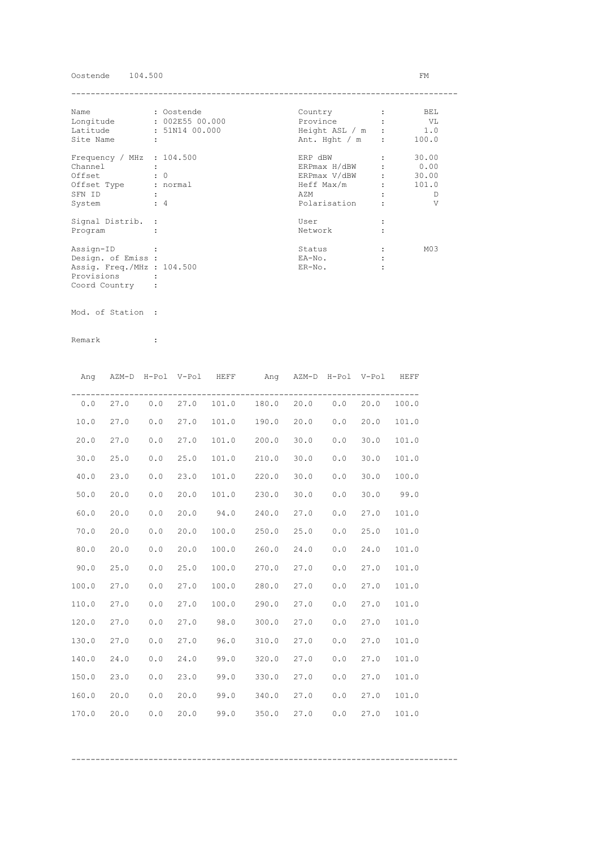Oostende 104.500 FM

| Name                        | : Oostende      | Country          | BEL             |
|-----------------------------|-----------------|------------------|-----------------|
| Longitude                   | : 002E55 00.000 | Province         | VL V            |
| Latitude                    | : 51N14 00.000  | Height ASL / m   | 1.0             |
| Site Name                   | ÷               | Ant. Hght $/m$ : | 100.0           |
| Frequency / MHz : $104.500$ |                 | ERP dBW          | 30.00           |
| Channel                     |                 | ERPmax H/dBW     | 0.00            |
| Offset                      | $\colon 0$      | ERPmax V/dBW     | 30.00           |
| Offset Type                 | : normal        | Heff Max/m       | 101.0           |
| SFN ID                      |                 | AZM              | D               |
| System                      | $\div$ 4        | Polarisation     | V               |
| Signal Distrib. :           |                 | User             |                 |
| Program                     |                 | Network          |                 |
| Assign-ID                   |                 | Status           | M <sub>03</sub> |
| Design. of Emiss :          |                 | EA-No.           |                 |
| Assig. Freq./MHz : 104.500  |                 | $ER-NO$ .        |                 |
| Provisions                  |                 |                  |                 |
| Coord Country               |                 |                  |                 |

Mod. of Station :

| Ang   |            | AZM-D H-Pol V-Pol HEFF |      |       | Ang AZM-D H-Pol V-Pol HEFF |      |     |      |       |
|-------|------------|------------------------|------|-------|----------------------------|------|-----|------|-------|
|       | $0.0$ 27.0 | $0.0$ 27.0             |      |       | 101.0 180.0 20.0 0.0 20.0  |      |     |      | 100.0 |
| 10.0  | 27.0       | 0.0                    | 27.0 |       | 101.0 190.0                | 20.0 | 0.0 | 20.0 | 101.0 |
| 20.0  | 27.0       | 0.0                    | 27.0 | 101.0 | 200.0                      | 30.0 | 0.0 | 30.0 | 101.0 |
| 30.0  | 25.0       | 0.0                    | 25.0 |       | 101.0 210.0                | 30.0 | 0.0 | 30.0 | 101.0 |
| 40.0  | 23.0       | 0.0                    | 23.0 | 101.0 | 220.0                      | 30.0 | 0.0 | 30.0 | 100.0 |
| 50.0  | 20.0       | 0.0                    | 20.0 | 101.0 | 230.0                      | 30.0 | 0.0 | 30.0 | 99.0  |
| 60.0  | 20.0       | 0.0                    | 20.0 | 94.0  | 240.0                      | 27.0 | 0.0 | 27.0 | 101.0 |
| 70.0  | 20.0       | 0.0                    | 20.0 | 100.0 | 250.0                      | 25.0 | 0.0 | 25.0 | 101.0 |
| 80.0  | 20.0       | 0.0                    | 20.0 | 100.0 | 260.0                      | 24.0 | 0.0 | 24.0 | 101.0 |
| 90.0  | 25.0       | 0.0                    | 25.0 |       | 100.0 270.0 27.0           |      | 0.0 | 27.0 | 101.0 |
| 100.0 | 27.0       | 0.0                    | 27.0 |       | 100.0 280.0 27.0           |      | 0.0 | 27.0 | 101.0 |
| 110.0 | 27.0       | 0.0                    | 27.0 |       | 100.0 290.0                | 27.0 | 0.0 | 27.0 | 101.0 |
| 120.0 | 27.0       | 0.0                    | 27.0 | 98.0  | 300.0                      | 27.0 | 0.0 | 27.0 | 101.0 |
| 130.0 | 27.0       | 0.0                    | 27.0 | 96.0  | 310.0                      | 27.0 | 0.0 | 27.0 | 101.0 |
| 140.0 | 24.0       | 0.0                    | 24.0 | 99.0  | 320.0                      | 27.0 | 0.0 | 27.0 | 101.0 |
| 150.0 | 23.0       | 0.0                    | 23.0 | 99.0  | 330.0                      | 27.0 | 0.0 | 27.0 | 101.0 |
| 160.0 | 20.0       | 0.0                    | 20.0 | 99.0  | 340.0                      | 27.0 | 0.0 | 27.0 | 101.0 |
| 170.0 | 20.0       | 0.0                    | 20.0 | 99.0  | 350.0                      | 27.0 | 0.0 | 27.0 | 101.0 |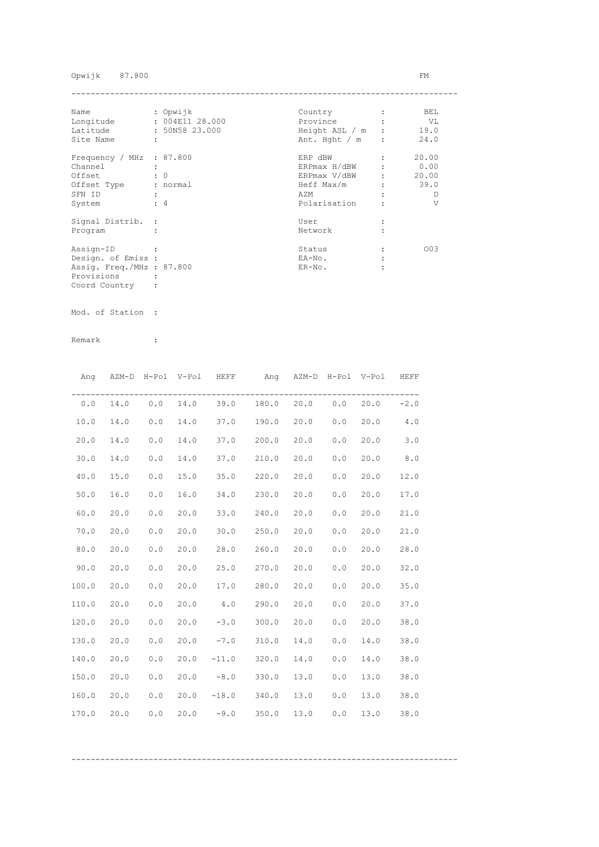## Opwijk 87.800 FM

| Name                      | : Opwijk             | Country          | BEL   |
|---------------------------|----------------------|------------------|-------|
| Longitude                 | : 004E11 28.000      | Province         | VL V  |
| Latitude                  | : 50N58 23.000       | Height ASL / m : | 19.0  |
| Site Name                 | $\ddot{\phantom{a}}$ | Ant. Hght $/m$ : | 24.0  |
| Frequency / MHz : 87.800  |                      | ERP dBW          | 20.00 |
| Channel                   |                      | ERPmax H/dBW     | 0.00  |
| Offset                    | $\cdot$ 0            | ERPmax V/dBW :   | 20.00 |
| Offset Type               | : normal             | Heff Max/m       | 39.0  |
| SFN ID                    |                      | AZM              | D     |
| System                    | $\div$ 4             | Polarisation     | V     |
| Signal Distrib. :         |                      | User             |       |
| Program                   |                      | Network          |       |
| Assign-ID                 |                      | Status           | 003   |
| Design. of Emiss :        |                      | EA-No.           |       |
| Assig. Freq./MHz : 87.800 |                      | $ER-NO$ .        |       |
| Provisions                |                      |                  |       |
| Coord Country             |                      |                  |       |

Mod. of Station :

|       | Ang AZM-D H-Pol V-Pol HEFF |     |      |                                | Ang AZM-D H-Pol V-Pol HEFF |      |     |      |        |
|-------|----------------------------|-----|------|--------------------------------|----------------------------|------|-----|------|--------|
| 0.0   | 14.0                       |     |      | $0.0$ 14.0 39.0 180.0 20.0 0.0 |                            |      |     | 20.0 | $-2.0$ |
| 10.0  | 14.0                       | 0.0 | 14.0 | 37.0 190.0                     |                            | 20.0 | 0.0 | 20.0 | 4.0    |
| 20.0  | 14.0                       | 0.0 | 14.0 | 37.0 200.0                     |                            | 20.0 | 0.0 | 20.0 | 3.0    |
| 30.0  | 14.0                       | 0.0 | 14.0 | 37.0 210.0                     |                            | 20.0 | 0.0 | 20.0 | 8.0    |
| 40.0  | 15.0                       | 0.0 | 15.0 | 35.0 220.0                     |                            | 20.0 | 0.0 | 20.0 | 12.0   |
| 50.0  | 16.0                       | 0.0 | 16.0 | 34.0 230.0                     |                            | 20.0 | 0.0 | 20.0 | 17.0   |
| 60.0  | 20.0                       | 0.0 | 20.0 | 33.0 240.0                     |                            | 20.0 | 0.0 | 20.0 | 21.0   |
| 70.0  | 20.0                       | 0.0 | 20.0 | 30.0                           | 250.0                      | 20.0 | 0.0 | 20.0 | 21.0   |
| 80.0  | 20.0                       | 0.0 | 20.0 | 28.0                           | 260.0                      | 20.0 | 0.0 | 20.0 | 28.0   |
| 90.0  | 20.0                       | 0.0 | 20.0 | 25.0 270.0                     |                            | 20.0 | 0.0 | 20.0 | 32.0   |
| 100.0 | 20.0                       | 0.0 | 20.0 | 17.0 280.0                     |                            | 20.0 | 0.0 | 20.0 | 35.0   |
| 110.0 | 20.0                       | 0.0 | 20.0 | $4.0$ 290.0                    |                            | 20.0 | 0.0 | 20.0 | 37.0   |
| 120.0 | 20.0                       | 0.0 | 20.0 |                                | $-3.0$ 300.0               | 20.0 | 0.0 | 20.0 | 38.0   |
| 130.0 | 20.0                       | 0.0 |      | $20.0 -7.0 310.0$              |                            | 14.0 | 0.0 | 14.0 | 38.0   |
| 140.0 | 20.0                       | 0.0 |      | $20.0 -11.0 320.0$             |                            | 14.0 | 0.0 | 14.0 | 38.0   |
| 150.0 | 20.0                       | 0.0 | 20.0 | $-8.0$ 330.0                   |                            | 13.0 | 0.0 | 13.0 | 38.0   |
| 160.0 | 20.0                       | 0.0 |      | $20.0 -18.0 340.0$             |                            | 13.0 | 0.0 | 13.0 | 38.0   |
| 170.0 | 20.0                       | 0.0 |      | $20.0 -9.0 350.0$              |                            | 13.0 | 0.0 | 13.0 | 38.0   |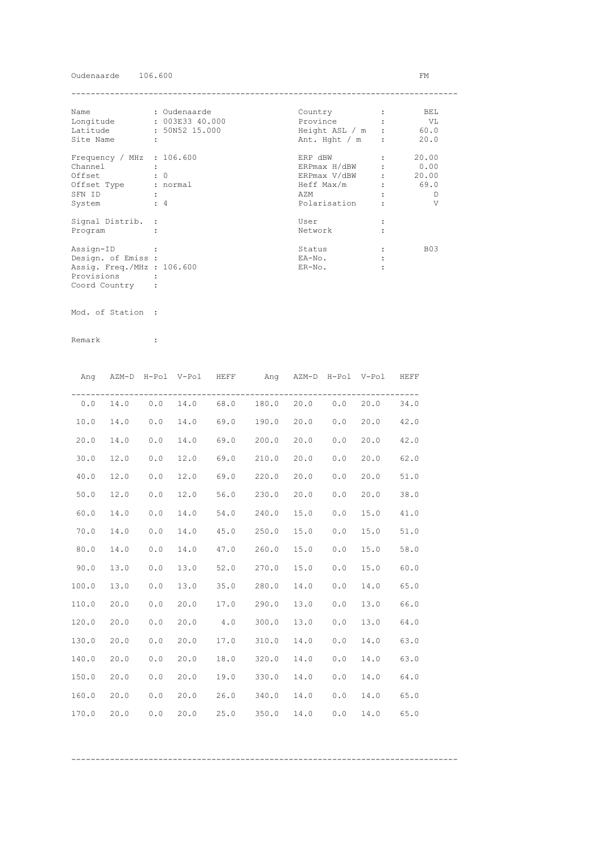## Oudenaarde 106.600 FM

| Name                        | : Oudenaarde    | Country          | BEL        |
|-----------------------------|-----------------|------------------|------------|
| Longitude                   | : 003E33 40.000 | Province         | VL         |
| Latitude                    | : 50N52 15.000  | Height ASL / m   | 60.0       |
| Site Name                   | ÷               | Ant. Hght $/m$ : | 20.0       |
| Frequency / MHz : $106.600$ |                 | ERP dBW          | 20.00      |
| Channel                     |                 | ERPmax H/dBW     | 0.00       |
| Offset                      | $\colon 0$      | ERPmax V/dBW     | 20.00      |
| Offset Type                 | : normal        | Heff Max/m       | 69.0       |
| SFN ID                      |                 | AZM              | D          |
| System                      | $\div$ 4        | Polarisation     | V          |
| Signal Distrib. :           |                 | User             |            |
| Program                     |                 | Network          |            |
| Assign-ID                   |                 | Status           | <b>B03</b> |
| Design. of Emiss :          |                 | EA-No.           |            |
| Assig. Freq./MHz : 106.600  |                 | $ER-NO$ .        |            |
| Provisions                  |                 |                  |            |
| Coord Country               |                 |                  |            |

Mod. of Station :

Remark :

|       |      |     | Ang AZM-D H-Pol V-Pol HEFF |      | Ang AZM-D H-Pol V-Pol HEFF     |      |     |      |      |
|-------|------|-----|----------------------------|------|--------------------------------|------|-----|------|------|
| 0.0   | 14.0 |     |                            |      | $0.0$ 14.0 68.0 180.0 20.0 0.0 |      |     | 20.0 | 34.0 |
| 10.0  | 14.0 | 0.0 | 14.0                       |      | 69.0 190.0 20.0                |      | 0.0 | 20.0 | 42.0 |
| 20.0  | 14.0 | 0.0 | 14.0                       |      | 69.0 200.0                     | 20.0 | 0.0 | 20.0 | 42.0 |
| 30.0  | 12.0 | 0.0 | 12.0                       |      | 69.0 210.0                     | 20.0 | 0.0 | 20.0 | 62.0 |
| 40.0  | 12.0 | 0.0 | 12.0                       |      | 69.0 220.0                     | 20.0 | 0.0 | 20.0 | 51.0 |
| 50.0  | 12.0 | 0.0 | 12.0                       |      | 56.0 230.0                     | 20.0 | 0.0 | 20.0 | 38.0 |
| 60.0  | 14.0 | 0.0 | 14.0                       |      | 54.0 240.0                     | 15.0 | 0.0 | 15.0 | 41.0 |
| 70.0  | 14.0 | 0.0 | 14.0                       |      | 45.0 250.0                     | 15.0 | 0.0 | 15.0 | 51.0 |
| 80.0  | 14.0 | 0.0 | 14.0                       |      | 47.0 260.0                     | 15.0 | 0.0 | 15.0 | 58.0 |
| 90.0  | 13.0 | 0.0 | 13.0                       |      | 52.0 270.0                     | 15.0 | 0.0 | 15.0 | 60.0 |
| 100.0 | 13.0 | 0.0 | 13.0                       |      | 35.0 280.0                     | 14.0 | 0.0 | 14.0 | 65.0 |
| 110.0 | 20.0 | 0.0 | 20.0                       |      | 17.0 290.0                     | 13.0 | 0.0 | 13.0 | 66.0 |
| 120.0 | 20.0 | 0.0 | 20.0                       |      | 4.0 300.0                      | 13.0 | 0.0 | 13.0 | 64.0 |
| 130.0 | 20.0 | 0.0 | 20.0                       |      | 17.0 310.0                     | 14.0 | 0.0 | 14.0 | 63.0 |
| 140.0 | 20.0 | 0.0 | 20.0                       |      | 18.0 320.0                     | 14.0 | 0.0 | 14.0 | 63.0 |
| 150.0 | 20.0 | 0.0 | 20.0                       |      | 19.0 330.0                     | 14.0 | 0.0 | 14.0 | 64.0 |
| 160.0 | 20.0 | 0.0 | 20.0                       |      | 26.0 340.0                     | 14.0 | 0.0 | 14.0 | 65.0 |
| 170.0 | 20.0 | 0.0 | 20.0                       | 25.0 | 350.0                          | 14.0 | 0.0 | 14.0 | 65.0 |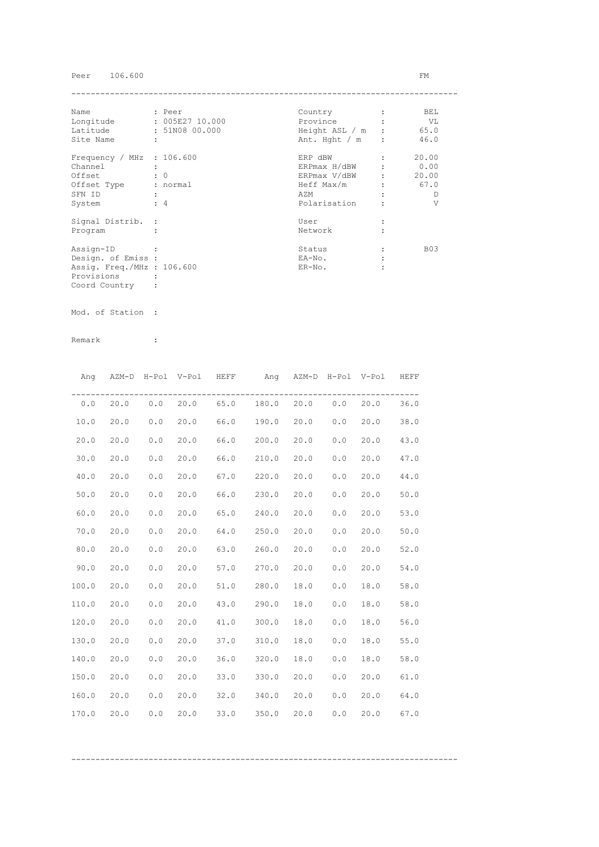# Peer 106.600 FM

| Name                        | : Peer          | Country          | BEL        |
|-----------------------------|-----------------|------------------|------------|
| Longitude                   | : 005E27 10.000 | Province         | VL         |
| Latitude                    | : 51N08 00.000  | Height ASL / m : | 65.0       |
| Site Name                   | ÷               | Ant. Hght $/m$ : | 46.0       |
| Frequency / MHz : $106.600$ |                 | ERP dBW          | 20.00      |
| Channel                     |                 | ERPmax H/dBW     | 0.00       |
| Offset                      | $\colon 0$      | ERPmax V/dBW     | 20.00      |
| Offset Type                 | : normal        | Heff Max/m       | 67.0       |
| SFN ID                      |                 | AZM              | D          |
| System                      | $\div$ 4        | Polarisation     | V          |
| Signal Distrib. :           |                 | User             |            |
| Program                     |                 | Network          |            |
| Assign-ID                   |                 | Status           | <b>B03</b> |
| Design. of Emiss :          |                 | EA-No.           |            |
| Assig. Freq./MHz : 106.600  |                 | $ER-NO$ .        |            |
| Provisions                  |                 |                  |            |
| Coord Country               |                 |                  |            |

Mod. of Station :

|       |      |     | Ang AZM-D H-Pol V-Pol HEFF |      | Ang AZM-D H-Pol V-Pol HEFF        |          |     |      |      |
|-------|------|-----|----------------------------|------|-----------------------------------|----------|-----|------|------|
| 0.0   |      |     |                            |      | 20.0 0.0 20.0 65.0 180.0 20.0 0.0 |          |     | 20.0 | 36.0 |
| 10.0  | 20.0 | 0.0 | 20.0                       |      | 66.0 190.0                        | 20.0 0.0 |     | 20.0 | 38.0 |
| 20.0  | 20.0 | 0.0 | 20.0                       |      | 66.0 200.0                        | 20.0     | 0.0 | 20.0 | 43.0 |
| 30.0  | 20.0 | 0.0 | 20.0                       |      | 66.0 210.0                        | 20.0     | 0.0 | 20.0 | 47.0 |
| 40.0  | 20.0 | 0.0 | 20.0                       |      | 67.0 220.0                        | 20.0     | 0.0 | 20.0 | 44.0 |
| 50.0  | 20.0 | 0.0 | 20.0                       | 66.0 | 230.0                             | 20.0     | 0.0 | 20.0 | 50.0 |
| 60.0  | 20.0 | 0.0 | 20.0                       | 65.0 | 240.0                             | 20.0     | 0.0 | 20.0 | 53.0 |
| 70.0  | 20.0 | 0.0 | 20.0                       | 64.0 | 250.0                             | 20.0     | 0.0 | 20.0 | 50.0 |
| 80.0  | 20.0 | 0.0 | 20.0                       | 63.0 | 260.0                             | 20.0     | 0.0 | 20.0 | 52.0 |
| 90.0  | 20.0 | 0.0 | 20.0                       |      | 57.0 270.0                        | 20.0     | 0.0 | 20.0 | 54.0 |
| 100.0 | 20.0 | 0.0 | 20.0                       |      | 51.0 280.0                        | 18.0     | 0.0 | 18.0 | 58.0 |
| 110.0 | 20.0 | 0.0 | 20.0                       |      | 43.0 290.0                        | 18.0     | 0.0 | 18.0 | 58.0 |
| 120.0 | 20.0 | 0.0 | 20.0                       |      | 41.0 300.0                        | 18.0     | 0.0 | 18.0 | 56.0 |
| 130.0 | 20.0 | 0.0 | 20.0                       |      | 37.0 310.0                        | 18.0     | 0.0 | 18.0 | 55.0 |
| 140.0 | 20.0 | 0.0 | 20.0                       |      | 36.0 320.0                        | 18.0     | 0.0 | 18.0 | 58.0 |
| 150.0 | 20.0 | 0.0 | 20.0                       |      | 33.0 330.0                        | 20.0     | 0.0 | 20.0 | 61.0 |
| 160.0 | 20.0 | 0.0 | 20.0                       |      | 32.0 340.0                        | 20.0     | 0.0 | 20.0 | 64.0 |
| 170.0 | 20.0 | 0.0 | 20.0                       | 33.0 | 350.0                             | 20.0     | 0.0 | 20.0 | 67.0 |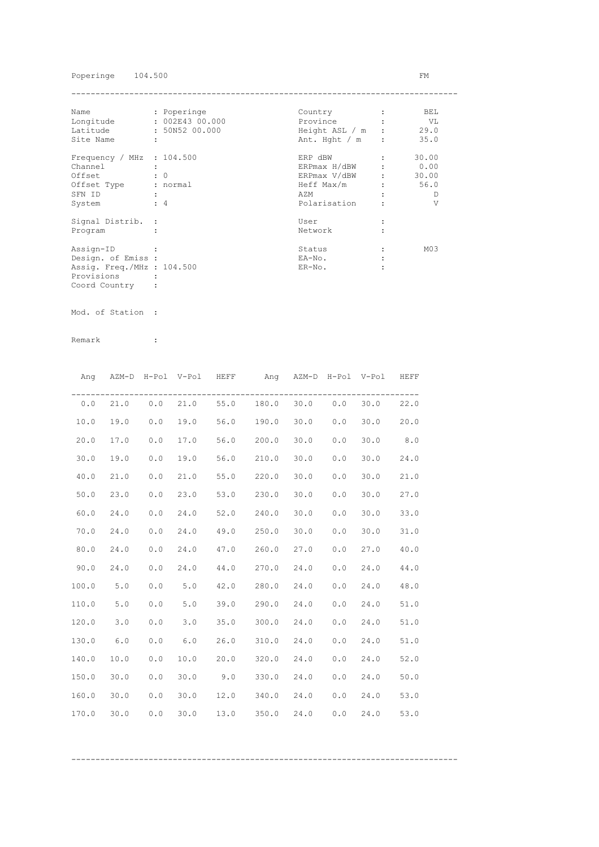## Poperinge 104.500 FM

| Name                        | : Poperinge    | Country          | BEL.            |
|-----------------------------|----------------|------------------|-----------------|
| Longitude                   | : 002E4300.000 | Province         | VL              |
| Latitude                    | : 50N52 00.000 | Height ASL / m : | 29.0            |
| Site Name                   | ÷              | Ant. Hght $/m$ : | 35.0            |
| Frequency / MHz : $104.500$ |                | ERP dBW          | 30.00           |
| Channel                     |                | ERPmax H/dBW     | 0.00            |
| Offset                      | $\colon 0$     | ERPmax V/dBW     | 30.00           |
| Offset Type                 | : normal       | Heff Max/m       | 56.0            |
| SFN ID                      |                | AZM              | Ð               |
| System                      | $\div$ 4       | Polarisation     | V               |
| Signal Distrib. :           |                | User             |                 |
| Program                     |                | Network          |                 |
| Assign-ID                   |                | Status           | M <sub>03</sub> |
| Design. of Emiss :          |                | EA-No.           |                 |
| Assig. Freq./MHz : 104.500  |                | $ER-NO$ .        |                 |
| Provisions                  |                |                  |                 |
| Coord Country               |                |                  |                 |

Mod. of Station :

Remark :

|       |            |       |      | Ang AZM-D H-Pol V-Pol HEFF ang AZM-D H-Pol V-Pol HEFF |                 |      |     |      |      |
|-------|------------|-------|------|-------------------------------------------------------|-----------------|------|-----|------|------|
|       | $0.0$ 21.0 |       |      | $0.0$ 21.0 55.0 180.0 30.0 0.0                        |                 |      |     | 30.0 | 22.0 |
| 10.0  | 19.0       | 0.0   | 19.0 | 56.0 190.0                                            |                 | 30.0 | 0.0 | 30.0 | 20.0 |
| 20.0  | 17.0       | 0.0   | 17.0 | 56.0 200.0                                            |                 | 30.0 | 0.0 | 30.0 | 8.0  |
| 30.0  | 19.0       | 0.0   | 19.0 | 56.0 210.0                                            |                 | 30.0 | 0.0 | 30.0 | 24.0 |
| 40.0  | 21.0       | 0.0   | 21.0 | 55.0 220.0                                            |                 | 30.0 | 0.0 | 30.0 | 21.0 |
| 50.0  | 23.0       | 0.0   | 23.0 | 53.0 230.0                                            |                 | 30.0 | 0.0 | 30.0 | 27.0 |
| 60.0  | 24.0       | 0.0   | 24.0 | 52.0 240.0                                            |                 | 30.0 | 0.0 | 30.0 | 33.0 |
| 70.0  | 24.0       | 0.0   | 24.0 | 49.0 250.0                                            |                 | 30.0 | 0.0 | 30.0 | 31.0 |
| 80.0  | 24.0       | 0.0   | 24.0 | 47.0 260.0                                            |                 | 27.0 | 0.0 | 27.0 | 40.0 |
| 90.0  | 24.0       | 0.0   | 24.0 | 44.0 270.0                                            |                 | 24.0 | 0.0 | 24.0 | 44.0 |
| 100.0 | 5.0        | 0.0   | 5.0  | 42.0                                                  | 280.0           | 24.0 | 0.0 | 24.0 | 48.0 |
| 110.0 | 5.0        | $0.0$ | 5.0  |                                                       | 39.0 290.0 24.0 |      | 0.0 | 24.0 | 51.0 |
| 120.0 | 3.0        | 0.0   | 3.0  |                                                       | 35.0 300.0 24.0 |      | 0.0 | 24.0 | 51.0 |
| 130.0 | 6.0        | 0.0   | 6.0  |                                                       | 26.0 310.0 24.0 |      | 0.0 | 24.0 | 51.0 |
| 140.0 | 10.0       | 0.0   | 10.0 | 20.0 320.0                                            |                 | 24.0 | 0.0 | 24.0 | 52.0 |
| 150.0 | 30.0       | 0.0   | 30.0 | $9.0$ $330.0$ $24.0$                                  |                 |      | 0.0 | 24.0 | 50.0 |
| 160.0 | 30.0       | 0.0   | 30.0 | 12.0 340.0 24.0                                       |                 |      | 0.0 | 24.0 | 53.0 |
| 170.0 | 30.0       | 0.0   | 30.0 |                                                       | 13.0 350.0      | 24.0 | 0.0 | 24.0 | 53.0 |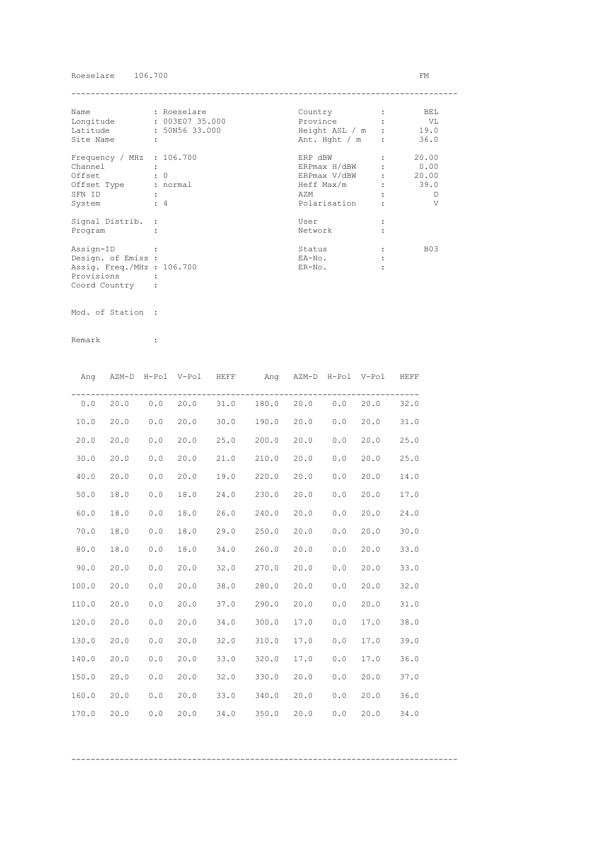## Roeselare 106.700 FM

| Name                        | : Roeselare          | Country          | BEL        |
|-----------------------------|----------------------|------------------|------------|
| Longitude                   | : 003E07 35.000      | Province         | VL V       |
| Latitude                    | : 50N56 33.000       | Height ASL / m : | 19.0       |
| Site Name                   | $\ddot{\phantom{a}}$ | Ant. Hght $/m$ : | 36.0       |
| Frequency / MHz : $106.700$ |                      | ERP dBW          | 20.00      |
| Channel                     |                      | ERPmax H/dBW     | 0.00       |
| Offset                      | $\colon 0$           | ERPmax V/dBW     | 20.00      |
| Offset Type                 | : normal             | Heff Max/m       | 39.0       |
| SFN ID                      |                      | AZM              | D          |
| System                      | $\div$ 4             | Polarisation     | V          |
| Signal Distrib. :           |                      | User             |            |
| Program                     |                      | Network          |            |
| Assign-ID                   |                      | Status           | <b>B03</b> |
| Design. of Emiss :          |                      | EA-No.           |            |
| Assig. Freq./MHz : 106.700  |                      | $ER-NO.$         |            |
| Provisions                  |                      |                  |            |
| Coord Country               |                      |                  |            |

Mod. of Station :

Remark :

|       |      |     | Ang AZM-D H-Pol V-Pol HEFF |      | Ang AZM-D H-Pol V-Pol HEFF     |      |     |      |      |
|-------|------|-----|----------------------------|------|--------------------------------|------|-----|------|------|
| 0.0   | 20.0 |     |                            |      | $0.0$ 20.0 31.0 180.0 20.0 0.0 |      |     | 20.0 | 32.0 |
| 10.0  | 20.0 | 0.0 | 20.0                       |      | $30.0$ 190.0                   | 20.0 | 0.0 | 20.0 | 31.0 |
| 20.0  | 20.0 | 0.0 | 20.0                       |      | 25.0 200.0                     | 20.0 | 0.0 | 20.0 | 25.0 |
| 30.0  | 20.0 | 0.0 | 20.0                       |      | 21.0 210.0                     | 20.0 | 0.0 | 20.0 | 25.0 |
| 40.0  | 20.0 | 0.0 | 20.0                       |      | 19.0 220.0                     | 20.0 | 0.0 | 20.0 | 14.0 |
| 50.0  | 18.0 | 0.0 | 18.0                       | 24.0 | 230.0                          | 20.0 | 0.0 | 20.0 | 17.0 |
| 60.0  | 18.0 | 0.0 | 18.0                       | 26.0 | 240.0                          | 20.0 | 0.0 | 20.0 | 24.0 |
| 70.0  | 18.0 | 0.0 | 18.0                       |      | 29.0 250.0                     | 20.0 | 0.0 | 20.0 | 30.0 |
| 80.0  | 18.0 | 0.0 | 18.0                       | 34.0 | 260.0                          | 20.0 | 0.0 | 20.0 | 33.0 |
| 90.0  | 20.0 | 0.0 | 20.0                       | 32.0 | 270.0                          | 20.0 | 0.0 | 20.0 | 33.0 |
| 100.0 | 20.0 | 0.0 | 20.0                       | 38.0 | 280.0                          | 20.0 | 0.0 | 20.0 | 32.0 |
| 110.0 | 20.0 | 0.0 | 20.0                       |      | 37.0 290.0                     | 20.0 | 0.0 | 20.0 | 31.0 |
| 120.0 | 20.0 | 0.0 | 20.0                       | 34.0 | 300.0                          | 17.0 | 0.0 | 17.0 | 38.0 |
| 130.0 | 20.0 | 0.0 | 20.0                       | 32.0 | 310.0                          | 17.0 | 0.0 | 17.0 | 39.0 |
| 140.0 | 20.0 | 0.0 | 20.0                       |      | 33.0 320.0                     | 17.0 | 0.0 | 17.0 | 36.0 |
| 150.0 | 20.0 | 0.0 | 20.0                       |      | 32.0 330.0                     | 20.0 | 0.0 | 20.0 | 37.0 |
| 160.0 | 20.0 | 0.0 | 20.0                       |      | 33.0 340.0                     | 20.0 | 0.0 | 20.0 | 36.0 |
| 170.0 | 20.0 | 0.0 | 20.0                       | 34.0 | 350.0                          | 20.0 | 0.0 | 20.0 | 34.0 |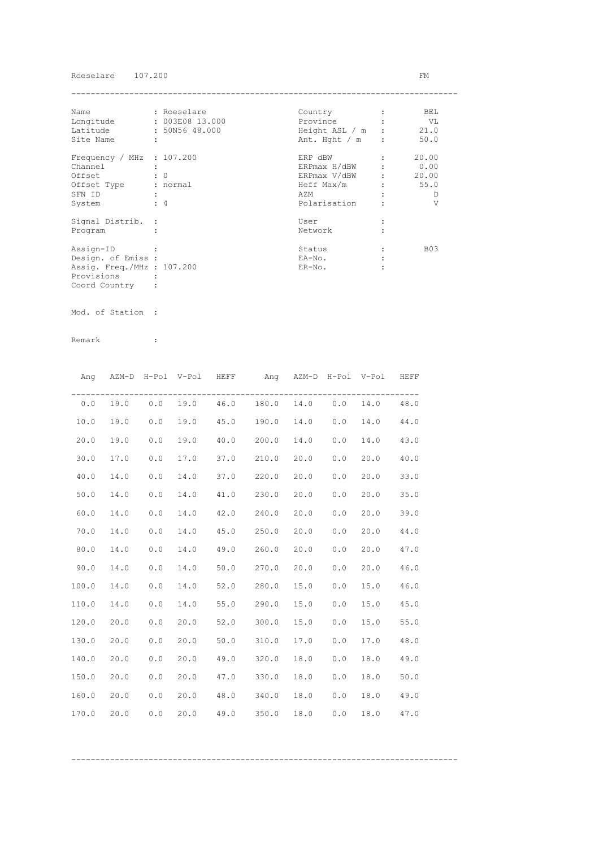### Roeselare 107.200 FM

| Name                        | : Roeselare     | Country          | BEL        |
|-----------------------------|-----------------|------------------|------------|
| Longitude                   | : 003E08 13.000 | Province         | VL V       |
| Latitude                    | : 50N56 48.000  | Height ASL / m : | 21.0       |
| Site Name                   | ÷               | Ant. Hght $/m$ : | 50.0       |
| Frequency / MHz : $107.200$ |                 | ERP dBW          | 20.00      |
| Channel                     |                 | ERPmax H/dBW     | 0.00       |
| Offset                      | $\colon 0$      | ERPmax V/dBW     | 20.00      |
| Offset Type                 | : normal        | Heff Max/m       | 55.0       |
| SFN ID                      |                 | AZM              | D          |
| System                      | $\div$ 4        | Polarisation     | V          |
| Signal Distrib. :           |                 | User             |            |
| Program                     |                 | Network          |            |
| Assign-ID                   |                 | Status           | <b>B03</b> |
| Design. of Emiss :          |                 | EA-No.           |            |
| Assig. Freq./MHz : 107.200  |                 | $ER-NO$ .        |            |
| Provisions                  |                 |                  |            |
| Coord Country               |                 |                  |            |

Mod. of Station :

Remark :

|       | Ang AZM-D H-Pol V-Pol HEFF |       |      | Ang AZM-D H-Pol V-Pol HEFF              |      |     |      |      |
|-------|----------------------------|-------|------|-----------------------------------------|------|-----|------|------|
| 0.0   |                            |       |      | 19.0  0.0  19.0  46.0  180.0  14.0  0.0 |      |     | 14.0 | 48.0 |
| 10.0  | 19.0                       | 0.0   | 19.0 | 45.0 190.0 14.0                         |      | 0.0 | 14.0 | 44.0 |
| 20.0  | 19.0                       | 0.0   | 19.0 | 40.0 200.0                              | 14.0 | 0.0 | 14.0 | 43.0 |
| 30.0  | 17.0                       | 0.0   | 17.0 | 37.0 210.0                              | 20.0 | 0.0 | 20.0 | 40.0 |
| 40.0  | 14.0                       | 0.0   | 14.0 | 37.0 220.0                              | 20.0 | 0.0 | 20.0 | 33.0 |
| 50.0  | 14.0                       | 0.0   | 14.0 | 41.0 230.0                              | 20.0 | 0.0 | 20.0 | 35.0 |
| 60.0  | 14.0                       | 0.0   | 14.0 | 42.0 240.0                              | 20.0 | 0.0 | 20.0 | 39.0 |
| 70.0  | 14.0                       | 0.0   | 14.0 | 45.0 250.0                              | 20.0 | 0.0 | 20.0 | 44.0 |
| 80.0  | 14.0                       | 0.0   | 14.0 | 49.0 260.0                              | 20.0 | 0.0 | 20.0 | 47.0 |
| 90.0  | 14.0                       | 0.0   | 14.0 | 50.0 270.0                              | 20.0 | 0.0 | 20.0 | 46.0 |
| 100.0 | 14.0                       | 0.0   | 14.0 | 52.0 280.0                              | 15.0 | 0.0 | 15.0 | 46.0 |
| 110.0 | 14.0                       | 0.0   | 14.0 | 55.0 290.0                              | 15.0 | 0.0 | 15.0 | 45.0 |
| 120.0 | 20.0                       | 0.0   | 20.0 | 52.0 300.0                              | 15.0 | 0.0 | 15.0 | 55.0 |
| 130.0 | 20.0                       | $0.0$ | 20.0 | 50.0 310.0                              | 17.0 | 0.0 | 17.0 | 48.0 |
| 140.0 | 20.0                       | 0.0   | 20.0 | 49.0 320.0                              | 18.0 | 0.0 | 18.0 | 49.0 |
| 150.0 | 20.0                       | 0.0   | 20.0 | 47.0 330.0                              | 18.0 | 0.0 | 18.0 | 50.0 |
| 160.0 | 20.0                       | 0.0   | 20.0 | 48.0 340.0                              | 18.0 | 0.0 | 18.0 | 49.0 |
| 170.0 | 20.0                       | 0.0   | 20.0 | 49.0 350.0                              | 18.0 | 0.0 | 18.0 | 47.0 |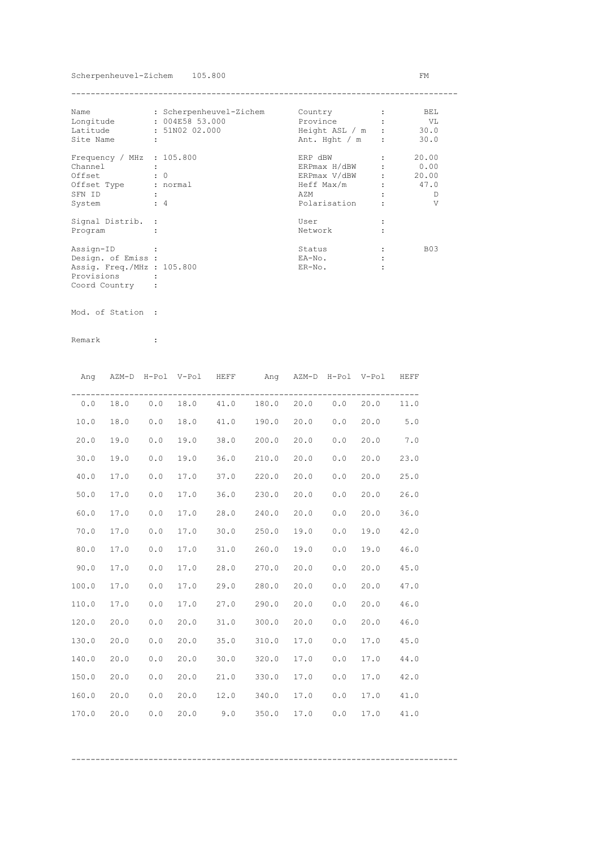Scherpenheuvel-Zichem 105.800 FM

| Name                        | : Scherpenheuvel-Zichem | Country          |                               | BEL.       |
|-----------------------------|-------------------------|------------------|-------------------------------|------------|
| Longitude                   | : 004E58 53.000         | Province         |                               | VL         |
| Latitude                    | : 51N02 02.000          | Height ASL / m : |                               | 30.0       |
| Site Name                   | $\ddot{\phantom{a}}$    | Ant. Hght $/m$ : |                               | 30.0       |
| Frequency / MHz : $105.800$ |                         | ERP dBW          |                               | 20.00      |
| Channel                     |                         | ERPmax H/dBW     |                               | 0.00       |
| Offset                      | $\colon 0$              | ERPmax V/dBW     | $\mathbf{r}$ and $\mathbf{r}$ | 20.00      |
| Offset Type                 | : normal                | Heff Max/m       |                               | 47.0       |
| SFN ID                      |                         | AZM              |                               | Ð          |
| System                      | $\div$ 4                | Polarisation     |                               | V          |
| Signal Distrib. :           |                         | User             |                               |            |
| Program                     |                         | Network          |                               |            |
| Assign-ID                   |                         | Status           |                               | <b>B03</b> |
| Design. of Emiss :          |                         | EA-No.           |                               |            |
| Assig. Freq./MHz : 105.800  |                         | $ER-NO$ .        |                               |            |
| Provisions                  |                         |                  |                               |            |
| Coord Country               |                         |                  |                               |            |

Mod. of Station :

|       |      |     | Ang AZM-D H-Pol V-Pol HEFF |      | Ang AZM-D H-Pol V-Pol HEFF              |      |     |      |      |
|-------|------|-----|----------------------------|------|-----------------------------------------|------|-----|------|------|
| 0.0   |      |     |                            |      | 18.0  0.0  18.0  41.0  180.0  20.0  0.0 |      |     | 20.0 | 11.0 |
| 10.0  | 18.0 | 0.0 | 18.0                       |      | 41.0 190.0 20.0                         |      | 0.0 | 20.0 | 5.0  |
| 20.0  | 19.0 | 0.0 | 19.0                       |      | 38.0 200.0                              | 20.0 | 0.0 | 20.0 | 7.0  |
| 30.0  | 19.0 | 0.0 | 19.0                       |      | $36.0$ $210.0$                          | 20.0 | 0.0 | 20.0 | 23.0 |
| 40.0  | 17.0 | 0.0 | 17.0                       |      | 37.0 220.0                              | 20.0 | 0.0 | 20.0 | 25.0 |
| 50.0  | 17.0 | 0.0 | 17.0                       |      | 36.0 230.0                              | 20.0 | 0.0 | 20.0 | 26.0 |
| 60.0  | 17.0 | 0.0 | 17.0                       |      | 28.0 240.0                              | 20.0 | 0.0 | 20.0 | 36.0 |
| 70.0  | 17.0 | 0.0 | 17.0                       |      | $30.0$ 250.0                            | 19.0 | 0.0 | 19.0 | 42.0 |
| 80.0  | 17.0 | 0.0 | 17.0                       |      | 31.0 260.0                              | 19.0 | 0.0 | 19.0 | 46.0 |
| 90.0  | 17.0 | 0.0 | 17.0                       |      | 28.0 270.0                              | 20.0 | 0.0 | 20.0 | 45.0 |
| 100.0 | 17.0 | 0.0 | 17.0                       |      | 29.0 280.0                              | 20.0 | 0.0 | 20.0 | 47.0 |
| 110.0 | 17.0 | 0.0 | 17.0                       |      | 27.0 290.0                              | 20.0 | 0.0 | 20.0 | 46.0 |
| 120.0 | 20.0 | 0.0 | 20.0                       |      | 31.0 300.0                              | 20.0 | 0.0 | 20.0 | 46.0 |
| 130.0 | 20.0 | 0.0 | 20.0                       |      | 35.0 310.0                              | 17.0 | 0.0 | 17.0 | 45.0 |
| 140.0 | 20.0 | 0.0 | 20.0                       | 30.0 | 320.0                                   | 17.0 | 0.0 | 17.0 | 44.0 |
| 150.0 | 20.0 | 0.0 | 20.0                       | 21.0 | 330.0                                   | 17.0 | 0.0 | 17.0 | 42.0 |
| 160.0 | 20.0 | 0.0 | 20.0                       |      | 12.0 340.0                              | 17.0 | 0.0 | 17.0 | 41.0 |
| 170.0 | 20.0 | 0.0 | 20.0                       |      | $9.0$ 350.0                             | 17.0 | 0.0 | 17.0 | 41.0 |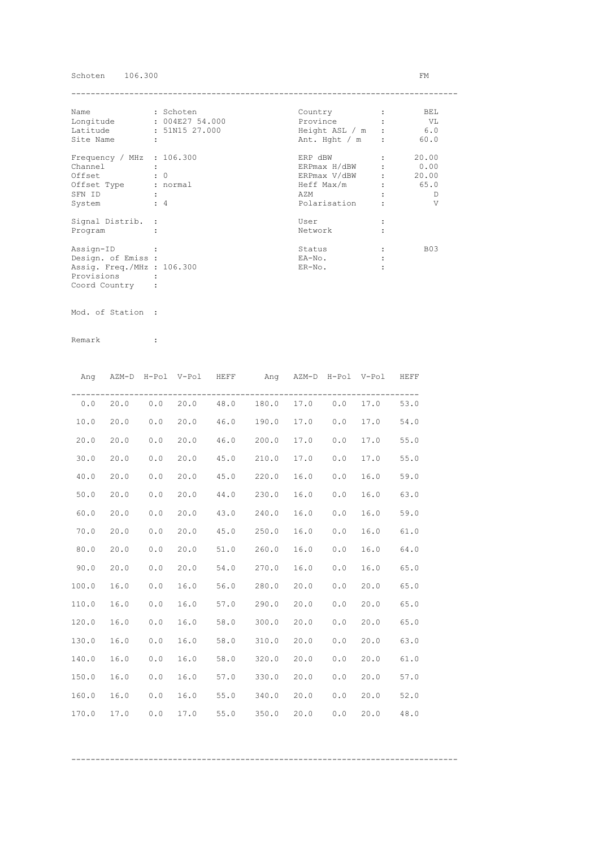## Schoten 106.300 FM

| Name                        | : Schoten      | Country          | BEL        |
|-----------------------------|----------------|------------------|------------|
| Longitude                   | : 004E2754.000 | Province         | VL         |
| Latitude                    | : 51N15 27.000 | Height ASL / m   | 6.0        |
| Site Name                   | ÷              | Ant. Hght $/m$ : | 60.0       |
| Frequency / MHz : $106.300$ |                | ERP dBW          | 20.00      |
| Channel                     |                | ERPmax H/dBW     | 0.00       |
| Offset                      | $\colon 0$     | ERPmax V/dBW     | 20.00      |
| Offset Type                 | : normal       | Heff Max/m       | 65.0       |
| SFN ID                      |                | AZM              | D          |
| System                      | $\div$ 4       | Polarisation     | V          |
| Signal Distrib. :           |                | User             |            |
| Program                     |                | Network          |            |
| Assign-ID                   |                | Status           | <b>B03</b> |
| Design. of Emiss :          |                | EA-No.           |            |
| Assig. Freq./MHz : 106.300  |                | $ER-NO$ .        |            |
| Provisions                  |                |                  |            |
| Coord Country               |                |                  |            |

Mod. of Station :

|       | Ang AZM-D H-Pol V-Pol HEFF |     |      |      | Ang AZM-D H-Pol V-Pol HEFF              |      |     |      |      |
|-------|----------------------------|-----|------|------|-----------------------------------------|------|-----|------|------|
|       |                            |     |      |      | $0.0$ 20.0 0.0 20.0 48.0 180.0 17.0 0.0 |      |     | 17.0 | 53.0 |
| 10.0  | 20.0                       | 0.0 | 20.0 |      | 46.0 190.0                              | 17.0 | 0.0 | 17.0 | 54.0 |
| 20.0  | 20.0                       | 0.0 | 20.0 |      | 46.0 200.0                              | 17.0 | 0.0 | 17.0 | 55.0 |
| 30.0  | 20.0                       | 0.0 | 20.0 |      | 45.0 210.0                              | 17.0 | 0.0 | 17.0 | 55.0 |
| 40.0  | 20.0                       | 0.0 | 20.0 |      | 45.0 220.0                              | 16.0 | 0.0 | 16.0 | 59.0 |
| 50.0  | 20.0                       | 0.0 | 20.0 |      | 44.0 230.0                              | 16.0 | 0.0 | 16.0 | 63.0 |
| 60.0  | 20.0                       | 0.0 | 20.0 | 43.0 | 240.0                                   | 16.0 | 0.0 | 16.0 | 59.0 |
| 70.0  | 20.0                       | 0.0 | 20.0 | 45.0 | 250.0                                   | 16.0 | 0.0 | 16.0 | 61.0 |
| 80.0  | 20.0                       | 0.0 | 20.0 |      | 51.0 260.0                              | 16.0 | 0.0 | 16.0 | 64.0 |
| 90.0  | 20.0                       | 0.0 | 20.0 |      | 54.0 270.0                              | 16.0 | 0.0 | 16.0 | 65.0 |
| 100.0 | 16.0                       | 0.0 | 16.0 |      | 56.0 280.0                              | 20.0 | 0.0 | 20.0 | 65.0 |
| 110.0 | 16.0                       | 0.0 | 16.0 |      | 57.0 290.0                              | 20.0 | 0.0 | 20.0 | 65.0 |
| 120.0 | 16.0                       | 0.0 | 16.0 |      | 58.0 300.0                              | 20.0 | 0.0 | 20.0 | 65.0 |
| 130.0 | 16.0                       | 0.0 | 16.0 | 58.0 | 310.0                                   | 20.0 | 0.0 | 20.0 | 63.0 |
| 140.0 | 16.0                       | 0.0 | 16.0 |      | 58.0 320.0                              | 20.0 | 0.0 | 20.0 | 61.0 |
| 150.0 | 16.0                       | 0.0 | 16.0 |      | 57.0 330.0                              | 20.0 | 0.0 | 20.0 | 57.0 |
| 160.0 | 16.0                       | 0.0 | 16.0 |      | 55.0 340.0                              | 20.0 | 0.0 | 20.0 | 52.0 |
| 170.0 | 17.0                       | 0.0 | 17.0 | 55.0 | 350.0                                   | 20.0 | 0.0 | 20.0 | 48.0 |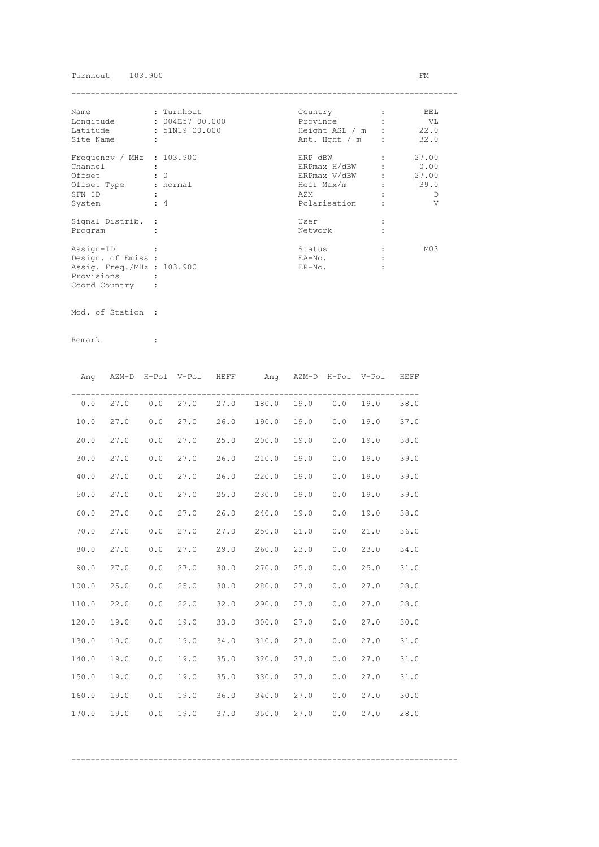Turnhout 103.900 FM

| Name                        | : Turnhout      | Country          | BEL             |
|-----------------------------|-----------------|------------------|-----------------|
| Longitude                   | : 004E57 00.000 | Province         | VL              |
| Latitude                    | : 51N19 00.000  | Height ASL / m : | 22.0            |
| Site Name                   | ÷               | Ant. Hght $/m$ : | 32.0            |
| Frequency / MHz : $103.900$ |                 | ERP dBW          | 27.00           |
| Channel                     |                 | ERPmax H/dBW     | 0.00            |
| Offset                      | $\colon 0$      | ERPmax V/dBW     | 27.00           |
| Offset Type                 | : normal        | Heff Max/m       | 39.0            |
| SFN ID                      |                 | AZM              | D               |
| System                      | $\div$ 4        | Polarisation     | V               |
| Signal Distrib. :           |                 | User             |                 |
| Program                     |                 | Network          |                 |
| Assign-ID                   |                 | Status           | M <sub>03</sub> |
| Design. of Emiss :          |                 | EA-No.           |                 |
| Assig. Freq./MHz : 103.900  |                 | $ER-NO$ .        |                 |
| Provisions                  |                 |                  |                 |
| Coord Country               |                 |                  |                 |

Mod. of Station :

| Ang   |      |       | AZM-D H-Pol V-Pol HEFF |      | Ang AZM-D H-Pol V-Pol HEFF                |      |     |      |      |
|-------|------|-------|------------------------|------|-------------------------------------------|------|-----|------|------|
|       |      |       |                        |      | $0.0$ 27.0 $0.0$ 27.0 27.0 180.0 19.0 0.0 |      |     | 19.0 | 38.0 |
| 10.0  | 27.0 | 0.0   | 27.0                   |      | 26.0 190.0                                | 19.0 | 0.0 | 19.0 | 37.0 |
| 20.0  | 27.0 | 0.0   | 27.0                   |      | 25.0 200.0                                | 19.0 | 0.0 | 19.0 | 38.0 |
| 30.0  | 27.0 | 0.0   | 27.0                   |      | 26.0 210.0                                | 19.0 | 0.0 | 19.0 | 39.0 |
| 40.0  | 27.0 | 0.0   | 27.0                   | 26.0 | 220.0                                     | 19.0 | 0.0 | 19.0 | 39.0 |
| 50.0  | 27.0 | 0.0   | 27.0                   | 25.0 | 230.0                                     | 19.0 | 0.0 | 19.0 | 39.0 |
| 60.0  | 27.0 | 0.0   | 27.0                   |      | 26.0 240.0                                | 19.0 | 0.0 | 19.0 | 38.0 |
| 70.0  | 27.0 | 0.0   | 27.0                   |      | 27.0 250.0                                | 21.0 | 0.0 | 21.0 | 36.0 |
| 80.0  | 27.0 | $0.0$ | 27.0                   |      | 29.0 260.0                                | 23.0 | 0.0 | 23.0 | 34.0 |
| 90.0  | 27.0 | 0.0   | 27.0                   |      | 30.0 270.0                                | 25.0 | 0.0 | 25.0 | 31.0 |
| 100.0 | 25.0 | 0.0   | 25.0                   |      | 30.0 280.0                                | 27.0 | 0.0 | 27.0 | 28.0 |
| 110.0 | 22.0 | 0.0   | 22.0                   |      | 32.0 290.0                                | 27.0 | 0.0 | 27.0 | 28.0 |
| 120.0 | 19.0 | 0.0   | 19.0                   | 33.0 | 300.0                                     | 27.0 | 0.0 | 27.0 | 30.0 |
| 130.0 | 19.0 | 0.0   | 19.0                   | 34.0 | 310.0                                     | 27.0 | 0.0 | 27.0 | 31.0 |
| 140.0 | 19.0 | 0.0   | 19.0                   | 35.0 | 320.0                                     | 27.0 | 0.0 | 27.0 | 31.0 |
| 150.0 | 19.0 | 0.0   | 19.0                   | 35.0 | 330.0                                     | 27.0 | 0.0 | 27.0 | 31.0 |
| 160.0 | 19.0 | 0.0   | 19.0                   |      | $36.0$ $340.0$                            | 27.0 | 0.0 | 27.0 | 30.0 |
| 170.0 | 19.0 | 0.0   | 19.0                   |      | 37.0 350.0 27.0                           |      | 0.0 | 27.0 | 28.0 |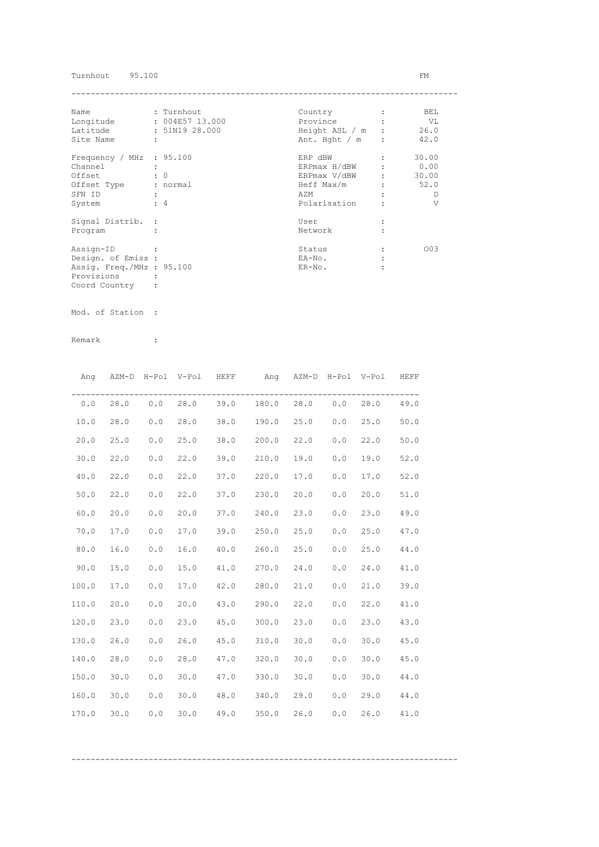### Turnhout 95.100 FM

| Name                       |            | : Turnhout      | Country          | BEL   |
|----------------------------|------------|-----------------|------------------|-------|
| Longitude                  |            | : 004E57 13.000 | Province         | VL    |
| Latitude                   |            | : 51N19 28.000  | Height ASL / m : | 26.0  |
| Site Name                  | ÷          |                 | Ant. Hght $/m$ : | 42.0  |
| Frequency / MHz $: 95.100$ |            |                 | ERP dBW          | 30.00 |
| Channel                    |            |                 | ERPmax H/dBW     | 0.00  |
| Offset                     | $\colon 0$ |                 | ERPmax V/dBW     | 30.00 |
| Offset Type                |            | : normal        | Heff Max/m       | 52.0  |
| SFN ID                     |            |                 | AZM              | D     |
| System                     | $\div$ 4   |                 | Polarisation     | V     |
| Signal Distrib. :          |            |                 | User             |       |
| Program                    |            |                 | Network          |       |
| Assign-ID                  |            |                 | Status           | 003   |
| Design. of Emiss :         |            |                 | EA-No.           |       |
| Assig. Freq./MHz : 95.100  |            |                 | $ER-NO$ .        |       |
| Provisions                 |            |                 |                  |       |
| Coord Country              |            |                 |                  |       |

Mod. of Station :

|       | Ang AZM-D H-Pol V-Pol HEFF |     |      |      | Ang AZM-D H-Pol V-Pol HEFF              |      |     |      |      |
|-------|----------------------------|-----|------|------|-----------------------------------------|------|-----|------|------|
|       |                            |     |      |      | $0.0$ 28.0 0.0 28.0 39.0 180.0 28.0 0.0 |      |     | 28.0 | 49.0 |
| 10.0  | 28.0                       | 0.0 | 28.0 |      | 38.0 190.0 25.0                         |      | 0.0 | 25.0 | 50.0 |
| 20.0  | 25.0                       | 0.0 | 25.0 |      | 38.0 200.0                              | 22.0 | 0.0 | 22.0 | 50.0 |
| 30.0  | 22.0                       | 0.0 | 22.0 |      | 39.0 210.0                              | 19.0 | 0.0 | 19.0 | 52.0 |
| 40.0  | 22.0                       | 0.0 | 22.0 |      | 37.0 220.0                              | 17.0 | 0.0 | 17.0 | 52.0 |
| 50.0  | 22.0                       | 0.0 | 22.0 |      | 37.0 230.0                              | 20.0 | 0.0 | 20.0 | 51.0 |
| 60.0  | 20.0                       | 0.0 | 20.0 |      | 37.0 240.0                              | 23.0 | 0.0 | 23.0 | 49.0 |
| 70.0  | 17.0                       | 0.0 | 17.0 |      | 39.0 250.0                              | 25.0 | 0.0 | 25.0 | 47.0 |
| 80.0  | 16.0                       | 0.0 | 16.0 |      | 40.0 260.0                              | 25.0 | 0.0 | 25.0 | 44.0 |
| 90.0  | 15.0                       | 0.0 | 15.0 |      | 41.0 270.0                              | 24.0 | 0.0 | 24.0 | 41.0 |
| 100.0 | 17.0                       | 0.0 | 17.0 |      | 42.0 280.0                              | 21.0 | 0.0 | 21.0 | 39.0 |
| 110.0 | 20.0                       | 0.0 | 20.0 |      | 43.0 290.0                              | 22.0 | 0.0 | 22.0 | 41.0 |
| 120.0 | 23.0                       | 0.0 | 23.0 |      | 45.0 300.0                              | 23.0 | 0.0 | 23.0 | 43.0 |
| 130.0 | 26.0                       | 0.0 | 26.0 |      | 45.0 310.0                              | 30.0 | 0.0 | 30.0 | 45.0 |
| 140.0 | 28.0                       | 0.0 | 28.0 |      | 47.0 320.0                              | 30.0 | 0.0 | 30.0 | 45.0 |
| 150.0 | 30.0                       | 0.0 | 30.0 |      | 47.0 330.0                              | 30.0 | 0.0 | 30.0 | 44.0 |
| 160.0 | 30.0                       | 0.0 | 30.0 |      | 48.0 340.0                              | 29.0 | 0.0 | 29.0 | 44.0 |
| 170.0 | 30.0                       | 0.0 | 30.0 | 49.0 | 350.0                                   | 26.0 | 0.0 | 26.0 | 41.0 |